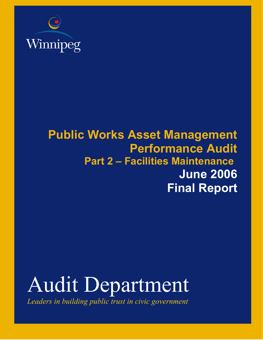

## **Public Works Asset Management Performance Audit Part 2 – Facilities Maintenance June 2006 Final Report**

# Audit Department

*Leaders in building public trust in civic government* 

**Public Works Asset Management Performance Audit – Part 2**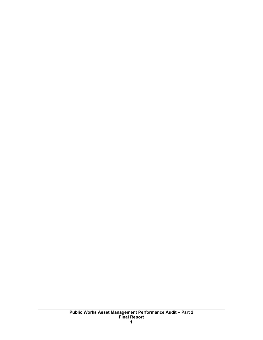#### **Public Works Asset Management Performance Audit – Part 2 Final Report**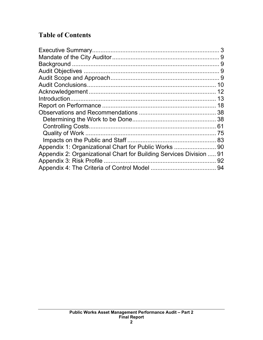## **Table of Contents**

|                                                                     | 3  |
|---------------------------------------------------------------------|----|
|                                                                     |    |
|                                                                     |    |
|                                                                     |    |
|                                                                     |    |
|                                                                     |    |
|                                                                     | 12 |
|                                                                     |    |
|                                                                     |    |
|                                                                     |    |
|                                                                     |    |
|                                                                     |    |
|                                                                     |    |
|                                                                     |    |
| Appendix 1: Organizational Chart for Public Works  90               |    |
| Appendix 2: Organizational Chart for Building Services Division  91 |    |
|                                                                     |    |
|                                                                     |    |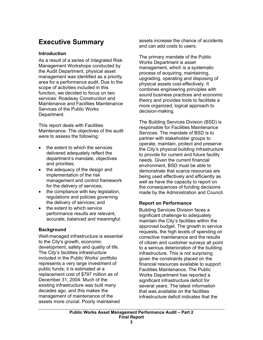## **Executive Summary**

#### **Introduction**

As a result of a series of Integrated Risk Management Workshops conducted by the Audit Department, physical asset management was identified as a priority area for a performance audit. Due to the scope of activities included in this function, we decided to focus on two services: Roadway Construction and Maintenance and Facilities Maintenance Services of the Public Works Department.

This report deals with Facilities Maintenance. The objectives of the audit were to assess the following:

- the extent to which the services delivered adequately reflect the department's mandate, objectives and priorities;
- the adequacy of the design and implementation of the risk management and control framework for the delivery of services;
- the compliance with key legislation, regulations and policies governing the delivery of services; and
- the extent to which service performance results are relevant, accurate, balanced and meaningful.

#### **Background**

Well-managed infrastructure is essential to the City's growth, economic development, safety and quality of life. The City's facilities infrastructure included in the Public Works' portfolio represents a very large investment of public funds; it is estimated at a replacement cost of \$797 million as of December 31, 2004. Much of the existing infrastructure was built many decades ago, and this makes the management of maintenance of the assets more crucial. Poorly maintained

assets increase the chance of accidents and can add costs to users.

The primary mandate of the Public Works Department is asset management, which is a systematic process of acquiring, maintaining, upgrading, operating and disposing of physical assets cost-effectively. It combines engineering principles with sound business practices and economic theory and provides tools to facilitate a more organized, logical approach to decision-making.

The Building Services Division (BSD) is responsible for Facilities Maintenance Services. The mandate of BSD is to partner with stakeholder groups to operate, maintain, protect and preserve the City's physical building infrastructure to provide for current and future facility needs. Given the current financial environment, BSD must be able to demonstrate that scarce resources are being used effectively and efficiently as well as have the capacity to report on the consequences of funding decisions made by the Administration and Council.

#### **Report on Performance**

Building Services Division faces a significant challenge to adequately maintain the City's facilities within the approved budget. The growth in service requests, the high levels of spending on corrective maintenance and the results of citizen and customer surveys all point to a serious deterioration of the building infrastructure. This is not surprising given the constraints placed on the financial resources available to support Facilities Maintenance. The Public Works Department has reported a significant infrastructure deficit for several years. The latest information that was available on the facilities infrastructure deficit indicates that the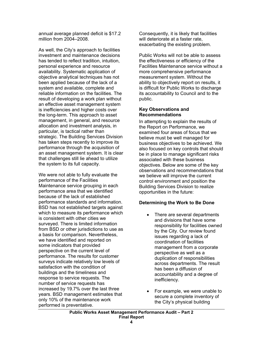annual average planned deficit is \$17.2 million from 2004–2008.

As well, the City's approach to facilities investment and maintenance decisions has tended to reflect tradition, intuition, personal experience and resource availability. Systematic application of objective analytical techniques has not been applied because of the lack of a system and available, complete and reliable information on the facilities. The result of developing a work plan without an effective asset management system is inefficiencies and higher costs over the long-term. This approach to asset management, in general, and resource allocation and investment analysis, in particular, is tactical rather than strategic. The Building Services Division has taken steps recently to improve its performance through the acquisition of an asset management system. It is clear that challenges still lie ahead to utilize the system to its full capacity.

We were not able to fully evaluate the performance of the Facilities Maintenance service grouping in each performance area that we identified because of the lack of established performance standards and information. BSD has not established targets against which to measure its performance which is consistent with other cities we surveyed. There is limited information from BSD or other jurisdictions to use as a basis for comparison. Nevertheless, we have identified and reported on some indicators that provided perspective on the current level of performance. The results for customer surveys indicate relatively low levels of satisfaction with the condition of buildings and the timeliness and response to service requests. The number of service requests has increased by 19.7% over the last three years. BSD management estimates that only 10% of the maintenance work performed is preventative.

Consequently, it is likely that facilities will deteriorate at a faster rate, exacerbating the existing problem.

Public Works will not be able to assess the effectiveness or efficiency of the Facilities Maintenance service without a more comprehensive performance measurement system. Without the ability to objectively report on results, it is difficult for Public Works to discharge its accountability to Council and to the public.

#### **Key Observations and Recommendations**

In attempting to explain the results of the Report on Performance, we examined four areas of focus that we believe must be well managed for business objectives to be achieved. We also focused on key controls that should be in place to manage significant risks associated with these business objectives. Below are some of the key observations and recommendations that we believe will improve the current control environment and position the Building Services Division to realize opportunities in the future:

#### **Determining the Work to Be Done**

- There are several departments and divisions that have some responsibility for facilities owned by the City. Our review found issues regarding a lack of coordination of facilities management from a corporate perspective as well as a duplication of responsibilities across departments. The result has been a diffusion of accountability and a degree of inefficiency.
- For example, we were unable to secure a complete inventory of the City's physical building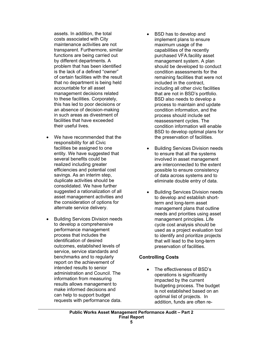assets. In addition, the total costs associated with City maintenance activities are not transparent. Furthermore, similar functions are being carried out by different departments. A problem that has been identified is the lack of a defined "owner" of certain facilities with the result that no department is being held accountable for all asset management decisions related to these facilities. Corporately, this has led to poor decisions or an absence of decision-making in such areas as divestment of facilities that have exceeded their useful lives.

- We have recommended that the responsibility for all Civic facilities be assigned to one entity. We have suggested that several benefits could be realized including greater efficiencies and potential cost savings. As an interim step, duplicate activities should be consolidated. We have further suggested a rationalization of all asset management activities and the consideration of options for alternate service delivery.
- Building Services Division needs to develop a comprehensive performance management process that includes the identification of desired outcomes, established levels of service, service standards and benchmarks and to regularly report on the achievement of intended results to senior administration and Council. The information from measuring results allows management to make informed decisions and can help to support budget requests with performance data.
- BSD has to develop and implement plans to ensure maximum usage of the capabilities of the recently purchased VFA.facility asset management system. A plan should be developed to conduct condition assessments for the remaining facilities that were not included in the contract, including all other civic facilities that are not in BSD's portfolio. BSD also needs to develop a process to maintain and update condition information, and the process should include set reassessment cycles. The condition information will enable BSD to develop optimal plans for the preservation of facilities.
- Building Services Division needs to ensure that all the systems involved in asset management are interconnected to the extent possible to ensure consistency of data across systems and to eliminate double entry of data.
- Building Services Division needs to develop and establish shortterm and long-term asset management plans that outline needs and priorities using asset management principles. Life cycle cost analysis should be used as a project evaluation tool to identify and prioritize projects that will lead to the long-term preservation of facilities.

#### **Controlling Costs**

• The effectiveness of BSD's operations is significantly impacted by the current budgeting process. The budget is not established based on an optimal list of projects. In addition, funds are often re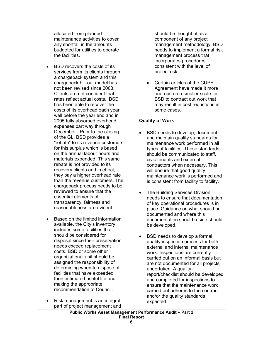allocated from planned maintenance activities to cover any shortfall in the amounts budgeted for utilities to operate the facilities.

- BSD recovers the costs of its services from its clients through a chargeback system and this chargeback bill-out model has not been revised since 2003. Clients are not confident that rates reflect actual costs. BSD has been able to recover the costs of its overhead each year well before the year end and in 2005 fully absorbed overhead expenses part way through December. Prior to the closing of the GL, BSD provides a "rebate" to its revenue customers for this surplus which is based on the annual labour hours and materials expended. This same rebate is not provided to its recovery clients and in effect, they pay a higher overhead rate than the revenue customers. The chargeback process needs to be reviewed to ensure that the essential elements of transparency, fairness and reasonableness are evident.
- Based on the limited information available, the City's inventory includes some facilities that should be considered for disposal since their preservation needs exceed replacement costs. BSD or some other organizational unit should be assigned the responsibility of determining when to dispose of facilities that have exceeded their estimated useful life and making the appropriate recommendation to Council.
- Risk management is an integral part of project management and

should be thought of as a component of any project management methodology. BSD needs to implement a formal risk management process that incorporates procedures consistent with the level of project risk.

• Certain articles of the CUPE Agreement have made it more onerous on a smaller scale for BSD to contract out work that may result in cost reductions in some cases.

#### **Quality of Work**

- BSD needs to develop, document and maintain quality standards for maintenance work performed in all types of facilities. These standards should be communicated to staff, civic tenants and external contractors when necessary. This will ensure that good quality maintenance work is performed and is consistent from facility to facility.
- The Building Services Division needs to ensure that documentation of key operational procedures is in place. Guidance on what should be documented and where this documentation should reside should be developed.
- BSD needs to develop a formal quality inspection process for both external and internal maintenance work. Inspections are currently carried out on an informal basis but are not documented for all projects undertaken. A quality report/checklist should be developed and completed for inspections to ensure that the maintenance work carried out adheres to the contract and/or the quality standards expected.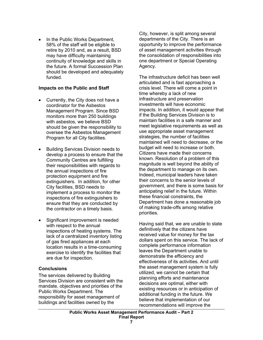• In the Public Works Department, 58% of the staff will be eligible to retire by 2010 and, as a result, BSD may have difficulty maintaining continuity of knowledge and skills in the future. A formal Succession Plan should be developed and adequately funded.

#### **Impacts on the Public and Staff**

- Currently, the City does not have a coordinator for the Asbestos Management Program. Since BSD monitors more than 250 buildings with asbestos, we believe BSD should be given the responsibility to oversee the Asbestos Management Program for all City facilities.
- Building Services Division needs to develop a process to ensure that the Community Centres are fulfilling their responsibilities with regards to the annual inspections of fire protection equipment and fire extinguishers. In addition, for other City facilities, BSD needs to implement a process to monitor the inspections of fire extinguishers to ensure that they are conducted by the contractor on a timely basis.
- Significant improvement is needed with respect to the annual inspections of heating systems. The lack of a centralized inventory listing of gas fired appliances at each location results in a time-consuming exercise to identify the facilities that are due for inspection.

#### **Conclusions**

The services delivered by Building Services Division are consistent with the mandate, objectives and priorities of the Public Works Department. The responsibility for asset management of buildings and facilities owned by the

City, however, is split among several departments of the City. There is an opportunity to improve the performance of asset management activities through the consolidation of responsibilities into one department or Special Operating Agency.

The infrastructure deficit has been well articulated and is fast approaching a crisis level. There will come a point in time whereby a lack of new infrastructure and preservation investments will have economic impacts. In addition, it would appear that if the Building Services Division is to maintain facilities in a safe manner and meet legislative requirements as well as use appropriate asset management strategies, the number of facilities maintained will need to decrease, or the budget will need to increase or both. Citizens have made their concerns known. Resolution of a problem of this magnitude is well beyond the ability of the department to manage on its own. Indeed, municipal leaders have taken their concerns to the senior levels of government, and there is some basis for anticipating relief in the future. Within these financial constraints, the Department has done a reasonable job of making trade-offs among relative priorities.

Having said that, we are unable to state definitively that the citizens have received value for money for the tax dollars spent on this service. The lack of complete performance information leaves the Department unable to demonstrate the efficiency and effectiveness of its activities. And until the asset management system is fully utilized, we cannot be certain that planning efforts and maintenance decisions are optimal, either with existing resources or in anticipation of additional funding in the future. We believe that implementation of our recommendations will improve the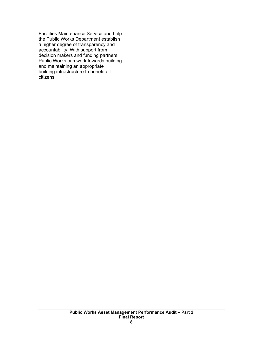Facilities Maintenance Service and help the Public Works Department establish a higher degree of transparency and accountability. With support from decision makers and funding partners, Public Works can work towards building and maintaining an appropriate building infrastructure to benefit all citizens.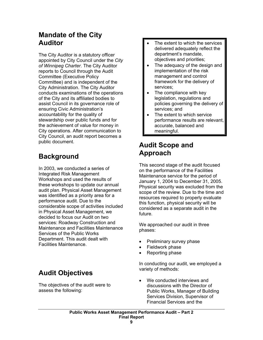## **Mandate of the City Auditor**

The City Auditor is a statutory officer appointed by City Council under the *City of Winnipeg Charter*. The City Auditor reports to Council through the Audit Committee (Executive Policy Committee) and is independent of the City Administration. The City Auditor conducts examinations of the operations of the City and its affiliated bodies to assist Council in its governance role of ensuring Civic Administration's accountability for the quality of stewardship over public funds and for the achievement of value for money in City operations. After communication to City Council, an audit report becomes a public document.

## **Background**

In 2003, we conducted a series of Integrated Risk Management Workshops and used the results of these workshops to update our annual audit plan. Physical Asset Management was identified as a priority area for a performance audit. Due to the considerable scope of activities included in Physical Asset Management, we decided to focus our Audit on two services: Roadway Construction and Maintenance and Facilities Maintenance Services of the Public Works Department. This audit dealt with Facilities Maintenance.

## **Audit Objectives**

The objectives of the audit were to assess the following:

- The extent to which the services delivered adequately reflect the department's mandate, objectives and priorities;
- The adequacy of the design and implementation of the risk management and control framework for the delivery of services;
- The compliance with key legislation, regulations and policies governing the delivery of services; and
- The extent to which service performance results are relevant, accurate, balanced and meaningful.

## **Audit Scope and Approach**

This second stage of the audit focused on the performance of the Facilities Maintenance service for the period of January 1, 2004 to December 31, 2005. Physical security was excluded from the scope of the review. Due to the time and resources required to properly evaluate this function, physical security will be considered as a separate audit in the future.

We approached our audit in three phases:

- Preliminary survey phase
- Fieldwork phase
- Reporting phase

In conducting our audit, we employed a variety of methods:

We conducted interviews and discussions with the Director of Public Works, Manager of Building Services Division, Supervisor of Financial Services and the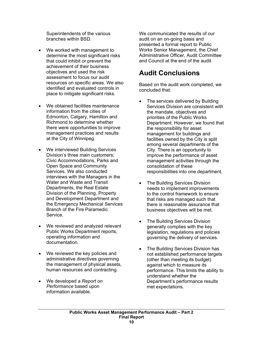Superintendents of the various branches within BSD.

- We worked with management to determine the most significant risks that could inhibit or prevent the achievement of their business objectives and used the risk assessment to focus our audit resources on specific areas. We also identified and evaluated controls in place to mitigate significant risks.
- We obtained facilities maintenance information from the cities of Edmonton, Calgary, Hamilton and Richmond to determine whether there were opportunities to improve management practices and results at the City of Winnipeg.
- We interviewed Building Services Division's three main customers; Civic Accommodations, Parks and Open Space and Community Services. We also conducted interviews with the Managers in the Water and Waste and Transit Departments, the Real Estate Division of the Planning, Property and Development Department and the Emergency Mechanical Services Branch of the Fire Paramedic Service.
- We reviewed and analyzed relevant Public Works Department reports, operating information and documentation.
- We reviewed the key policies and administrative directives governing the management of physical assets, human resources and contracting.
- We developed a *Report on Performance* based upon information available.

We communicated the results of our audit on an on-going basis and presented a formal report to Public Works Senior Management, the Chief Administrative Officer, Audit Committee and Council at the end of the audit.

## **Audit Conclusions**

Based on the audit work completed, we concluded that:

- The services delivered by Building Services Division are consistent with the mandate, objectives and priorities of the Public Works Department. However, we found that the responsibility for asset management for buildings and facilities owned by the City is split among several departments of the City. There is an opportunity to improve the performance of asset management activities through the consolidation of these responsibilities into one department.
- The Building Services Division needs to implement improvements to the control framework to ensure that risks are managed such that there is reasonable assurance that business objectives will be met.
- The Building Services Division generally complies with the key legislation, regulations and policies governing the delivery of services.
- The Building Services Division has not established performance targets (other than meeting its budget) against which to measure its performance. This limits the ability to understand whether the Department's performance results met expectations.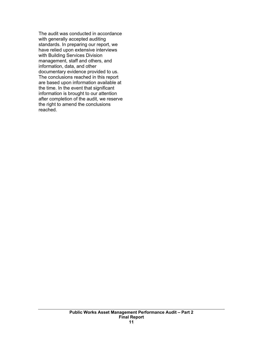The audit was conducted in accordance with generally accepted auditing standards. In preparing our report, we have relied upon extensive interviews with Building Services Division management, staff and others, and information, data, and other documentary evidence provided to us. The conclusions reached in this report are based upon information available at the time. In the event that significant information is brought to our attention after completion of the audit, we reserve the right to amend the conclusions reached.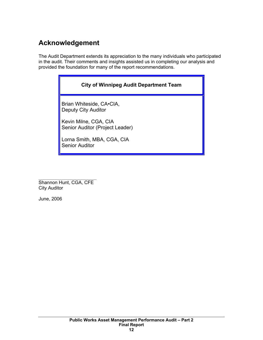## **Acknowledgement**

The Audit Department extends its appreciation to the many individuals who participated in the audit. Their comments and insights assisted us in completing our analysis and provided the foundation for many of the report recommendations.

#### **City of Winnipeg Audit Department Team**

Brian Whiteside, CA•CIA, Deputy City Auditor

Kevin Milne, CGA, CIA Senior Auditor (Project Leader)

Lorna Smith, MBA, CGA, CIA Senior Auditor

Shannon Hunt, CGA, CFE City Auditor

June, 2006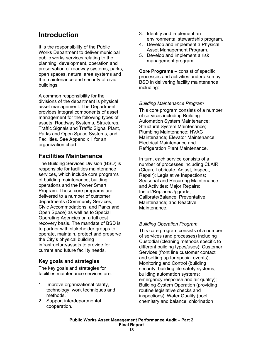## **Introduction**

It is the responsibility of the Public Works Department to deliver municipal public works services relating to the planning, development, operation and preservation of roadway systems, parks, open spaces, natural area systems and the maintenance and security of civic buildings.

A common responsibility for the divisions of the department is physical asset management. The Department provides integral components of asset management for the following types of assets: Roadway Systems, Structures, Traffic Signals and Traffic Signal Plant, Parks and Open Space Systems, and Facilities. See Appendix 1 for an organization chart.

## **Facilities Maintenance**

The Building Services Division (BSD) is responsible for facilities maintenance services, which include core programs of building maintenance, building operations and the Power Smart Program. These core programs are delivered to a number of customer departments (Community Services, Civic Accommodations, and Parks and Open Space) as well as to Special Operating Agencies on a full cost recovery basis. The mandate of BSD is to partner with stakeholder groups to operate, maintain, protect and preserve the City's physical building infrastructure/assets to provide for current and future facility needs.

#### **Key goals and strategies**

The key goals and strategies for facilities maintenance services are:

- 1. Improve organizational clarity, technology, work techniques and methods.
- 2. Support interdepartmental cooperation.
- 3. Identify and implement an environmental stewardship program.
- 4. Develop and implement a Physical Asset Management Program.
- 5. Develop and implement a risk management program.

**Core Programs** – consist of specific processes and activities undertaken by BSD in delivering facility maintenance including:

*Building Maintenance Program*  This core program consists of a number of services including Building Automation System Maintenance; Structural System Maintenance; Plumbing Maintenance; HVAC Maintenance; Elevator Maintenance; Electrical Maintenance and Refrigeration Plant Maintenance.

In turn, each service consists of a number of processes including CLAIR (Clean, Lubricate, Adjust, Inspect, Repair); Legislative Inspections; Seasonal and Recurring Maintenance and Activities; Major Repairs; Install/Replace/Upgrade; Calibrate/Balance; Preventative Maintenance; and Reactive Maintenance.

#### *Building Operation Program*

This core program consists of a number of services (and processes) including Custodial (cleaning methods specific to different building types/uses); Customer Services (front line customer contact and setting up for special events); Monitoring and Control (building security; building life safety systems; building automation systems; emergency response and air quality); Building System Operation (providing routine legislative checks and inspections); Water Quality (pool chemistry and balance; chlorination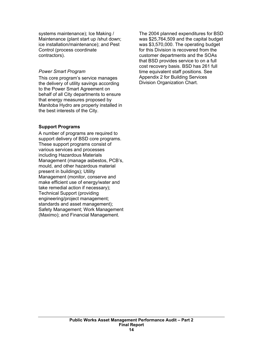systems maintenance); Ice Making / Maintenance (plant start up /shut down; ice installation/maintenance); and Pest Control (process coordinate contractors).

#### *Power Smart Program*

This core program's service manages the delivery of utility savings according to the Power Smart Agreement on behalf of all City departments to ensure that energy measures proposed by Manitoba Hydro are properly installed in the best interests of the City.

#### **Support Programs**

A number of programs are required to support delivery of BSD core programs. These support programs consist of various services and processes including Hazardous Materials Management (manage asbestos, PCB's, mould, and other hazardous material present in buildings); Utility Management (monitor, conserve and make efficient use of energy/water and take remedial action if necessary); Technical Support (providing engineering/project management; standards and asset management); Safety Management; Work Management (Maximo); and Financial Management.

The 2004 planned expenditures for BSD was \$25,764,509 and the capital budget was \$3,570,000. The operating budget for this Division is recovered from the customer departments and the SOAs that BSD provides service to on a full cost recovery basis. BSD has 261 full time equivalent staff positions. See Appendix 2 for Building Services Division Organization Chart.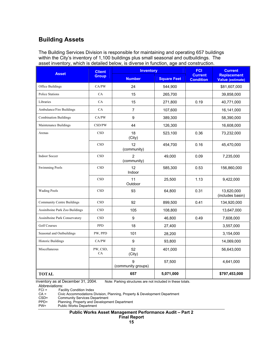### **Building Assets**

The Building Services Division is responsible for maintaining and operating 657 buildings within the City's inventory of 1,100 buildings plus small seasonal and outbuildings. The asset inventory, which is detailed below, is diverse in function, age and construction.

| <b>Asset</b>                      | <b>Client</b>  | <b>Inventory</b>              |                    | <b>FCI</b>                         | <b>Current</b>                                |
|-----------------------------------|----------------|-------------------------------|--------------------|------------------------------------|-----------------------------------------------|
|                                   | <b>Group</b>   | <b>Number</b>                 | <b>Square Feet</b> | <b>Current</b><br><b>Condition</b> | <b>Replacement</b><br><b>Value (estimate)</b> |
| Office Buildings                  | CA/PW          | 24                            | 544.900            |                                    | \$81,607,000                                  |
| Police Stations                   | CA             | 15                            | 265,700            |                                    | 39,858,000                                    |
| Libraries                         | CA             | 15                            | 271,800            | 0.19                               | 40,771,000                                    |
| Ambulance/Fire Buildings          | CA             | $\overline{7}$                | 107,600            |                                    | 16,141,000                                    |
| <b>Combination Buildings</b>      | CA/PW          | 9                             | 389,300            |                                    | 58,390,000                                    |
| Maintenance Buildings             | CSD/PW         | 44                            | 126,300            |                                    | 16,608,000                                    |
| Arenas                            | <b>CSD</b>     | 18<br>(City)                  | 523,100            | 0.36                               | 73,232,000                                    |
|                                   | CSD            | 12<br>(community)             | 454,700            | 0.16                               | 45,470,000                                    |
| <b>Indoor Soccer</b>              | <b>CSD</b>     | $\overline{2}$<br>(community) | 49,000             | 0.09                               | 7,235,000                                     |
| <b>Swimming Pools</b>             | <b>CSD</b>     | 12<br>Indoor                  | 585,300            | 0.53                               | 156,860,000                                   |
|                                   | <b>CSD</b>     | 11<br>Outdoor                 | 25,500             | 1.13                               | 9,422,000                                     |
| <b>Wading Pools</b>               | CSD            | 93                            | 64,800             | 0.31                               | 13,620,000<br>(includes basin)                |
| <b>Community Centre Buildings</b> | <b>CSD</b>     | 92                            | 899,500            | 0.41                               | 134,920,000                                   |
| Assiniboine Park Zoo Buildings    | <b>CSD</b>     | 105                           | 108,800            |                                    | 13,647,000                                    |
| Assiniboine Park Conservatory     | <b>CSD</b>     | 9                             | 46,800             | 0.49                               | 7,608,000                                     |
| <b>Golf Courses</b>               | <b>PPD</b>     | 18                            | 27,400             |                                    | 3,557,000                                     |
| Seasonal and Outbuildings         | PW, PPD        | 101                           | 28,200             |                                    | 3,154,000                                     |
| <b>Historic Buildings</b>         | CA/PW          | 9                             | 93,800             |                                    | 14,069,000                                    |
| Miscellaneous                     | PW, CSD,<br>CA | 52<br>(City)                  | 401,000            |                                    | 56.643.000                                    |
|                                   |                | 9<br>(community groups)       | 57,500             |                                    | 4,641,000                                     |
| <b>TOTAL</b>                      |                | 657                           | 5,071,000          |                                    | \$797,453,000                                 |

Inventory as at December 31, 2004. Note: Parking structures are not included in these totals.

Abbreviations:<br>FCI = Fac

FCI = Facility Condition Index<br>CA = Civic Accommodations D

CA = Civic Accommodations Division, Planning, Property & Development Department CSD= Community Services Department

CSD= Community Services Department<br>PPD= Planning. Property and Developm

PPD= Planning, Property and Development Department<br>PW= Public Works Department

Public Works Department

#### **Public Works Asset Management Performance Audit – Part 2 Final Report**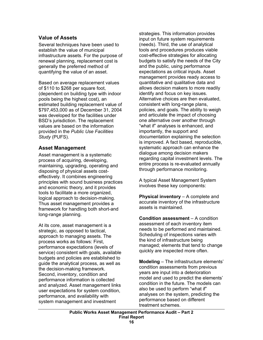#### **Value of Assets**

Several techniques have been used to establish the value of municipal infrastructure assets. For the purpose of renewal planning, replacement cost is generally the preferred method of quantifying the value of an asset.

Based on average replacement values of \$110 to \$268 per square foot, (dependent on building type with indoor pools being the highest cost), an estimated building replacement value of \$797,453,000 as of December 31, 2004 was developed for the facilities under BSD's jurisdiction. The replacement values are based on the information provided in the *Public Use Facilities Study* (PUFS).

#### **Asset Management**

Asset management is a systematic process of acquiring, developing, maintaining, upgrading, operating and disposing of physical assets costeffectively. It combines engineering principles with sound business practices and economic theory, and it provides tools to facilitate a more organized, logical approach to decision-making. Thus asset management provides a framework for handling both short-and long-range planning.

At its core, asset management is a strategic, as opposed to tactical, approach to managing assets. The process works as follows: First, performance expectations (levels of service) consistent with goals, available budgets and policies are established to guide the analytical process, as well as the decision-making framework. Second, inventory, condition and performance information is collected and analyzed. Asset management links user expectations for system condition, performance, and availability with system management and investment

strategies. This information provides input on future system requirements (needs). Third, the use of analytical tools and procedures produces viable cost-effective strategies for allocating budgets to satisfy the needs of the City and the public, using performance expectations as critical inputs. Asset management provides ready access to quantitative and qualitative data and allows decision makers to more readily identify and focus on key issues. Alternative choices are then evaluated, consistent with long-range plans, policies, and goals. The ability to weigh and articulate the impact of choosing one alternative over another through "what if" analyses is enhanced, and importantly, the support and documentation explaining the selection is improved. A fact based, reproducible, systematic approach can enhance the dialogue among decision makers regarding capital investment levels. The entire process is re-evaluated annually through performance monitoring.

A typical Asset Management System involves these key components:

**Physical inventory** – A complete and accurate inventory of the infrastructure assets is maintained.

**Condition assessment** – A condition assessment of each inventory item needs to be performed and maintained. Scheduling of inspections varies with the kind of infrastructure being managed; elements that tend to change quickly are inspected more often.

**Modeling** – The infrastructure elements' condition assessments from previous years are input into a deterioration model and used to predict the elements' condition in the future. The models can also be used to perform "what if" analyses on the system, predicting the performance based on different treatment schemes.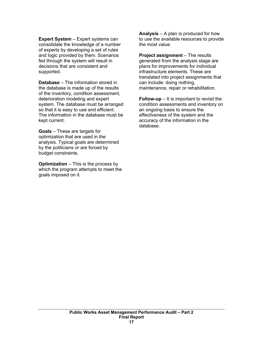**Expert System** – Expert systems can consolidate the knowledge of a number of experts by developing a set of rules and logic provided by them. Scenarios fed through the system will result in decisions that are consistent and supported.

**Database** – The information stored in the database is made up of the results of the inventory, condition assessment, deterioration modeling and expert system. The database must be arranged so that it is easy to use and efficient. The information in the database must be kept current.

**Goals** – These are targets for optimization that are used in the analysis. Typical goals are determined by the politicians or are forced by budget constraints.

**Optimization** – This is the process by which the program attempts to meet the goals imposed on it.

**Analysis** – A plan is produced for how to use the available resources to provide the most value.

**Project assignment** – The results generated from the analysis stage are plans for improvements for individual infrastructure elements. These are translated into project assignments that can include: doing nothing, maintenance, repair or rehabilitation.

**Follow-up** – It is important to revisit the condition assessments and inventory on an ongoing basis to ensure the effectiveness of the system and the accuracy of the information in the database.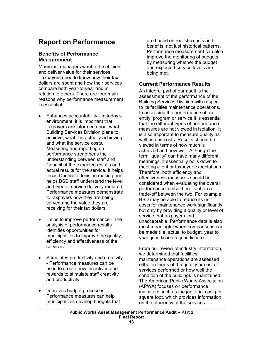## **Report on Performance**

#### **Benefits of Performance Measurement**

Municipal managers want to be efficient and deliver value for their services. Taxpayers need to know how their tax dollars are spent and how their services compare both year-to-year and in relation to others. There are four main reasons why performance measurement is essential:

- Enhances accountability In today's environment, it is important that taxpayers are informed about what Building Services Division plans to achieve, what it is actually achieving and what the service costs. Measuring and reporting on performance strengthens the understanding between staff and Council of the expected results and actual results for the service. It helps focus Council's decision making and helps BSD staff understand the level and type of service delivery required. Performance measures demonstrate to taxpayers how they are being served and the value they are receiving for their tax dollars.
- Helps to improve performance The analysis of performance results identifies opportunities for municipalities to improve the quality, efficiency and effectiveness of the services.
- Stimulates productivity and creativity - Performance measures can be used to create new incentives and rewards to stimulate staff creativity and productivity.
- Improves budget processes Performance measures can help municipalities develop budgets that

are based on realistic costs and benefits, not just historical patterns. Performance measurement can also improve the monitoring of budgets by measuring whether the budget and expected service levels are being met.

#### **Current Performance Results**

An integral part of our audit is the assessment of the performance of the Building Services Division with respect to its facilities maintenance operations. In assessing the performance of an entity, program or service it is essential that the different types of performance measures are not viewed in isolation. It is also important to measure quality as well as unit costs. Results should be viewed in terms of how much is achieved and how well. Although the term "quality" can have many different meanings, it essentially boils down to meeting client or taxpayer expectations. Therefore, both efficiency and effectiveness measures should be considered when evaluating the overall performance, since there is often a trade-off between the two. For example, BSD may be able to reduce its unit costs for maintenance work significantly, but only by providing a quality or level of service that taxpayers find unacceptable. Performance data is also most meaningful when comparisons can be made (i.e. actual to budget, year to year, jurisdiction to jurisdiction).

From our review of industry information, we determined that facilities maintenance operations are assessed either in terms of the quality or cost of services performed or how well the condition of the buildings is maintained. The American Public Works Association (APWA) focuses on performance indicators such as the janitorial cost per square foot, which provides information on the efficiency of the services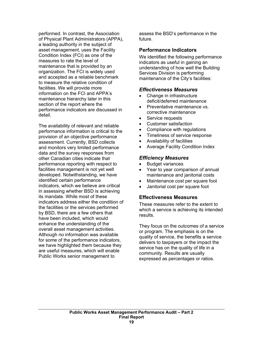performed. In contrast, the Association of Physical Plant Administrators (APPA), a leading authority in the subject of asset management, uses the Facility Condition Index (FCI) as one of the measures to rate the level of maintenance that is provided by an organization. The FCI is widely used and accepted as a reliable benchmark to measure the relative condition of facilities. We will provide more information on the FCI and APPA's maintenance hierarchy later in this section of the report where the performance indicators are discussed in detail.

The availability of relevant and reliable performance information is critical to the provision of an objective performance assessment. Currently, BSD collects and monitors very limited performance data and the survey responses from other Canadian cities indicate that performance reporting with respect to facilities management is not yet well developed. Notwithstanding, we have identified certain performance indicators, which we believe are critical in assessing whether BSD is achieving its mandate. While most of these indicators address either the condition of the facilities or the services performed by BSD, there are a few others that have been included, which would enhance the understanding of the overall asset management activities. Although no information was available for some of the performance indicators, we have highlighted them because they are useful measures, which will enable Public Works senior management to

assess the BSD's performance in the future.

#### **Performance Indicators**

We identified the following performance indicators as useful in gaining an understanding of how well the Building Services Division is performing maintenance of the City's facilities:

#### *Effectiveness Measures*

- Change in infrastructure deficit/deferred maintenance
- Preventative maintenance vs. corrective maintenance
- Service requests
- Customer satisfaction
- Compliance with regulations
- Timeliness of service response
- Availability of facilities
- Average Facility Condition Index

#### *Efficiency Measures*

- Budget variances
- Year to year comparison of annual maintenance and janitorial costs
- Maintenance cost per square foot
- Janitorial cost per square foot

#### **Effectiveness Measures**

These measures refer to the extent to which a service is achieving its intended results.

They focus on the outcomes of a service or program. The emphasis is on the quality of service, the benefits a service delivers to taxpayers or the impact the service has on the quality of life in a community. Results are usually expressed as percentages or ratios.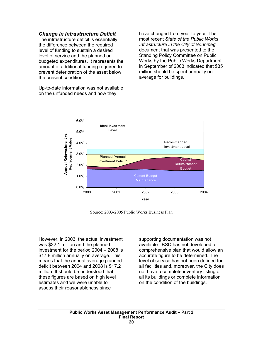#### *Change in Infrastructure Deficit*

The infrastructure deficit is essentially the difference between the required level of funding to sustain a desired level of service and the planned or budgeted expenditures. It represents the amount of additional funding required to prevent deterioration of the asset below the present condition.

Up-to-date information was not available on the unfunded needs and how they

have changed from year to year. The most recent *State of the Public Works Infrastructure in the City of Winnipeg*  document that was presented to the Standing Policy Committee on Public Works by the Public Works Department in September of 2003 indicated that \$35 million should be spent annually on average for buildings.



Source: 2003-2005 Public Works Business Plan

However, in 2003, the actual investment was \$22.1 million and the planned investment for the period 2004 – 2008 is \$17.8 million annually on average. This means that the annual average planned deficit between 2004 and 2008 is \$17.2 million. It should be understood that these figures are based on high level estimates and we were unable to assess their reasonableness since

supporting documentation was not available. BSD has not developed a comprehensive plan that would allow an accurate figure to be determined. The level of service has not been defined for all facilities and, moreover, the City does not have a complete inventory listing of all its buildings or complete information on the condition of the buildings.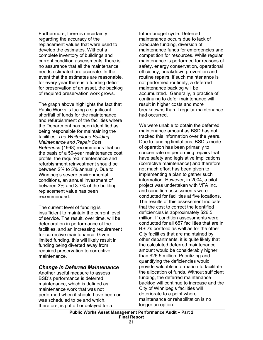Furthermore, there is uncertainty regarding the accuracy of the replacement values that were used to develop the estimates. Without a complete inventory of buildings and current condition assessments, there is no assurance that all the maintenance needs estimated are accurate. In the event that the estimates are reasonable, for every year there is a funding deficit for preservation of an asset, the backlog of required preservation work grows.

The graph above highlights the fact that Public Works is facing a significant shortfall of funds for the maintenance and refurbishment of the facilities where the Department has been identified as being responsible for maintaining the facilities. *The Whitestone Building Maintenance and Repair Cost Reference* (1998) recommends that on the basis of a 50-year maintenance cost profile, the required maintenance and refurbishment reinvestment should be between 2% to 5% annually. Due to Winnipeg's severe environmental conditions, an annual investment of between 3% and 3.7% of the building replacement value has been recommended.

The current level of funding is insufficient to maintain the current level of service. The result, over time, will be deterioration in performance of the facilities, and an increasing requirement for corrective maintenance. Given limited funding, this will likely result in funding being diverted away from required preservation to corrective maintenance.

#### *Change in Deferred Maintenance*

Another useful measure to assess BSD's performance is deferred maintenance, which is defined as maintenance work that was not performed when it should have been or was scheduled to be and which, therefore, is put off or delayed for a

future budget cycle. Deferred maintenance occurs due to lack of adequate funding, diversion of maintenance funds for emergencies and competition for resources. While regular maintenance is performed for reasons of safety, energy conservation, operational efficiency, breakdown prevention and routine repairs, if such maintenance is not performed routinely, a deferred maintenance backlog will be accumulated. Generally, a practice of continuing to defer maintenance will result in higher costs and more breakdowns than if regular maintenance had occurred.

We were unable to obtain the deferred maintenance amount as BSD has not tracked this information over the years. Due to funding limitations, BSD's mode of operation has been primarily to concentrate on performing repairs that have safety and legislative implications (corrective maintenance) and therefore not much effort has been given to implementing a plan to gather such information. However, in 2004, a pilot project was undertaken with VFA Inc. and condition assessments were conducted for facilities at five locations. The results of this assessment indicate that the cost to correct the identified deficiencies is approximately \$26.5 million. If condition assessments were conducted for all 657 facilities that are in BSD's portfolio as well as for the other City facilities that are maintained by other departments, it is quite likely that the calculated deferred maintenance amount would be considerably higher than \$26.5 million. Prioritizing and quantifying the deficiencies would provide valuable information to facilitate the allocation of funds. Without sufficient funding, the deferred maintenance backlog will continue to increase and the City of Winnipeg's facilities will deteriorate to a point where maintenance or rehabilitation is no longer an option.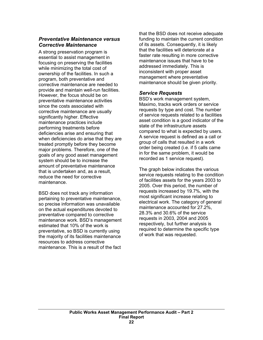#### *Preventative Maintenance versus Corrective Maintenance*

A strong preservation program is essential to assist management in focusing on preserving the facilities while minimizing the total cost of ownership of the facilities. In such a program, both preventative and corrective maintenance are needed to provide and maintain well-run facilities. However, the focus should be on preventative maintenance activities since the costs associated with corrective maintenance are usually significantly higher. Effective maintenance practices include performing treatments before deficiencies arise and ensuring that when deficiencies do arise that they are treated promptly before they become major problems. Therefore, one of the goals of any good asset management system should be to increase the amount of preventative maintenance that is undertaken and, as a result, reduce the need for corrective maintenance.

BSD does not track any information pertaining to preventative maintenance, so precise information was unavailable on the actual expenditures devoted to preventative compared to corrective maintenance work. BSD's management estimated that 10% of the work is preventative, so BSD is currently using the majority of its facilities maintenance resources to address corrective maintenance. This is a result of the fact

that the BSD does not receive adequate funding to maintain the current condition of its assets. Consequently, it is likely that the facilities will deteriorate at a faster rate resulting in more corrective maintenance issues that have to be addressed immediately. This is inconsistent with proper asset management where preventative maintenance should be given priority.

#### *Service Requests*

BSD's work management system, Maximo, tracks work orders or service requests by type and cost. The number of service requests related to a facilities asset condition is a good indicator of the state of the infrastructure assets compared to what is expected by users. A service request is defined as a call or group of calls that resulted in a work order being created (i.e. if 5 calls came in for the same problem, it would be recorded as 1 service request).

The graph below indicates the various service requests relating to the condition of facilities assets for the years 2003 to 2005. Over this period, the number of requests increased by 19.7%, with the most significant increase relating to electrical work. The category of general maintenance accounted for 27.2%, 28.3% and 30.6% of the service requests in 2003, 2004 and 2005 respectively, but further analysis is required to determine the specific type of work that was requested.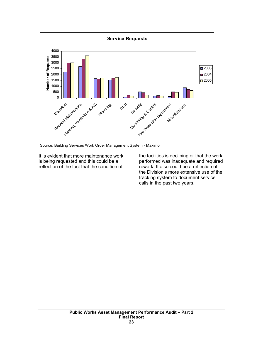

Source: Building Services Work Order Management System - Maximo

It is evident that more maintenance work is being requested and this could be a reflection of the fact that the condition of

the facilities is declining or that the work performed was inadequate and required rework. It also could be a reflection of the Division's more extensive use of the tracking system to document service calls in the past two years.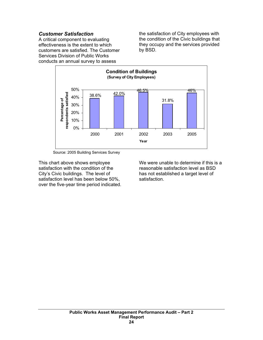#### *Customer Satisfaction*

A critical component to evaluating effectiveness is the extent to which customers are satisfied. The Customer Services Division of Public Works conducts an annual survey to assess

the satisfaction of City employees with the condition of the Civic buildings that they occupy and the services provided by BSD.



Source: 2005 Building Services Survey

This chart above shows employee satisfaction with the condition of the City's Civic buildings. The level of satisfaction level has been below 50%, over the five-year time period indicated. We were unable to determine if this is a reasonable satisfaction level as BSD has not established a target level of satisfaction.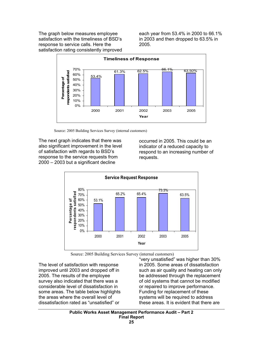The graph below measures employee satisfaction with the timeliness of BSD's response to service calls. Here the satisfaction rating consistently improved each year from 53.4% in 2000 to 66.1% in 2003 and then dropped to 63.5% in 2005.



Source: 2005 Building Services Survey (internal customers)

The next graph indicates that there was also significant improvement in the level of satisfaction with regards to BSD's response to the service requests from 2000 – 2003 but a significant decline

occurred in 2005. This could be an indicator of a reduced capacity to respond to an increasing number of requests.





The level of satisfaction with response improved until 2003 and dropped off in 2005. The results of the employee survey also indicated that there was a considerable level of dissatisfaction in some areas. The table below highlights the areas where the overall level of dissatisfaction rated as "unsatisfied" or

"very unsatisfied" was higher than 30% in 2005. Some areas of dissatisfaction such as air quality and heating can only be addressed through the replacement of old systems that cannot be modified or repaired to improve performance. Funding for replacement of these systems will be required to address these areas. It is evident that there are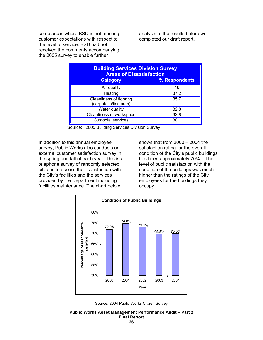some areas where BSD is not meeting customer expectations with respect to the level of service. BSD had not received the comments accompanying the 2005 survey to enable further

analysis of the results before we completed our draft report.

| <b>Building Services Division Survey</b><br><b>Areas of Dissatisfaction</b><br>% Respondents<br><b>Category</b> |      |  |  |
|-----------------------------------------------------------------------------------------------------------------|------|--|--|
| Air quality                                                                                                     | 46   |  |  |
|                                                                                                                 |      |  |  |
| Heating                                                                                                         | 37.2 |  |  |
| Cleanliness of flooring                                                                                         | 35.7 |  |  |
| (carpet/tile/linoleum)                                                                                          |      |  |  |
| Water quality                                                                                                   | 32.8 |  |  |
| Cleanliness of workspace                                                                                        | 32.8 |  |  |
| <b>Custodial services</b>                                                                                       | 30.1 |  |  |

Source: 2005 Building Services Division Survey

In addition to this annual employee survey, Public Works also conducts an external customer satisfaction survey in the spring and fall of each year. This is a telephone survey of randomly selected citizens to assess their satisfaction with the City's facilities and the services provided by the Department including facilities maintenance. The chart below

shows that from 2000 – 2004 the satisfaction rating for the overall condition of the City's public buildings has been approximately 70%. The level of public satisfaction with the condition of the buildings was much higher than the ratings of the City employees for the buildings they occupy.



Source: 2004 Public Works Citizen Survey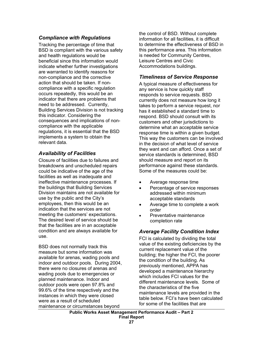#### *Compliance with Regulations*

Tracking the percentage of time that BSD is compliant with the various safety and health regulations would be beneficial since this information would indicate whether further investigations are warranted to identify reasons for non-compliance and the corrective action that should be taken. If noncompliance with a specific regulation occurs repeatedly, this would be an indicator that there are problems that need to be addressed. Currently, Building Services Division is not tracking this indicator. Considering the consequences and implications of noncompliance with the applicable regulations, it is essential that the BSD implements a system to obtain the relevant data.

#### *Availability of Facilities*

Closure of facilities due to failures and breakdowns and unscheduled repairs could be indicative of the age of the facilities as well as inadequate and ineffective maintenance processes. If the buildings that Building Services Division maintains are not available for use by the public and the City's employees, then this would be an indication that the services are not meeting the customers' expectations. The desired level of service should be that the facilities are in an acceptable condition and are always available for use.

BSD does not normally track this measure but some information was available for arenas, wading pools and indoor and outdoor pools. During 2004, there were no closures of arenas and wading pools due to emergencies or planned maintenance. Indoor and outdoor pools were open 97.8% and 99.6% of the time respectively and the instances in which they were closed were as a result of scheduled maintenance or circumstances beyond

the control of BSD. Without complete information for all facilities, it is difficult to determine the effectiveness of BSD in this performance area. This information is needed for Community Centres, Leisure Centres and Civic Accommodations buildings.

#### *Timeliness of Service Response*

A typical measure of effectiveness for any service is how quickly staff responds to service requests. BSD currently does not measure how long it takes to perform a service request, nor has it established a standard time to respond. BSD should consult with its customers and other jurisdictions to determine what an acceptable service response time is within a given budget. This way the customers can be involved in the decision of what level of service they want and can afford. Once a set of service standards is determined, BSD should measure and report on its performance against these standards. Some of the measures could be:

- Average response time
- Percentage of service responses addressed within minimum acceptable standards
- Average time to complete a work order
- Preventative maintenance completion rate

#### *Average Facility Condition Index*

FCI is calculated by dividing the total value of the existing deficiencies by the current replacement value of the building; the higher the FCI, the poorer the condition of the building. As previously mentioned, APPA has developed a maintenance hierarchy which includes FCI values for the different maintenance levels. Some of the characteristics of the five maintenance levels are provided in the table below. FCI's have been calculated for some of the facilities that are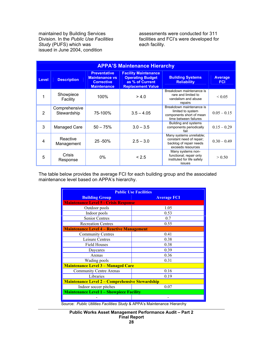maintained by Building Services Division. In the *Public Use Facilities Study* (PUFS) which was issued in June 2004, condition

assessments were conducted for 311 facilities and FCI's were developed for each facility.

| <b>APPA'S Maintenance Hierarchy</b> |                              |                                                                                         |                                                                                                       |                                                                                                      |                              |
|-------------------------------------|------------------------------|-----------------------------------------------------------------------------------------|-------------------------------------------------------------------------------------------------------|------------------------------------------------------------------------------------------------------|------------------------------|
| <b>Level</b>                        | <b>Description</b>           | <b>Preventative</b><br><b>Maintenance vs</b><br><b>Corrective</b><br><b>Maintenance</b> | <b>Facility Maintenance</b><br><b>Operating Budget</b><br>as % of Current<br><b>Replacement Value</b> | <b>Building Systems</b><br><b>Reliability</b>                                                        | <b>Average</b><br><b>FCI</b> |
|                                     | Showpiece<br>Facility        | 100%                                                                                    | > 4.0                                                                                                 | Breakdown maintenance is<br>rare and limited to<br>vandalism and abuse<br>repairs                    | ${}_{0.05}$                  |
| 2                                   | Comprehensive<br>Stewardship | 75-100%                                                                                 | $3.5 - 4.05$                                                                                          | Breakdown maintenance is<br>limited to system<br>components short of mean<br>time between failures   | $0.05 - 0.15$                |
| 3                                   | Managed Care                 | $50 - 75%$                                                                              | $3.0 - 3.5$                                                                                           | Building and systems<br>components periodically<br>fail                                              | $0.15 - 0.29$                |
| 4                                   | Reactive<br>Management       | $25 - 50\%$                                                                             | $2.5 - 3.0$                                                                                           | Many systems unreliable;<br>constant need of repair;<br>backlog of repair needs<br>exceeds resources | $0.30 - 0.49$                |
| 5                                   | Crisis<br>Response           | $0\%$                                                                                   | < 2.5                                                                                                 | Many systems non-<br>functional; repair only<br>instituted for life safety<br>issues                 | > 0.50                       |

The table below provides the average FCI for each building group and the associated maintenance level based on APPA's hierarchy.

| <b>Public Use Facilities</b>                           |                    |  |  |
|--------------------------------------------------------|--------------------|--|--|
| <b>Building Group</b>                                  | <b>Average FCI</b> |  |  |
| <b>Maintenance Level 5 - Crisis Response</b>           |                    |  |  |
| Outdoor pools                                          | 1.05               |  |  |
| Indoor pools                                           | 0.53               |  |  |
| Senior Centres                                         | 0.7                |  |  |
| <b>Recreation Centres</b>                              | 0.55               |  |  |
| <b>Maintenance Level 4 - Reactive Management</b>       |                    |  |  |
| <b>Community Centres</b>                               | 0.41               |  |  |
| Leisure Centres                                        | 0.38               |  |  |
| <b>Field Houses</b>                                    | 0.38               |  |  |
| Daycares                                               | 0.39               |  |  |
| Arenas                                                 | 0.36               |  |  |
| Wading pools                                           | 0.31               |  |  |
| <b>Maintenance Level 3 - Managed Care</b>              |                    |  |  |
| <b>Community Centre Arenas</b>                         | 0.16               |  |  |
| Libraries                                              | 0.19               |  |  |
| <b>Maintenance Level 2 – Comprehensive Stewardship</b> |                    |  |  |
| 0.07<br>Indoor soccer pitches                          |                    |  |  |
| <b>Maintenance Level 1 - Showpiece Facility</b>        |                    |  |  |
|                                                        |                    |  |  |

Source: *Public Utilities Facilities Study* & APPA's Maintenance Hierarchy

**Public Works Asset Management Performance Audit – Part 2 Final Report**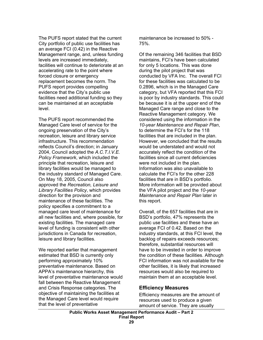The PUFS report stated that the current City portfolio of public use facilities has an average FCI (0.42) in the Reactive Management range, and, unless funding levels are increased immediately, facilities will continue to deteriorate at an accelerating rate to the point where forced closure or emergency replacement becomes the norm. The PUFS report provides compelling evidence that the City's public use facilities need additional funding so they can be maintained at an acceptable level.

The PUFS report recommended the Managed Care level of service for the ongoing preservation of the City's recreation, leisure and library service infrastructure. This recommendation reflects Council's direction; in January 2004, Council adopted the *A.C.T.I.V.E. Policy Framework*, which included the principle that recreation, leisure and library facilities would be managed to the industry standard of Managed Care. On May 18, 2005, Council also approved the *Recreation, Leisure and Library Facilities Policy*, which provides direction for the provision and maintenance of these facilities. The policy specifies a commitment to a managed care level of maintenance for all new facilities and, where possible, for existing facilities. The managed care level of funding is consistent with other jurisdictions in Canada for recreation, leisure and library facilities.

We reported earlier that management estimated that BSD is currently only performing approximately 10% preventative maintenance. Based on APPA's maintenance hierarchy, this level of preventative maintenance would fall between the Reactive Management and Crisis Response categories. The objective of maintaining the facilities at the Managed Care level would require that the level of preventative

maintenance be increased to 50% - 75%.

Of the remaining 346 facilities that BSD maintains, FCI's have been calculated for only 5 locations. This was done during the pilot project that was conducted by VFA Inc. The overall FCI for these facilities was calculated to be 0.2896, which is in the Managed Care category, but VFA reported that this FCI is poor by industry standards. This could be because it is at the upper end of the Managed Care range and close to the Reactive Management category. We considered using the information in the *10-year Maintenance and Repair Plan*, to determine the FCI's for the 118 facilities that are included in the plan. However, we concluded that the results would be understated and would not accurately reflect the condition of the facilities since all current deficiencies were not included in the plan. Information was also unavailable to calculate the FCI's for the other 228 facilities that are in BSD's portfolio. More information will be provided about the VFA pilot project and the *10-year Maintenance and Repair Plan* later in this report.

Overall, of the 657 facilities that are in BSD's portfolio, 47% represents the public use facilities and these have an average FCI of 0.42. Based on the industry standards, at this FCI level, the backlog of repairs exceeds resources; therefore, substantial resources will have to be invested in order to improve the condition of these facilities. Although FCI information was not available for the other facilities, it is likely that increased resources would also be required to maintain them at an acceptable level.

#### **Efficiency Measures**

Efficiency measures are the amount of resources used to produce a given amount of service. They are usually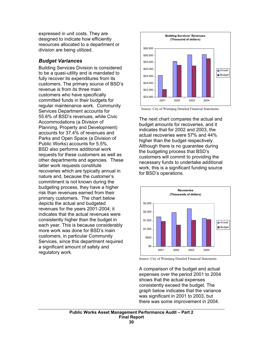expressed in unit costs. They are designed to indicate how efficiently resources allocated to a department or division are being utilized.

#### *Budget Variances*

Building Services Division is considered to be a quasi-utility and is mandated to fully recover its expenditures from its customers. The primary source of BSD's revenue is from its three main customers who have specifically committed funds in their budgets for regular maintenance work. Community Services Department accounts for 55.6% of BSD's revenues, while Civic Accommodations (a Division of Planning, Property and Development) accounts for 37.4% of revenues and Parks and Open Space (a Division of Public Works) accounts for 5.5%. BSD also performs additional work requests for these customers as well as other departments and agencies. These latter work requests constitute recoveries which are typically annual in nature and, because the customer's commitment is not known during the budgeting process, they have a higher risk than revenues earned from their primary customers. The chart below depicts the actual and budgeted revenues for the years 2001-2004; it indicates that the actual revenues were consistently higher than the budget in each year. This is because considerably more work was done for BSD's main customers, in particular Community Services, since this department required a significant amount of safety and regulatory work.



Source: City of Winnipeg Detailed Financial Statements

The next chart compares the actual and budget amounts for recoveries, and it indicates that for 2002 and 2003, the actual recoveries were 57% and 44% higher than the budget respectively. Although there is no guarantee during the budgeting process that BSD's customers will commit to providing the necessary funds to undertake additional work, this is a significant funding source for BSD's operations.



Source: City of Winnipeg Detailed Financial Statements

A comparison of the budget and actual expenses over the period 2001 to 2004 shows that the actual expenses consistently exceed the budget. The graph below indicates that the variance was significant in 2001 to 2003, but there was some improvement in 2004.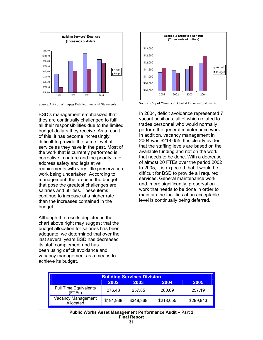

Source: City of Winnipeg Detailed Financial Statements

BSD's management emphasized that they are continually challenged to fulfill all their responsibilities due to the limited budget dollars they receive. As a result of this, it has become increasingly difficult to provide the same level of service as they have in the past. Most of the work that is currently performed is corrective in nature and the priority is to address safety and legislative requirements with very little preservation work being undertaken. According to management, the areas in the budget that pose the greatest challenges are salaries and utilities. These items continue to increase at a higher rate than the increases contained in the budget.

Although the results depicted in the chart above right may suggest that the budget allocation for salaries has been adequate, we determined that over the last several years BSD has decreased its staff complement and has been using deficit avoidance and vacancy management as a means to achieve its budget.



Source: City of Winnipeg Detailed Financial Statements

In 2004, deficit avoidance represented 7 vacant positions, all of which related to trades personnel who would normally perform the general maintenance work. In addition, vacancy management in 2004 was \$218,055. It is clearly evident that the staffing levels are based on the available funding and not on the work that needs to be done. With a decrease of almost 20 FTEs over the period 2002 to 2005, it is expected that it would be difficult for BSD to provide all required services**.** General maintenance work and, more significantly, preservation work that needs to be done in order to maintain the facilities at an acceptable level is continually being deferred.

| <b>Building Services Division</b>      |           |           |           |           |
|----------------------------------------|-----------|-----------|-----------|-----------|
|                                        | 2002      | 2003      | 2004      | 2005      |
| <b>Full Time Equivalents</b><br>(FTEs) | 276.43    | 257.85    | 260.69    | 257.19    |
| Vacancy Management<br>Allocated        | \$191,938 | \$348,368 | \$218,055 | \$299,943 |

#### **Public Works Asset Management Performance Audit – Part 2 Final Report**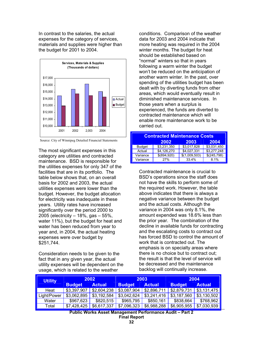In contrast to the salaries, the actual expenses for the category of services, materials and supplies were higher than the budget for 2001 to 2004.



Source: City of Winnipeg Detailed Financial Statements

The most significant expenses in this category are utilities and contracted maintenance. BSD is responsible for the utilities expenses for only 347 of the facilities that are in its portfolio. The table below shows that, on an overall basis for 2002 and 2003, the actual utilities expenses were lower than the budget. However, the budget allocation for electricity was inadequate in these years. Utility rates have increased significantly over the period 2000 to 2005 (electricity – 18%, gas – 55%, water 11%), but the budget for heat and water has been reduced from year to year and, in 2004, the actual heating expenses were over budget by \$251,744.

Consideration needs to be given to the fact that in any given year, the actual utility expenses will be dependent on the usage, which is related to the weather

conditions. Comparison of the weather data for 2003 and 2004 indicate that more heating was required in the 2004 winter months. The budget for heat should be established based on "normal" winters so that in years following a warm winter the budget won't be reduced on the anticipation of another warm winter. In the past, over spending of the utilities budget has been dealt with by diverting funds from other areas, which would eventually result in diminished maintenance services. In those years when a surplus is experienced, the funds are diverted to contracted maintenance which will enable more maintenance work to be carried out.

| <b>Contracted Maintenance Costs</b> |              |               |             |  |
|-------------------------------------|--------------|---------------|-------------|--|
|                                     | 2002         | 2003          | 2004        |  |
| <b>Budget</b>                       | \$3,231,350  | \$3,017,828   | \$3,031,450 |  |
| Actual                              | \$4,126,270  | \$4,027,331   | \$3,277,248 |  |
| Variance                            | \$(894, 920) | \$(1,009,503) | \$(245,798) |  |
| Variance                            | 27%          | 33.4%         | 8.1%        |  |

Contracted maintenance is crucial to BSD's operations since the staff does not have the skills to perform some of the required work. However, the table above indicates that there is always a negative variance between the budget and the actual costs. Although the variance in 2004 was only 8.1%, the amount expended was 18.6% less than the prior year. The combination of the decline in available funds for contracting and the escalating costs to contract out has forced BSD to control the amount of work that is contracted out. The emphasis is on specialty areas where there is no choice but to contract out; the result is that the level of service will be decreased and the maintenance backlog will continually increase.

| <b>Utility</b> | 2002          |               | 2003          |               | 2004          |               |
|----------------|---------------|---------------|---------------|---------------|---------------|---------------|
|                | <b>Budget</b> | <b>Actual</b> | <b>Budget</b> | <b>Actual</b> | <b>Budget</b> | <b>Actual</b> |
| Heat           | \$3,397,907   | \$2,604,238   | \$3,087,904   | \$2,896,711   | \$2,879,731   | \$3,131,475   |
| Light/Power    | \$3,062,895   | \$3,192,584   | \$3,042,624   | \$3,241,416   | \$3,187,560   | \$3,130,502   |
| Water          | \$967,623     | \$820,515     | \$965,795     | \$850,161     | \$838,664     | \$768,962     |
| Total          | \$7,428,425   | \$6,617,337   | \$7,096,323   | \$6,988,288   | \$6,905,955   | \$7,030,939   |

**Public Works Asset Management Performance Audit – Part 2** 

| <b>Final Report</b> |
|---------------------|
| 32                  |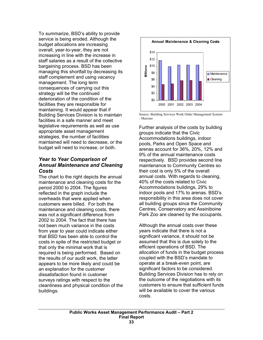To summarize, BSD's ability to provide service is being eroded. Although the budget allocations are increasing overall, year-to-year, they are not increasing in line with the increase in staff salaries as a result of the collective bargaining process. BSD has been managing this shortfall by decreasing its staff complement and using vacancy management. The long term consequences of carrying out this strategy will be the continued deterioration of the condition of the facilities they are responsible for maintaining. It would appear that if Building Services Division is to maintain facilities in a safe manner and meet legislative requirements as well as use appropriate asset management strategies, the number of facilities maintained will need to decrease, or the budget will need to increase, or both.

#### *Year to Year Comparison of Annual Maintenance and Cleaning Costs*

The chart to the right depicts the annual maintenance and cleaning costs for the period 2000 to 2004. The figures reflected in the graph include the overheads that were applied when customers were billed. For both the maintenance and cleaning costs, there was not a significant difference from 2002 to 2004. The fact that there has not been much variance in the costs from year to year could indicate either that BSD has been able to control the costs in spite of the restricted budget or that only the minimal work that is required is being performed. Based on the results of our audit work, the latter appears to be more likely and could be an explanation for the customer dissatisfaction found in customer surveys ratings with respect to the cleanliness and physical condition of the buildings.



Source: Building Services Work Order Management System - Maximo

Further analysis of the costs by building groups indicate that the Civic Accommodations buildings, indoor pools, Parks and Open Space and arenas account for 36%, 20%, 12% and 9% of the annual maintenance costs respectively. BSD provides second line maintenance to Community Centres so their cost is only 5% of the overall annual costs. With regards to cleaning, 40% of the costs related to Civic Accommodations buildings, 29% to indoor pools and 17% to arenas. BSD's responsibility in this area does not cover all building groups since the Community Centres, Conservatory and Assiniboine Park Zoo are cleaned by the occupants.

Although the annual costs over these years indicate that there is not a significant variance, it should not be assumed that this is due solely to the efficient operations of BSD. The allocation of funds in the budget process coupled with the BSD's mandate to operate at a break-even point, are significant factors to be considered. Building Services Division has to rely on the outcome of the negotiations with its customers to ensure that sufficient funds will be available to cover the various costs.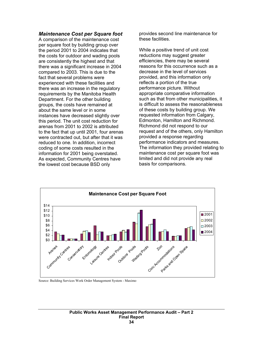#### *Maintenance Cost per Square foot*

A comparison of the maintenance cost per square foot by building group over the period 2001 to 2004 indicates that the costs for outdoor and wading pools are consistently the highest and that there was a significant increase in 2004 compared to 2003. This is due to the fact that several problems were experienced with these facilities and there was an increase in the regulatory requirements by the Manitoba Health Department. For the other building groups, the costs have remained at about the same level or in some instances have decreased slightly over this period. The unit cost reduction for arenas from 2001 to 2002 is attributed to the fact that up until 2001, four arenas were contracted out, but after that it was reduced to one. In addition, incorrect coding of some costs resulted in the information for 2001 being overstated. As expected, Community Centres have the lowest cost because BSD only

provides second line maintenance for these facilities.

While a positive trend of unit cost reductions may suggest greater efficiencies, there may be several reasons for this occurrence such as a decrease in the level of services provided, and this information only reflects a portion of the true performance picture. Without appropriate comparative information such as that from other municipalities, it is difficult to assess the reasonableness of these costs by building group. We requested information from Calgary, Edmonton, Hamilton and Richmond. Richmond did not respond to our request and of the others, only Hamilton provided a response regarding performance indicators and measures. The information they provided relating to maintenance cost per square foot was limited and did not provide any real basis for comparisons.



Source: Building Services Work Order Management System - Maximo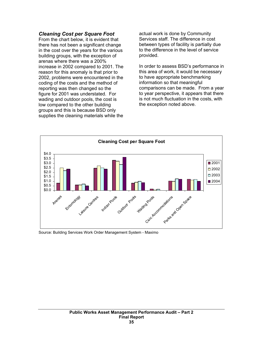#### *Cleaning Cost per Square Foot*

From the chart below, it is evident that there has not been a significant change in the cost over the years for the various building groups, with the exception of arenas where there was a 200% increase in 2002 compared to 2001. The reason for this anomaly is that prior to 2002, problems were encountered in the coding of the costs and the method of reporting was then changed so the figure for 2001 was understated. For wading and outdoor pools, the cost is low compared to the other building groups and this is because BSD only supplies the cleaning materials while the

actual work is done by Community Services staff. The difference in cost between types of facility is partially due to the difference in the level of service provided.

In order to assess BSD's performance in this area of work, it would be necessary to have appropriate benchmarking information so that meaningful comparisons can be made. From a year to year perspective, it appears that there is not much fluctuation in the costs, with the exception noted above.



Source: Building Services Work Order Management System - Maximo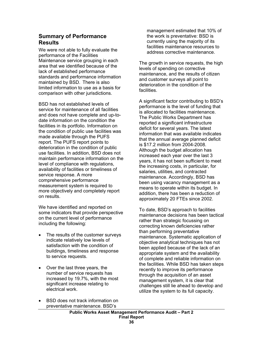## **Summary of Performance Results**

We were not able to fully evaluate the performance of the Facilities Maintenance service grouping in each area that we identified because of the lack of established performance standards and performance information maintained by BSD. There is also limited information to use as a basis for comparison with other jurisdictions.

BSD has not established levels of service for maintenance of all facilities and does not have complete and up-todate information on the condition the facilities in its portfolio. Information on the condition of public use facilities was made available through the PUFS report. The PUFS report points to deterioration in the condition of public use facilities. In addition, BSD does not maintain performance information on the level of compliance with regulations, availability of facilities or timeliness of service response. A more comprehensive performance measurement system is required to more objectively and completely report on results.

We have identified and reported on some indicators that provide perspective on the current level of performance including the following:

- The results of the customer surveys indicate relatively low levels of satisfaction with the condition of buildings, timeliness and response to service requests.
- Over the last three years, the number of service requests has increased by 19.7%, with the most significant increase relating to electrical work.

• BSD does not track information on preventative maintenance. BSD's

management estimated that 10% of the work is preventative: BSD is currently using the majority of its facilities maintenance resources to address corrective maintenance.

The growth in service requests, the high levels of spending on corrective maintenance, and the results of citizen and customer surveys all point to deterioration in the condition of the facilities.

A significant factor contributing to BSD's performance is the level of funding that is allocated to facilities maintenance. The Public Works Department has reported a significant infrastructure deficit for several years. The latest information that was available indicates that the annual average planned deficit is \$17.2 million from 2004-2008. Although the budget allocation has increased each year over the last 3 years, it has not been sufficient to meet the increasing costs, in particular, for salaries, utilities, and contracted maintenance. Accordingly, BSD has been using vacancy management as a means to operate within its budget. In addition, there has been a reduction of approximately 20 FTEs since 2002.

To date, BSD's approach to facilities maintenance decisions has been tactical rather than strategic focussing on correcting known deficiencies rather than performing preventative maintenance. Systematic application of objective analytical techniques has not been applied because of the lack of an appropriate system and the availability of complete and reliable information on the facilities. While BSD has taken steps recently to improve its performance through the acquisition of an asset management system, it is clear that challenges still lie ahead to develop and utilize the system to its full capacity.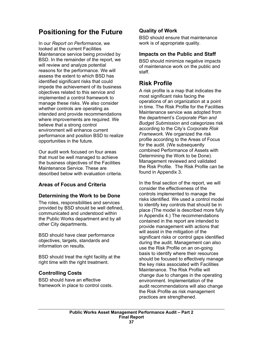# **Positioning for the Future**

In our *Report on Performance*, we looked at the current Facilities Maintenance service being provided by BSD. In the remainder of the report, we will review and analyze potential reasons for the performance. We will assess the extent to which BSD has identified significant risks that could impede the achievement of its business objectives related to this service and implemented a control framework to manage these risks. We also consider whether controls are operating as intended and provide recommendations where improvements are required. We believe that a strong control environment will enhance current performance and position BSD to realize opportunities in the future.

Our audit work focused on four areas that must be well managed to achieve the business objectives of the Facilities Maintenance Service. These are described below with evaluation criteria.

## **Areas of Focus and Criteria**

## **Determining the Work to be Done**

The roles, responsibilities and services provided by BSD should be well defined, communicated and understood within the Public Works department and by all other City departments.

BSD should have clear performance objectives, targets, standards and information on results.

BSD should treat the right facility at the right time with the right treatment.

## **Controlling Costs**

BSD should have an effective framework in place to control costs.

## **Quality of Work**

BSD should ensure that maintenance work is of appropriate quality.

## **Impacts on the Public and Staff**

BSD should minimize negative impacts of maintenance work on the public and staff.

## **Risk Profile**

A risk profile is a map that indicates the most significant risks facing the operations of an organization at a point in time. The Risk Profile for the Facilities Maintenance service was adopted from the department's *Corporate Plan and Budget Submission* and categorizes risk according to the City's *Corporate Risk Framework.* We organized the risk profile according to the Areas of Focus for the audit. (We subsequently combined Performance of Assets with Determining the Work to be Done). Management reviewed and validated the Risk Profile. The Risk Profile can be found in Appendix 3.

In the final section of the report, we will consider the effectiveness of the controls implemented to manage the risks identified. We used a control model to identify key controls that should be in place (The model is described more fully in Appendix 4.) The recommendations contained in the report are intended to provide management with actions that will assist in the mitigation of the significant risks or control gaps identified during the audit. Management can also use the Risk Profile on an on-going basis to identify where their resources should be focused to effectively manage the key risks associated with Facilities Maintenance. The Risk Profile will change due to changes in the operating environment. Implementation of the audit recommendations will also change the Risk Profile as risk management practices are strengthened.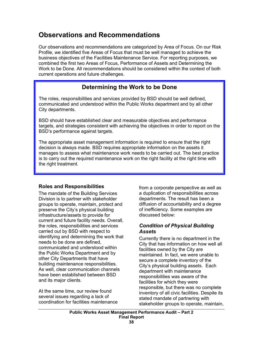# **Observations and Recommendations**

Our observations and recommendations are categorized by Area of Focus. On our Risk Profile, we identified five Areas of Focus that must be well managed to achieve the business objectives of the Facilities Maintenance Service. For reporting purposes, we combined the first two Areas of Focus, Performance of Assets and Determining the Work to be Done. All recommendations should be considered within the context of both current operations and future challenges.

# **Determining the Work to be Done Determining the Work to be Done**

The roles, responsibilities and services provided by BSD should be well defined, communicated and understood within the Public Works department and by all other City departments.

BSD should have established clear and measurable objectives and performance targets, and strategies consistent with achieving the objectives in order to report on the BSD's performance against targets.

The appropriate asset management information is required to ensure that the right decision is always made. BSD requires appropriate information on the assets it manages to assess what maintenance work needs to be carried out. The best practice is to carry out the required maintenance work on the right facility at the right time with the right treatment.

## **Roles and Responsibilities**

The mandate of the Building Services Division is to partner with stakeholder groups to operate, maintain, protect and preserve the City's physical building infrastructure/assets to provide for current and future facility needs. Overall, the roles, responsibilities and services carried out by BSD with respect to identifying and determining the work that needs to be done are defined, communicated and understood within the Public Works Department and by other City Departments that have building maintenance responsibilities. As well, clear communication channels have been established between BSD and its major clients.

At the same time, our review found several issues regarding a lack of coordination for facilities maintenance from a corporate perspective as well as a duplication of responsibilities across departments. The result has been a diffusion of accountability and a degree of inefficiency. Some examples are discussed below:

## *Condition of Physical Building Assets*

Currently there is no department in the City that has information on how well all facilities owned by the City are maintained. In fact, we were unable to secure a complete inventory of the City's physical building assets. Each department with maintenance responsibilities was aware of the facilities for which they were responsible, but there was no complete inventory of all civic facilities. Despite its stated mandate of partnering with stakeholder groups to operate, maintain,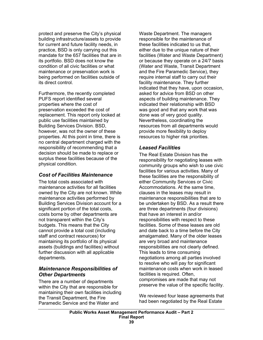protect and preserve the City's physical building infrastructure/assets to provide for current and future facility needs, in practice, BSD is only carrying out this mandate for the 657 facilities that are in its portfolio. BSD does not know the condition of all civic facilities or what maintenance or preservation work is being performed on facilities outside of its direct control.

Furthermore, the recently completed PUFS report identified several properties where the cost of preservation exceeded the cost of replacement. This report only looked at public use facilities maintained by Building Services Division. BSD, however, was not the owner of these properties. At this point in time, there is no central department charged with the responsibility of recommending that a decision should be made to replace or surplus these facilities because of the physical condition.

## *Cost of Facilities Maintenance*

The total costs associated with maintenance activities for all facilities owned by the City are not known. While maintenance activities performed by Building Services Division account for a significant portion of the total costs, costs borne by other departments are not transparent within the City's budgets. This means that the City cannot provide a total cost (including staff and contract resources) for maintaining its portfolio of its physical assets (buildings and facilities) without further discussion with all applicable departments.

## *Maintenance Responsibilities of Other Departments*

There are a number of departments within the City that are responsible for maintaining their own facilities including the Transit Department, the Fire Paramedic Service and the Water and

Waste Department. The managers responsible for the maintenance of these facilities indicated to us that, either due to the unique nature of their facilities (Water and Waste Department) or because they operate on a 24/7 basis (Water and Waste, Transit Department and the Fire Paramedic Service), they require internal staff to carry out their facility maintenance. They further indicated that they have, upon occasion, asked for advice from BSD on other aspects of building maintenance. They indicated their relationship with BSD was good and that any work that was done was of very good quality. Nevertheless, coordinating the resources from all departments would provide more flexibility to deploy resources to higher risk priorities.

## *Leased Facilities*

The Real Estate Division has the responsibility for negotiating leases with community groups who wish to use civic facilities for various activities. Many of these facilities are the responsibility of either Community Services or Civic Accommodations. At the same time, clauses in the leases may result in maintenance responsibilities that are to be undertaken by BSD. As a result there are three departments (four divisions) that have an interest in and/or responsibilities with respect to these facilities. Some of these leases are old and date back to a time before the City amalgamated. Many of the older leases are very broad and maintenance responsibilities are not clearly defined. This leads to time consuming negotiations among all parties involved to resolve who will pay for significant maintenance costs when work in leased facilities is required. Often, compromises are made that may not preserve the value of the specific facility.

We reviewed four lease agreements that had been negotiated by the Real Estate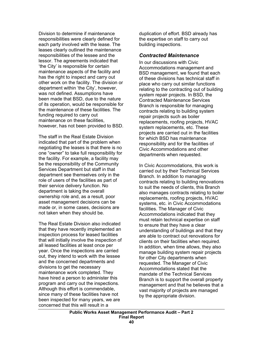Division to determine if maintenance responsibilities were clearly defined for each party involved with the lease. The leases clearly outlined the maintenance responsibilities of the lessee and the lessor. The agreements indicated that 'the City' is responsible for certain maintenance aspects of the facility and has the right to inspect and carry out other work on the facility. The division or department within 'the City', however, was not defined. Assumptions have been made that BSD, due to the nature of its operation, would be responsible for the maintenance of these facilities. The funding required to carry out maintenance on these facilities, however, has not been provided to BSD.

The staff in the Real Estate Division indicated that part of the problem when negotiating the leases is that there is no one "owner" to take full responsibility for the facility. For example, a facility may be the responsibility of the Community Services Department but staff in that department see themselves only in the role of users of the facilities as part of their service delivery function. No department is taking the overall ownership role and, as a result, poor asset management decisions can be made or, in some cases, decisions are not taken when they should be.

The Real Estate Division also indicated that they have recently implemented an inspection process for leased facilities that will initially involve the inspection of all leased facilities at least once per year. Once the inspections are carried out, they intend to work with the lessee and the concerned departments and divisions to get the necessary maintenance work completed. They have hired a person to administer this program and carry out the inspections. Although this effort is commendable, since many of these facilities have not been inspected for many years, we are concerned that this will result in a

duplication of effort. BSD already has the expertise on staff to carry out building inspections.

## *Contracted Maintenance*

In our discussions with Civic Accommodations management and BSD management, we found that each of these divisions has technical staff in place who carry out similar functions relating to the contracting out of building system repair projects. In BSD, the Contracted Maintenance Services Branch is responsible for managing contracts relating to building system repair projects such as boiler replacements, roofing projects, HVAC system replacements, etc. These projects are carried out in the facilities for which BSD has maintenance responsibility and for the facilities of Civic Accommodations and other departments when requested.

In Civic Accommodations, this work is carried out by their Technical Services Branch. In addition to managing contracts relating to building renovations to suit the needs of clients, this Branch also manages contracts relating to boiler replacements, roofing projects, HVAC systems, etc. in Civic Accommodations facilities. The Manager of Civic Accommodations indicated that they must retain technical expertise on staff to ensure that they have a clear understanding of buildings and that they are able to contract out renovations for clients on their facilities when required. In addition, when time allows, they also manage building system repair projects for other City departments when requested. The Manager of Civic Accommodations stated that the mandate of the Technical Services Branch is to support the overall property management and that he believes that a vast majority of projects are managed by the appropriate division.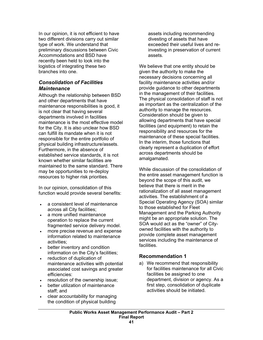In our opinion, it is not efficient to have two different divisions carry out similar type of work. We understand that preliminary discussions between Civic Accommodations and BSD have recently been held to look into the logistics of integrating these two branches into one.

## *Consolidation of Facilities Maintenance*

Although the relationship between BSD and other departments that have maintenance responsibilities is good, it is not clear that having several departments involved in facilities maintenance is the most effective model for the City. It is also unclear how BSD can fulfill its mandate when it is not responsible for the entire portfolio of physical building infrastructure/assets. Furthermore, in the absence of established service standards, it is not known whether similar facilities are maintained to the same standard. There may be opportunities to re-deploy resources to higher risk priorities.

In our opinion, consolidation of this function would provide several benefits:

- a consistent level of maintenance across all City facilities;
- a more unified maintenance operation to replace the current fragmented service delivery model.
- more precise revenue and expense information related to maintenance activities;
- better inventory and condition information on the City's facilities;
- reduction of duplication of maintenance activities with potential associated cost savings and greater efficiencies:
- resolution of the ownership issue;
- better utilization of maintenance staff; and
- clear accountability for managing the condition of physical building

assets including recommending divesting of assets that have exceeded their useful lives and reinvesting in preservation of current assets.

We believe that one entity should be given the authority to make the necessary decisions concerning all facility maintenance activities and/or provide guidance to other departments in the management of their facilities. The physical consolidation of staff is not as important as the centralization of the authority to manage the resources. Consideration should be given to allowing departments that have special facilities (and equipment) to retain the responsibility and resources for the maintenance of these special facilities. In the interim, those functions that clearly represent a duplication of effort across departments should be amalgamated.

While discussion of the consolidation of the entire asset management function is beyond the scope of this audit, we believe that there is merit in the rationalization of all asset management activities. The establishment of a Special Operating Agency (SOA) similar to those established for Fleet Management and the Parking Authority might be an appropriate solution. The SOA would act as the "owner" of Cityowned facilities with the authority to provide complete asset management services including the maintenance of facilities.

## **Recommendation 1**

a) We recommend that responsibility for facilities maintenance for all Civic facilities be assigned to one department, division or agency. As a first step, consolidation of duplicate activities should be initiated.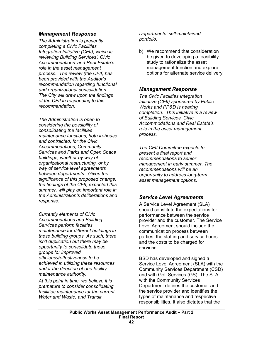#### *Management Response*

*The Administration is presently completing a Civic Facilities Integration Initiative (CFII), which is reviewing Building Services', Civic Accommodations' and Real Estate's role in the asset management process. The review (the CFII) has been provided with the Auditor's recommendation regarding functional and organizational consolidation. The City will draw upon the findings of the CFII in responding to this recommendation.* 

*The Administration is open to considering the possibility of consolidating the facilities maintenance functions, both in-house and contracted, for the Civic Accommodations, Community Services and Parks and Open Space buildings, whether by way of organizational restructuring, or by way of service level agreements between departments. Given the significance of this proposed change, the findings of the CFII, expected this summer, will play an important role in the Administration's deliberations and response.* 

*Currently elements of Civic Accommodations and Building Services perform facilities maintenance for different buildings in these building groups. As such, there isn't duplication but there may be opportunity to consolidate these groups for improved efficiency/effectiveness to be achieved in utilizing these resources under the direction of one facility maintenance authority.* 

*At this point in time, we believe it is premature to consider consolidating facilities maintenance for the current Water and Waste, and Transit* 

#### *Departments' self-maintained portfolio.*

b) We recommend that consideration be given to developing a feasibility study to rationalize the asset management function and explore options for alternate service delivery.

#### *Management Response*

*The Civic Facilities Integration Initiative (CFII) sponsored by Public Works and PP&D is nearing completion. This initiative is a review of Building Services, Civic Accommodations and Real Estate's role in the asset management process.* 

*The CFII Committee expects to present a final report and recommendations to senior management in early summer. The recommendations will be an opportunity to address long-term asset management options.* 

## *Service Level Agreements*

A Service Level Agreement (SLA) should constitute the expectations for performance between the service provider and the customer. The Service Level Agreement should include the communication process between parties, the staffing and service hours and the costs to be charged for services.

BSD has developed and signed a Service Level Agreement (SLA) with the Community Services Department (CSD) and with Golf Services (GS). The SLA with the Community Services Department defines the customer and the service provider and identifies the types of maintenance and respective responsibilities. It also dictates that the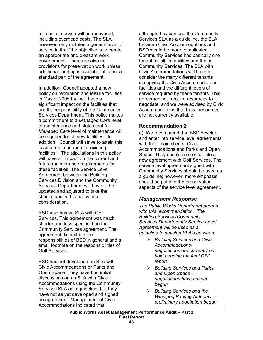full cost of service will be recovered, including overhead costs. The SLA, however, only dictates a general level of service in that "the objective is to create an appropriate and pleasant work environment". There are also no provisions for preservation work unless additional funding is available; it is not a standard part of the agreement.

In addition, Council adopted a new policy on recreation and leisure facilities in May of 2005 that will have a significant impact on the facilities that are the responsibility of the Community Services Department. This policy makes a commitment to a *Managed Care* level of maintenance and states that "a *Managed Care* level of maintenance will be required for all new facilities." In addition, "Council will strive to attain this level of maintenance for existing facilities." The stipulations in this policy will have an impact on the current and future maintenance requirements for these facilities. The Service Level Agreement between the Building Services Division and the Community Services Department will have to be updated and adjusted to take the stipulations in this policy into consideration.

BSD also has an SLA with Golf Services. This agreement was much shorter and less specific than the Community Services agreement. The agreement did include the responsibilities of BSD in general and a small footnote on the responsibilities of Golf Services.

BSD has not developed an SLA with Civic Accommodations or Parks and Open Space. They have had initial discussions on an SLA with Civic Accommodations using the Community Services SLA as a guideline, but they have not as yet developed and signed an agreement. Management of Civic Accommodations indicated that

although they can use the Community Services SLA as a guideline, the SLA between Civic Accommodations and BSD would be more complicated. Community Services has basically one tenant for all its facilities and that is Community Services. The SLA with Civic Accommodations will have to consider the many different tenants occupying the Civic Accommodations' facilities and the different levels of service required by these tenants. This agreement will require resources to negotiate, and we were advised by Civic Accommodations that these resources are not currently available.

## **Recommendation 2**

a) We recommend that BSD develop and enter into service level agreements with their main clients, Civic Accommodations and Parks and Open Space. They should also enter into a new agreement with Golf Services. The service level agreement signed with Community Services should be used as a guideline; however, more emphasis should be put into the preservation aspects of the service level agreement.

## *Management Response*

*The Public Works Department agrees with this recommendation. The Building Services/Community Services Department's Service Level Agreement will be used as a guideline to develop SLA's between:* 

- ¾ *Building Services and Civic Accommodationsnegotiations are currently on hold pending the final CFII report*
- ¾ *Building Services and Parks and Open Space – negotiations have not yet begun*
- ¾ *Building Services and the Winnipeg Parking Authority – preliminary negotiation began*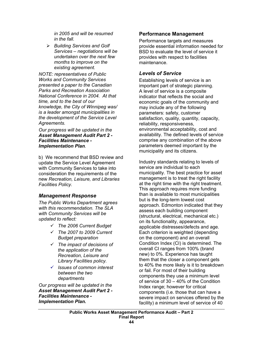*in 2005 and will be resumed in the fall.* 

¾ *Building Services and Golf Services – negotiations will be undertaken over the next few months to improve on the existing agreement.* 

*NOTE: representatives of Public Works and Community Services presented a paper to the Canadian Parks and Recreation Association National Conference in 2004. At that time, and to the best of our knowledge, the City of Winnipeg was/ is a leader amongst municipalities in the development of the Service Level Agreements.* 

*Our progress will be updated in the Asset Management Audit Part 2 - Facilities Maintenance - Implementation Plan.*

b) We recommend that BSD review and update the Service Level Agreement with Community Services to take into consideration the requirements of the new *Recreation, Leisure, and Libraries Facilities Policy.* 

## *Management Response*

*The Public Works Department agrees with this recommendation. The SLA with Community Services will be updated to reflect:* 

- 9 *The 2006 Current Budget*
- 9 *The 2007 to 2009 Current Budget preparation*
- 9 *The impact of decisions of the application of the Recreation, Leisure and Library Facilities policy.*
- 9 *Issues of common interest between the two departments*

*Our progress will be updated in the Asset Management Audit Part 2 - Facilities Maintenance - Implementation Plan.*

## **Performance Management**

Performance targets and measures provide essential information needed for BSD to evaluate the level of service it provides with respect to facilities maintenance.

## *Levels of Service*

Establishing levels of service is an important part of strategic planning. A level of service is a composite indicator that reflects the social and economic goals of the community and may include any of the following parameters: safety, customer satisfaction, quality, quantity, capacity, reliability, responsiveness, environmental acceptability, cost and availability. The defined levels of service comprise any combination of the above parameters deemed important by the municipality and its citizens.

Industry standards relating to levels of service are individual to each municipality. The best practice for asset management is to treat the right facility at the right time with the right treatment. This approach requires more funding than is available to most municipalities but is the long-term lowest cost approach. Edmonton indicated that they assess each building component (structural, electrical, mechanical etc.) on its functionality, appearance, applicable distresses/defects and age. Each criterion is weighted (depending on the component) and an overall Condition Index (CI) is determined. The overall CI ranges from 100% (brand new) to 0%. Experience has taught them that the closer a component gets to 40% the more likely is it to breakdown or fail. For most of their building components they use a minimum level of service of 30 – 40% of the Condition Index range; however for critical components (i.e. those that can have a severe impact on services offered by the facility) a minimum level of service of 40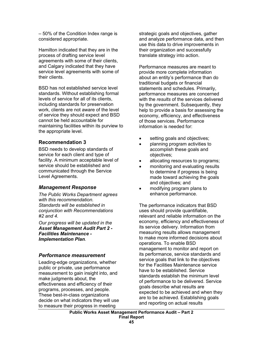– 50% of the Condition Index range is considered appropriate.

Hamilton indicated that they are in the process of drafting service level agreements with some of their clients, and Calgary indicated that they have service level agreements with some of their clients.

BSD has not established service level standards. Without establishing formal levels of service for all of its clients, including standards for preservation work, clients are not aware of the level of service they should expect and BSD cannot be held accountable for maintaining facilities within its purview to the appropriate level.

## **Recommendation 3**

BSD needs to develop standards of service for each client and type of facility. A minimum acceptable level of service should be established and communicated through the Service Level Agreements.

## *Management Response*

*The Public Works Department agrees with this recommendation. Standards will be established in conjunction with Recommendations #2 and 4.* 

*Our progress will be updated in the Asset Management Audit Part 2 - Facilities Maintenance - Implementation Plan.* 

#### *Performance measurement*

Leading-edge organizations, whether public or private, use performance measurement to gain insight into, and make judgments about, the effectiveness and efficiency of their programs, processes, and people. These best-in-class organizations decide on what indicators they will use to measure their progress in meeting

strategic goals and objectives, gather and analyze performance data, and then use this data to drive improvements in their organization and successfully translate strategy into action.

Performance measures are meant to provide more complete information about an entity's performance than do traditional budgets or financial statements and schedules. Primarily, performance measures are concerned with the *results* of the services delivered by the government. Subsequently, they help to provide a basis for assessing the economy, efficiency, and effectiveness of those services. Performance information is needed for:

- setting goals and objectives;
- planning program activities to accomplish these goals and objectives;
- allocating resources to programs;
- monitoring and evaluating results to determine if progress is being made toward achieving the goals and objectives; and
- modifying program plans to enhance performance.

The performance indicators that BSD uses should provide quantifiable, relevant and reliable information on the economy, efficiency and effectiveness of its service delivery. Information from measuring results allows management to make more informed decisions about operations. To enable BSD management to monitor and report on its performance, service standards and service goals that link to the objectives for the Facilities Maintenance service have to be established. Service standards establish the minimum level of performance to be delivered. Service goals describe what results are expected to be achieved and when they are to be achieved. Establishing goals and reporting on actual results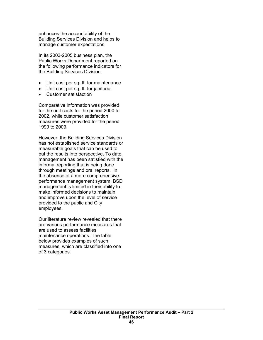enhances the accountability of the Building Services Division and helps to manage customer expectations.

In its 2003-2005 business plan, the Public Works Department reported on the following performance indicators for the Building Services Division:

- Unit cost per sq. ft. for maintenance
- Unit cost per sq. ft. for janitorial
- Customer satisfaction

Comparative information was provided for the unit costs for the period 2000 to 2002, while customer satisfaction measures were provided for the period 1999 to 2003.

However, the Building Services Division has not established service standards or measurable goals that can be used to put the results into perspective. To date, management has been satisfied with the informal reporting that is being done through meetings and oral reports. In the absence of a more comprehensive performance management system, BSD management is limited in their ability to make informed decisions to maintain and improve upon the level of service provided to the public and City employees.

Our literature review revealed that there are various performance measures that are used to assess facilities maintenance operations. The table below provides examples of such measures, which are classified into one of 3 categories.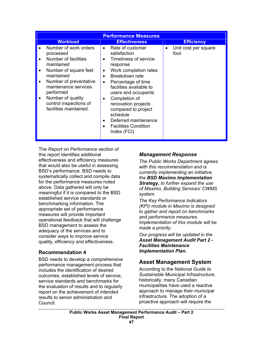| <b>Workload</b>                                                                                                                                                                                                                                         | <b>Performance Measures</b><br><b>Effectiveness</b>                                                                                                                                                                                                                                                                                                    | <b>Efficiency</b>                         |
|---------------------------------------------------------------------------------------------------------------------------------------------------------------------------------------------------------------------------------------------------------|--------------------------------------------------------------------------------------------------------------------------------------------------------------------------------------------------------------------------------------------------------------------------------------------------------------------------------------------------------|-------------------------------------------|
| Number of work orders<br>processed<br>Number of facilities<br>maintained<br>Number of square feet<br>maintained<br>Number of preventative<br>maintenance services<br>performed<br>Number of quality<br>control inspections of<br>facilities maintained. | Rate of customer<br>satisfaction<br>Timeliness of service<br>response<br>Work completion rates<br>$\bullet$<br>Breakdown rate<br>Percentage of time<br>facilities available to<br>users and occupants<br>Completion of<br>renovation projects<br>compared to project<br>schedule<br>Deferred maintenance<br><b>Facilities Condition</b><br>Index (FCI) | Unit cost per square<br>$\bullet$<br>foot |

The *Report on Performance* section of this report identifies additional effectiveness and efficiency measures that would also be useful in assessing BSD's performance. BSD needs to systematically collect and compile data for the performance measures noted above. Data gathered will only be meaningful if it is compared to the BSD established service standards or benchmarking information. The appropriate set of performance measures will provide important operational feedback that will challenge BSD management to assess the adequacy of the services and to consider ways to improve service quality, efficiency and effectiveness.

## **Recommendation 4**

BSD needs to develop a comprehensive performance management process that includes the identification of desired outcomes, established levels of service, service standards and benchmarks for the evaluation of results and to regularly report on the achievement of intended results to senior administration and Council.

## *Management Response*

*The Public Works Department agrees with this recommendation and is currently implementing an initiative, the BSD Maximo Implementation Strategy, to further expand the use of Maximo, Building Services' CWMS system.* 

*The Key Performance Indicators (KPI) module in Maximo is designed to gather and report on benchmarks and performance measures. Implementation of this module will be made a priority.* 

*Our progress will be updated in the Asset Management Audit Part 2 - Facilities Maintenance Implementation Plan.* 

## **Asset Management System**

According to the *National Guide to Sustainable Municipal Infrastructure*, historically, many Canadian municipalities have used a reactive approach to manage their municipal infrastructure. The adoption of a proactive approach will require the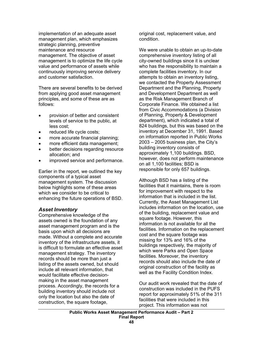implementation of an adequate asset management plan, which emphasizes strategic planning, preventive maintenance and resource management. The objective of asset management is to optimize the life cycle value and performance of assets while continuously improving service delivery and customer satisfaction.

There are several benefits to be derived from applying good asset management principles, and some of these are as follows:

- provision of better and consistent levels of service to the public, at less cost;
- reduced life cycle costs;
- more accurate financial planning;
- more efficient data management;
- better decisions regarding resource allocation; and
- improved service and performance.

Earlier in the report, we outlined the key components of a typical asset management system. The discussion below highlights some of these areas which we consider to be critical to enhancing the future operations of BSD.

## *Asset Inventory*

Comprehensive knowledge of the assets owned is the foundation of any asset management program and is the basis upon which all decisions are made. Without a complete and accurate inventory of the infrastructure assets, it is difficult to formulate an effective asset management strategy. The inventory records should be more than just a listing of the assets owned, but should include all relevant information, that would facilitate effective decisionmaking in the asset management process. Accordingly, the records for a building inventory should include not only the location but also the date of construction, the square footage,

original cost, replacement value, and condition.

We were unable to obtain an up-to-date comprehensive inventory listing of all city-owned buildings since it is unclear who has the responsibility to maintain a complete facilities inventory. In our attempts to obtain an inventory listing, we contacted the Property Assessment Department and the Planning, Property and Development Department as well as the Risk Management Branch of Corporate Finance. We obtained a list from Civic Accommodations (a Division of Planning, Property & Development department), which indicated a total of 824 buildings, but this was based on the inventory at December 31, 1991. Based on information reported in Public Works 2003 – 2005 business plan, the City's building inventory consists of approximately 1,100 buildings. BSD, however, does not perform maintenance on all 1,100 facilities; BSD is responsible for only 657 buildings.

Although BSD has a listing of the facilities that it maintains, there is room for improvement with respect to the information that is included in the list. Currently, the Asset Management List includes information on the location, use of the building, replacement value and square footage. However, this information is not available for all the facilities. Information on the replacement cost and the square footage was missing for 13% and 16% of the buildings respectively, the majority of which were Parks and Open Space facilities. Moreover, the inventory records should also include the date of original construction of the facility as well as the Facility Condition Index.

Our audit work revealed that the date of construction was included in the PUFS report for approximately 51% of the 311 facilities that were included in this project. This information was not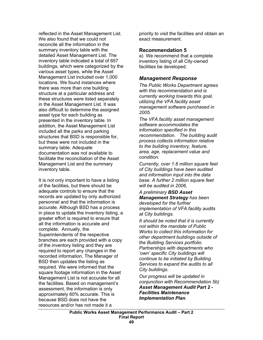reflected in the Asset Management List. We also found that we could not reconcile all the information in the summary inventory table with the detailed Asset Management List. The inventory table indicated a total of 657 buildings, which were categorized by the various asset types, while the Asset Management List included over 1,000 locations. We found instances where there was more than one building structure at a particular address and these structures were listed separately in the Asset Management List. It was also difficult to determine the assigned asset type for each building as presented in the inventory table. In addition, the Asset Management List included all the parks and parking structures that BSD is responsible for, but these were not included in the summary table. Adequate documentation was not available to facilitate the reconciliation of the Asset Management List and the summary inventory table.

It is not only important to have a listing of the facilities, but there should be adequate controls to ensure that the records are updated by only authorized personnel and that the information is accurate. Although BSD has a process in place to update the inventory listing, a greater effort is required to ensure that all the information is accurate and complete. Annually, the Superintendents of the respective branches are each provided with a copy of the inventory listing and they are required to report any changes in the recorded information. The Manager of BSD then updates the listing as required. We were informed that the square footage information in the Asset Management List is not accurate for all the facilities. Based on management's assessment, the information is only approximately 60% accurate. This is because BSD does not have the resources and/or has not made it a

priority to visit the facilities and obtain an exact measurement.

#### **Recommendation 5**

a) We recommend that a complete inventory listing of all City-owned facilities be developed.

#### *Management Response*

*The Public Works Department agrees with this recommendation and is currently working towards this goal, utilizing the VFA.facility asset management software purchased in 2005.* 

*The VFA.facility asset management software accommodates the information specified in this recommendation. The building audit process collects information relative to the building inventory, feature, area, age, replacement value and condition.* 

*Currently, over 1.6 million square feet of City buildings have been audited and information input into the data base. A further 2 million square feet will be audited in 2006,* 

*A preliminary BSD Asset Management Strategy has been developed for the further implementation of VFA.facility audits at City buildings.* 

*It should be noted that it is currently not within the mandate of Public Works to collect this information for other department buildings outside of the Building Services portfolio. Partnerships with departments who 'own' specific City buildings will continue to be initiated by Building Services to expand the audits to all City buildings.* 

*Our progress will be updated in conjunction with Recommendation 5b) Asset Management Audit Part 2 - Facilities Maintenance Implementation Plan.*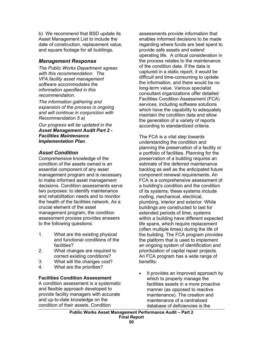b) We recommend that BSD update its Asset Management List to include the date of construction, replacement value, and square footage for all buildings.

## *Management Response*

*The Public Works Department agrees with this recommendation. The VFA.facility asset management software accommodates the information specified in this recommendation.* 

*The information gathering and expansion of the process is ongoing and will continue in conjunction with Recommendation 5 a)* 

*Our progress will be updated in the Asset Management Audit Part 2 - Facilities Maintenance Implementation Plan.*

## *Asset Condition*

Comprehensive knowledge of the condition of the assets owned is an essential component of any asset management program and is necessary to make informed asset management decisions. Condition assessments serve two purposes: to identify maintenance and rehabilitation needs and to monitor the health of the facilities network. As a crucial element of the asset management program, the condition assessment process provides answers to the following questions:

- 1. What are the existing physical and functional conditions of the facilities?
- 2. What changes are required to correct existing conditions?
- 3. What will the changes cost?
- 4. What are the priorities?

#### **Facilities Condition Assessment**

A condition assessment is a systematic and flexible approach developed to provide facility managers with accurate and up-to-date knowledge on the condition of their assets. Condition

assessments provide information that enables informed decisions to be made regarding where funds are best spent to provide safe assets and extend operating life. A critical consideration in the process relates to the maintenance of the condition data. If the data is captured in a static report, it would be difficult and time-consuming to update the information, and there would be no long-term value. Various specialist consultant organizations offer detailed Facilities Condition Assessment (FCA) services, including software solutions which have the capability to adequately maintain the condition data and allow the generation of a variety of reports according to standardized criteria.

The FCA is a vital step towards understanding the condition and planning the preservation of a facility or a portfolio of facilities. Planning for the preservation of a building requires an estimate of the deferred maintenance backlog as well as the anticipated future component renewal requirements. An FCA is a comprehensive assessment of a building's condition and the condition of its systems; these systems include roofing, mechanical, electrical, plumbing, interior and exterior. While buildings are constructed to last for extended periods of time, systems within a building have different expected life spans, which require replacement (often multiple times) during the life of the building. The FCA program provides the platform that is used to implement an ongoing system of identification and prioritization of capital repair projects. An FCA program has a wide range of benefits:

It provides an improved approach by which to properly manage the facilities assets in a more proactive manner (as opposed to reactive maintenance). The creation and maintenance of a centralized database of deficiencies is the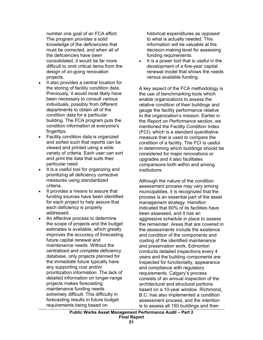number one goal of an FCA effort. The program provides a solid knowledge of the deficiencies that must be corrected, and when all of the deficiencies have been consolidated, it would be far more difficult to omit critical items from the design of on-going renovation projects.

- It also provides a central location for the storing of facility condition data. Previously, it would most likely have been necessary to consult various individuals, possibly from different departments to obtain all of the condition data for a particular building. The FCA program puts the condition information at everyone's fingertips.
- Facility condition data is organized and sorted such that reports can be viewed and printed using a wide variety of criteria. Each user can sort and print the data that suits their particular need.
- It is a useful tool for organizing and prioritizing all deficiency corrective measures using standardized criteria.
- It provides a means to assure that funding sources have been identified for each project to help assure that each deficiency is properly addressed.
- An effective process to determine the scope of projects and the budget estimates is available, which greatly improves the accuracy of forecasting future capital renewal and maintenance needs. Without the centralized and complete deficiency database, only projects planned for the immediate future typically have any supporting cost and/or prioritization information. The lack of detailed information on longer-range projects makes forecasting maintenance funding needs extremely difficult. This difficulty in forecasting results in future budget requirements being based on

historical expenditures as opposed to what is actually needed. This information will be valuable at the decision-making level for assessing funding requirements.

• It is a power tool that is useful in the development of a five-year capital renewal model that shows the needs versus available funding.

A key aspect of the FCA methodology is the use of benchmarking tools which enable organizations to assess the relative condition of their buildings and gauge the facility performance relative to the organization's mission. Earlier in the *Report on Performance* section, we mentioned the Facility Condition Index (FCI), which is a standard quantitative measure that is used to compare the condition of a facility. The FCI is useful in determining which buildings should be considered for major renovations or upgrades and it also facilitates comparisons both within and among institutions.

Although the nature of the condition assessment process may vary among municipalities, it is recognized that the process is an essential part of the asset management strategy. Hamilton indicated that 60% of its facilities have been assessed, and it has an aggressive schedule in place to assess the remainder. Areas that are covered in the assessments include the existence and condition of the components and costing of the identified maintenance and preservation work. Edmonton conducts detailed inspections every 4 years and the building components are inspected for functionality, appearance and compliance with regulatory requirements. Calgary's process consists of an annual inspection of the architectural and structural portions based on a 10-year window. Richmond, B.C. has also implemented a condition assessment process, and the intention is to assess all 150 buildings and then

**Public Works Asset Management Performance Audit – Part 2 Final Report**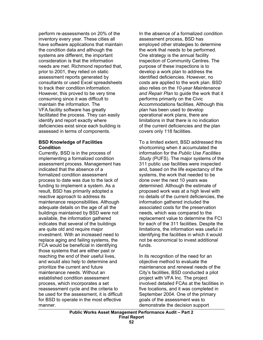perform re-assessments on 20% of the inventory every year. These cities all have software applications that maintain the condition data and although the systems are different, the important consideration is that the information needs are met. Richmond reported that, prior to 2001, they relied on static assessment reports generated by consultants or used Excel spreadsheets to track their condition information. However, this proved to be very time consuming since it was difficult to maintain the information. The VFA.facility software has greatly facilitated the process. They can easily identify and report exactly where deficiencies exist since each building is assessed in terms of components.

#### **BSD Knowledge of Facilities Condition**

Currently, BSD is in the process of implementing a formalized condition assessment process. Management has indicated that the absence of a formalized condition assessment process to date was due to the lack of funding to implement a system. As a result, BSD has primarily adopted a reactive approach to address its maintenance responsibilities. Although adequate details on the age of all the buildings maintained by BSD were not available, the information gathered indicates that several of the buildings are quite old and require major investment. With an increased need to replace aging and failing systems, the FCA would be beneficial in identifying those systems that are either past or reaching the end of their useful lives, and would also help to determine and prioritize the current and future maintenance needs. Without an established condition assessment process, which incorporates a set reassessment cycle and the criteria to be used for the assessment, it is difficult for BSD to operate in the most effective manner.

In the absence of a formalized condition assessment process, BSD has employed other strategies to determine the work that needs to be performed. One strategy is the annual facility inspection of Community Centres. The purpose of these inspections is to develop a work plan to address the identified deficiencies. However, no costs are applied to the work plan. BSD also relies on the *10-year Maintenance and Repair Plan* to guide the work that it performs primarily on the Civic Accommodations facilities. Although this plan has been used to develop operational work plans, there are limitations in that there is no indication of the current deficiencies and the plan covers only 118 facilities.

To a limited extent, BSD addressed this shortcoming when it accumulated the information for the *Public Use Facilities Study* (PUFS). The major systems of the 311 public use facilities were inspected and, based on the life expectancy of the systems, the work that needed to be done over the next 10 years was determined. Although the estimate of proposed work was at a high level with no details of the current deficiencies, the information gathered included the associated costs for the preservation needs, which was compared to the replacement value to determine the FCI for each of the 311 facilities. Despite the limitations, the information was useful in identifying the facilities in which it would not be economical to invest additional funds.

In its recognition of the need for an objective method to evaluate the maintenance and renewal needs of the City's facilities, BSD conducted a pilot project with VFA Inc. The project involved detailed FCAs at the facilities in five locations, and it was completed in September 2004. One of the primary goals of the assessment was to demonstrate the decision support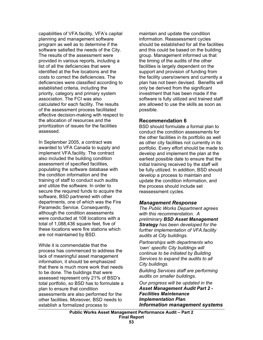capabilities of VFA.facility, VFA's capital planning and management software program as well as to determine if the software satisfied the needs of the City. The results of the assessment were provided in various reports, including a list of all the deficiencies that were identified at the five locations and the costs to correct the deficiencies. The deficiencies were classified according to established criteria, including the priority, category and primary system association. The FCI was also calculated for each facility. The results of the assessment process facilitated effective decision-making with respect to the allocation of resources and the prioritization of issues for the facilities assessed.

In September 2005, a contract was awarded to VFA Canada to supply and implement VFA.facility. The contract also included the building condition assessment of specified facilities, populating the software database with the condition information and the training of staff to conduct such audits and utilize the software. In order to secure the required funds to acquire the software, BSD partnered with other departments, one of which was the Fire Paramedic Service. Consequently, although the condition assessments were conducted at 108 locations with a total of 1,088,436 square feet, five of these locations were fire stations which are not maintained by BSD.

While it is commendable that the process has commenced to address the lack of meaningful asset management information, it should be emphasized that there is much more work that needs to be done. The buildings that were assessed represent only 21% of BSD's total portfolio, so BSD has to formulate a plan to ensure that condition assessments are also performed for the other facilities. Moreover, BSD needs to establish a formalized process to

maintain and update the condition information. Reassessment cycles should be established for all the facilities and this could be based on the building group. Management informed us that the timing of the audits of the other facilities is largely dependent on the support and provision of funding from the facility users/owners and currently a plan has not been devised. Benefits will only be derived from the significant investment that has been made if the software is fully utilized and trained staff are allowed to use the skills as soon as possible.

#### **Recommendation 6**

BSD should formulate a formal plan to conduct the condition assessments for the other facilities in its portfolio as well as other city facilities not currently in its portfolio. Every effort should be made to develop and implement the plan at the earliest possible date to ensure that the initial training received by the staff will be fully utilized. In addition, BSD should develop a process to maintain and update the condition information, and the process should include set reassessment cycles.

## *Management Response*

*The Public Works Department agrees with this recommendation. A preliminary BSD Asset Management Strategy has been developed for the further implementation of VFA.facility audits at City buildings.*

*Partnerships with departments who 'own' specific City buildings will continue to be initiated by Building Services to expand the audits to all City buildings.* 

*Building Services staff are performing audits on smaller buildings.* 

*Our progress will be updated in the Asset Management Audit Part 2 - Facilities Maintenance Implementation Plan. Information management systems*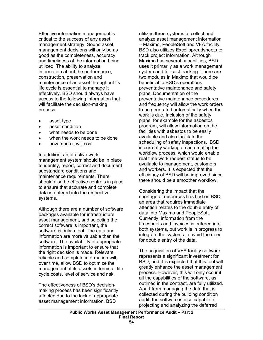Effective information management is critical to the success of any asset management strategy. Sound asset management decisions will only be as good as the completeness, accuracy and timeliness of the information being utilized. The ability to analyze information about the performance, construction, preservation and maintenance of an asset throughout its life cycle is essential to manage it effectively. BSD should always have access to the following information that will facilitate the decision-making process:

- asset type
- asset condition
- what needs to be done
- when the work needs to be done
- how much it will cost

In addition, an effective work management system should be in place to identify, report, correct and document substandard conditions and maintenance requirements. There should also be effective controls in place to ensure that accurate and complete data is entered into the respective systems.

Although there are a number of software packages available for infrastructure asset management, and selecting the correct software is important, the software is only a tool. The data and information are more valuable than the software. The availability of appropriate information is important to ensure that the right decision is made. Relevant, reliable and complete information will, over time, allow BSD to optimize the management of its assets in terms of life cycle costs, level of service and risk.

The effectiveness of BSD's decisionmaking process has been significantly affected due to the lack of appropriate asset management information. BSD

utilizes three systems to collect and analyze asset management information – Maximo, PeopleSoft and VFA.facility. BSD also utilizes Excel spreadsheets to track project information. Although Maximo has several capabilities, BSD uses it primarily as a work management system and for cost tracking. There are two modules in Maximo that would be beneficial to BSD's operations: preventative maintenance and safety plans. Documentation of the preventative maintenance procedures and frequency will allow the work orders to be generated automatically when the work is due. Inclusion of the safety plans, for example for the asbestos program, will allow information on the facilities with asbestos to be easily available and also facilitate the scheduling of safety inspections. BSD is currently working on automating the workflow process, which would enable real time work request status to be available to management, customers and workers. It is expected that the efficiency of BSD will be improved since there should be a smoother workflow.

Considering the impact that the shortage of resources has had on BSD, an area that requires immediate attention relates to the double entry of data into Maximo and PeopleSoft. Currently, information from the timesheets and invoices is entered into both systems, but work is in progress to integrate the systems to avoid the need for double entry of the data.

The acquisition of VFA.facility software represents a significant investment for BSD, and it is expected that this tool will greatly enhance the asset management process. However, this will only occur if all the capabilities of the software, as outlined in the contract, are fully utilized. Apart from managing the data that is collected during the building condition audit, the software is also capable of projecting and analyzing the deferred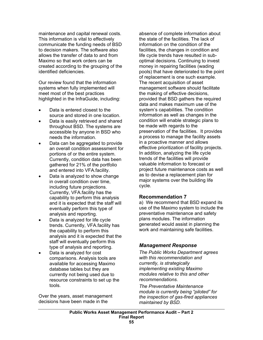maintenance and capital renewal costs. This information is vital to effectively communicate the funding needs of BSD to decision makers. The software also allows the transfer of data to and from Maximo so that work orders can be created according to the grouping of the identified deficiencies.

Our review found that the information systems when fully implemented will meet most of the best practices highlighted in the InfraGuide, including:

- Data is entered closest to the source and stored in one location.
- Data is easily retrieved and shared throughout BSD. The systems are accessible by anyone in BSD who needs the information.
- Data can be aggregated to provide an overall condition assessment for portions of or the entire system. Currently, condition data has been gathered for 21% of the portfolio and entered into VFA.facility.
- Data is analyzed to show change in overall condition over time, including future projections. Currently, VFA.facility has the capability to perform this analysis and it is expected that the staff will eventually perform this type of analysis and reporting.
- Data is analyzed for life cycle trends. Currently, VFA.facility has the capability to perform this analysis and it is expected that the staff will eventually perform this type of analysis and reporting.
- Data is analyzed for cost comparisons. Analysis tools are available for accessing Maximo database tables but they are currently not being used due to resource constraints to set up the tools.

Over the years, asset management decisions have been made in the

absence of complete information about the state of the facilities. The lack of information on the condition of the facilities, the changes in condition and life cycle trends have resulted in suboptimal decisions. Continuing to invest money in repairing facilities (wading pools) that have deteriorated to the point of replacement is one such example. The recent acquisition of asset management software should facilitate the making of effective decisions, provided that BSD gathers the required data and makes maximum use of the system's capabilities. The condition information as well as changes in the condition will enable strategic plans to be made with regards to the preservation of the facilities. It provides a process to manage the facility assets in a proactive manner and allows effective prioritization of facility projects. In addition, analyzing the life cycle trends of the facilities will provide valuable information to forecast or project future maintenance costs as well as to devise a replacement plan for major systems over the building life cycle.

## **Recommendation 7**

a)We recommend that BSD expand its use of the Maximo system to include the preventative maintenance and safety plans modules. The information generated would assist in planning the work and maintaining safe facilities.

## *Management Response*

*The Public Works Department agrees with this recommendation and currently, is strategically implementing existing Maximo modules relative to this and other recommendations.* 

*The Preventative Maintenance module is currently being "piloted" for the inspection of gas-fired appliances maintained by BSD.*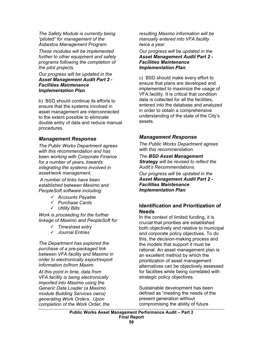*The Safety Module is currently being "piloted" for management of the Asbestos Management Program.* 

*These modules will be implemented further to other equipment and safety programs following the completion of the pilot projects.* 

*Our progress will be updated in the Asset Management Audit Part 2 - Facilities Maintenance Implementation Plan.*

b) BSD should continue its efforts to ensure that the systems involved in asset management are interconnected to the extent possible to eliminate double entry of data and reduce manual procedures.

#### *Management Response*

*The Public Works Department agrees with this recommendation and has been working with Corporate Finance for a number of years, towards integrating the systems involved in asset/work management.* 

 *A number of links have been established between Maximo and PeopleSoft software including:* 

- 9 *Accounts Payable*
- 9 *Purchase Cards*
- 9 *Utility Bills*

*Work is proceeding for the further linkage of Maximo and PeopleSoft for* 

- 9 *Timesheet entry*
- 9 *Journal Entries*

*The Department has explored the purchase of a pre-packaged link between VFA.facility and Maximo in order to electronically export/export information to/from Maxim.* 

*At this point in time, data from VFA.facility is being electronically imported into Maximo using the Generic Data Loader (a Maximo module Building Services owns) generating Work Orders. Upon completion of the Work Order, the*  *resulting Maximo information will be manually entered into VFA.facility twice a year.* 

*Our progress will be updated in the Asset Management Audit Part 2 - Facilities Maintenance Implementation Plan.*

c) BSD should make every effort to ensure that plans are developed and implemented to maximize the usage of VFA.facility. It is critical that condition data is collected for all the facilities, entered into the database and analyzed in order to obtain a comprehensive understanding of the state of the City's assets.

#### *Management Response*

*The Public Works Department agrees with this recommendation.* 

*The BSD Asset Management Strategy will be revised to reflect the Audit's Recommendations.* 

*Our progress will be updated in the Asset Management Audit Part 2 - Facilities Maintenance Implementation Plan.* 

## **Identification and Prioritization of Needs**

In the context of limited funding, it is crucial that priorities are established both objectively and relative to municipal and corporate policy objectives. To do this, the decision-making process and the models that support it must be rational. An asset management plan is an excellent method by which the prioritization of asset management alternatives can be objectively assessed for facilities while being correlated with strategic policy objectives.

Sustainable development has been defined as "meeting the needs of the present generation without compromising the ability of future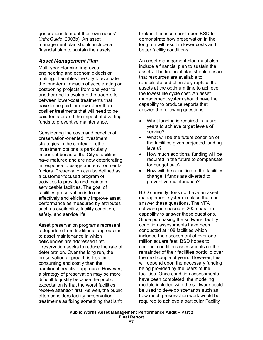generations to meet their own needs" (*InfraGuide*, 2003b). An asset management plan should include a financial plan to sustain the assets.

## *Asset Management Plan*

Multi-year planning improves engineering and economic decision making. It enables the City to evaluate the long-term impacts of accelerating or postponing projects from one year to another and to evaluate the trade-offs between lower-cost treatments that have to be paid for now rather than costlier treatments that will need to be paid for later and the impact of diverting funds to preventive maintenance.

Considering the costs and benefits of preservation-oriented investment strategies in the context of other investment options is particularly important because the City's facilities have matured and are now deteriorating in response to usage and environmental factors. Preservation can be defined as a customer-focused program of activities to provide and maintain serviceable facilities. The goal of facilities preservation is to costeffectively and efficiently improve asset performance as measured by attributes such as availability, facility condition, safety, and service life.

Asset preservation programs represent a departure from traditional approaches to asset maintenance in which deficiencies are addressed first. Preservation seeks to reduce the rate of deterioration. Over the long run, the preservation approach is less time consuming and costly than the traditional, reactive approach. However, a strategy of preservation may be more difficult to justify because the public expectation is that the worst facilities receive attention first. As well, the public often considers facility preservation treatments as fixing something that isn't

broken. It is incumbent upon BSD to demonstrate how preservation in the long run will result in lower costs and better facility conditions.

An asset management plan must also include a financial plan to sustain the assets. The financial plan should ensure that resources are available to rehabilitate and ultimately replace the assets at the optimum time to achieve the lowest life cycle cost. An asset management system should have the capability to produce reports that answer the following questions:

- What funding is required in future years to achieve target levels of service?
- What will be the future condition of the facilities given projected funding levels?
- How much additional funding will be required in the future to compensate for budget cuts?
- How will the condition of the facilities change if funds are diverted to preventive maintenance?

BSD currently does not have an asset management system in place that can answer these questions. The VFA software purchased in 2005 has the capability to answer these questions. Since purchasing the software, facility condition assessments have been conducted at 108 facilities which included the assessment of over one million square feet. BSD hopes to conduct condition assessments on the remainder of their facilities portfolio over the next couple of years. However, this will depend upon the necessary funding being provided by the users of the facilities. Once condition assessments have been completed, the modeling module included with the software could be used to develop scenarios such as how much preservation work would be required to achieve a particular Facility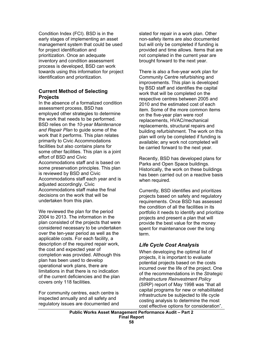Condition Index (FCI). BSD is in the early stages of implementing an asset management system that could be used for project identification and prioritization. Once an adequate inventory and condition assessment process is developed, BSD can work towards using this information for project identification and prioritization.

## **Current Method of Selecting Projects**

In the absence of a formalized condition assessment process, BSD has employed other strategies to determine the work that needs to be performed. BSD relies on the *10-year Maintenance and Repair Plan* to guide some of the work that it performs. This plan relates primarily to Civic Accommodations facilities but also contains plans for some other facilities. This plan is a joint effort of BSD and Civic Accommodations staff and is based on some preservation principles. This plan is reviewed by BSD and Civic Accommodations staff each year and is adjusted accordingly. Civic Accommodations staff make the final decisions on the work that will be undertaken from this plan.

We reviewed the plan for the period 2004 to 2013. The information in the plan consisted of the projects that were considered necessary to be undertaken over the ten-year period as well as the applicable costs. For each facility, a description of the required repair work, the cost and expected year of completion was provided. Although this plan has been used to develop operational work plans, there are limitations in that there is no indication of the current deficiencies and the plan covers only 118 facilities.

For community centres, each centre is inspected annually and all safety and regulatory issues are documented and slated for repair in a work plan. Other non-safety items are also documented but will only be completed if funding is provided and time allows. Items that are not completed in the current year are brought forward to the next year.

There is also a five-year work plan for Community Centre refurbishing and improvements. This plan is developed by BSD staff and identifies the capital work that will be completed on the respective centres between 2005 and 2010 and the estimated cost of each item. Some of the more common items on the five-year plan were roof replacements, HVAC/mechanical replacements, structural repairs and building refurbishment. The work on this plan will only be completed if funding is available; any work not completed will be carried forward to the next year.

Recently, BSD has developed plans for Parks and Open Space buildings. Historically, the work on these buildings has been carried out on a reactive basis when required.

Currently, BSD identifies and prioritizes projects based on safety and regulatory requirements. Once BSD has assessed the condition of all the facilities in its portfolio it needs to identify and prioritize projects and present a plan that will provide the best value for the money spent for maintenance over the long term.

## *Life Cycle Cost Analysis*

When developing the optimal list of projects, it is important to evaluate potential projects based on the costs incurred over the life of the project. One of the recommendations in the *Strategic Infrastructure Reinvestment Policy* (SIRP) report of May 1998 was "that all capital programs for new or rehabilitated infrastructure be subjected to life cycle costing analysis to determine the most cost effective options for consideration".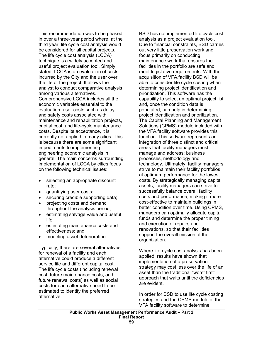This recommendation was to be phased in over a three-year period where, at the third year, life cycle cost analysis would be considered for all capital projects. The life cycle cost analysis (LCCA) technique is a widely accepted and useful project evaluation tool. Simply stated, LCCA is an evaluation of costs incurred by the City and the user over the life of the project. It allows the analyst to conduct comparative analysis among various alternatives. Comprehensive LCCA includes all the economic variables essential to the evaluation: user costs such as delay and safety costs associated with maintenance and rehabilitation projects, capital cost, and life-cycle maintenance costs. Despite its acceptance, it is currently not applied in many cities. This is because there are some significant impediments to implementing engineering economic analysis in general. The main concerns surrounding implementation of LCCA by cities focus on the following technical issues:

- selecting an appropriate discount rate;
- quantifying user costs;
- securing credible supporting data;
- projecting costs and demand
- throughout the analysis period;
- estimating salvage value and useful life;
- estimating maintenance costs and effectiveness; and
- modeling asset deterioration.

Typically, there are several alternatives for renewal of a facility and each alternative could produce a different service life and different capital cost. The life cycle costs (including renewal cost, future maintenance costs, and future renewal costs) as well as social costs for each alternative need to be estimated to identify the preferred alternative.

BSD has not implemented life cycle cost analysis as a project evaluation tool. Due to financial constraints, BSD carries out very little preservation work and focus primarily on conducting maintenance work that ensures the facilities in the portfolio are safe and meet legislative requirements. With the acquisition of VFA.facility BSD will be able to consider life cycle costing when determining project identification and prioritization. This software has the capability to select an optimal project list and, once the condition data is populated, can help in determining project identification and prioritization. The Capital Planning and Management Solutions (CPMS) module included with the VFA.facility software provides this function. This software represents an integration of three distinct and critical areas that facility managers must manage and address: business processes, methodology and technology. Ultimately, facility managers strive to maintain their facility portfolios at optimum performance for the lowest costs. By strategically managing capital assets, facility managers can strive to successfully balance overall facility costs and performance, making it more cost-effective to maintain buildings in better condition over time. Using CPMS, managers can optimally allocate capital funds and determine the proper timing and execution of repairs and renovations, so that their facilities support the overall mission of the organization.

Where life-cycle cost analysis has been applied, results have shown that implementation of a preservation strategy may cost less over the life of an asset than the traditional "worst first' approach that waits until the deficiencies are evident.

In order for BSD to use life cycle costing strategies and the CPMS module of the VFA.facility software to determine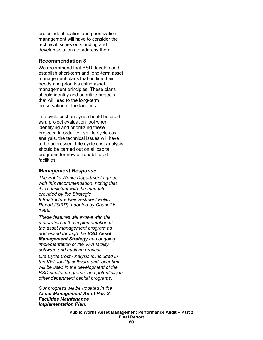project identification and prioritization, management will have to consider the technical issues outstanding and develop solutions to address them.

## **Recommendation 8**

We recommend that BSD develop and establish short-term and long-term asset management plans that outline their needs and priorities using asset management principles. These plans should identify and prioritize projects that will lead to the long-term preservation of the facilities.

Life cycle cost analysis should be used as a project evaluation tool when identifying and prioritizing these projects. In order to use life cycle cost analysis, the technical issues will have to be addressed. Life cycle cost analysis should be carried out on all capital programs for new or rehabilitated facilities.

## *Management Response*

*The Public Works Department agrees with this recommendation, noting that it is consistent with the mandate provided by the Strategic Infrastructure Reinvestment Policy Report (SIRP), adopted by Council in 1998.* 

*These features will evolve with the maturation of the implementation of the asset management program as addressed through the BSD Asset Management Strategy and ongoing implementation of the VFA.facility software and auditing process.* 

*Life Cycle Cost Analysis is included in the VFA.facility software and, over time, will be used in the development of the BSD capital programs, and potentially in other department capital programs.*

*Our progress will be updated in the Asset Management Audit Part 2 - Facilities Maintenance Implementation Plan.*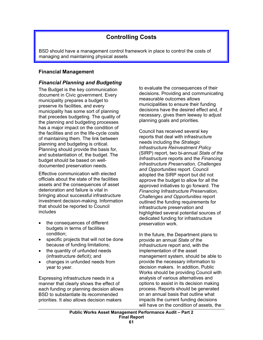## **Controlling Costs**

BSD should have a management control framework in place to control the costs of managing and maintaining physical assets.

## **Financial Management**

## *Financial Planning and Budgeting*

The Budget is the key communication document in Civic government. Every municipality prepares a budget to preserve its facilities, and every municipality has some sort of planning that precedes budgeting. The quality of the planning and budgeting processes has a major impact on the condition of the facilities and on the life-cycle costs of maintaining them. The link between planning and budgeting is critical. Planning should provide the basis for, and substantiation of, the budget. The budget should be based on welldocumented preservation needs.

Effective communication with elected officials about the state of the facilities assets and the consequences of asset deterioration and failure is vital in bringing about successful infrastructure investment decision-making. Information that should be reported to Council includes

- the consequences of different budgets in terms of facilities condition;
- specific projects that will not be done because of funding limitations;
- the quantity of unfunded needs (infrastructure deficit); and
- changes in unfunded needs from year to year.

Expressing infrastructure needs in a manner that clearly shows the effect of each funding or planning decision allows BSD to substantiate its recommended priorities. It also allows decision makers

to evaluate the consequences of their decisions. Providing and communicating measurable outcomes allows municipalities to ensure their funding decisions have the desired effect and, if necessary, gives them leeway to adjust planning goals and priorities.

Council has received several key reports that deal with infrastructure needs including the *Strategic Infrastructure Reinvestment Policy*  (SIRP) report, two bi-annual *State of the Infrastructure* reports and the *Financing Infrastructure Preservation, Challenges and Opportunities* report. Council adopted the SIRP report but did not approve the budget to allow for all the approved initiatives to go forward. The *Financing Infrastructure Preservation, Challenges and Opportunities* report outlined the funding requirements for infrastructure preservation and highlighted several potential sources of dedicated funding for infrastructure preservation work.

In the future, the Department plans to provide an annual *State of the Infrastructure* report and, with the implementation of the asset management system, should be able to provide the necessary information to decision makers. In addition, Public Works should be providing Council with analysis of various alternatives and options to assist in its decision making process. Reports should be generated on an annual basis that outline what impacts the current funding decisions will have on the condition of assets, the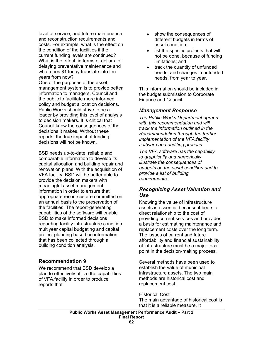level of service, and future maintenance and reconstruction requirements and costs. For example, what is the effect on the condition of the facilities if the current funding levels are continued? What is the effect, in terms of dollars, of delaying preventative maintenance and what does \$1 today translate into ten years from now?

One of the purposes of the asset management system is to provide better information to managers, Council and the public to facilitate more informed policy and budget allocation decisions. Public Works should strive to be a leader by providing this level of analysis to decision makers. It is critical that Council know the consequences of the decisions it makes. Without these reports, the true impact of funding decisions will not be known.

BSD needs up-to-date, reliable and comparable information to develop its capital allocation and building repair and renovation plans. With the acquisition of VFA.facility, BSD will be better able to provide the decision makers with meaningful asset management information in order to ensure that appropriate resources are committed on an annual basis to the preservation of the facilities. The report-generating capabilities of the software will enable BSD to make informed decisions regarding facility infrastructure condition, multiyear capital budgeting and capital project planning based on information that has been collected through a building condition analysis.

## **Recommendation 9**

We recommend that BSD develop a plan to effectively utilize the capabilities of VFA.facility in order to produce reports that

- show the consequences of different budgets in terms of asset condition;
- list the specific projects that will not be done, because of funding limitations; and
- track the quantity of unfunded needs, and changes in unfunded needs, from year to year.

This information should be included in the budget submission to Corporate Finance and Council.

#### *Management Response*

*The Public Works Department agrees with this recommendation and will track the information outlined in the Recommendation through the further implementation of the VFA.facility software and auditing process.* 

*The VFA software has the capability to graphically and numerically illustrate the consequences of budgets on the asset condition and to provide a list of building requirements.* 

#### *Recognizing Asset Valuation and Use*

Knowing the value of infrastructure assets is essential because it bears a direct relationship to the cost of providing current services and provides a basis for estimating maintenance and replacement costs over the long term. The issues of current and future affordability and financial sustainability of infrastructure must be a major focal point in the decision-making process.

Several methods have been used to establish the value of municipal infrastructure assets. The two main methods are historical cost and replacement cost.

#### Historical Cost

The main advantage of historical cost is that it is a reliable measure. It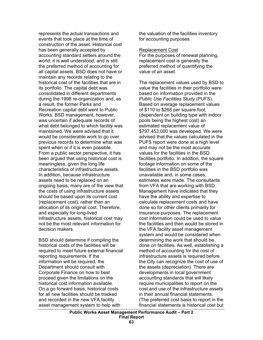represents the actual transactions and events that took place at the time of construction of the asset. Historical cost has been generally accepted by accounting standard setters around the world; it is well understood, and is still the preferred method of accounting for all capital assets. BSD does not have or maintain any records relating to the historical cost of the facilities that are in its portfolio. The capital debt was consolidated in different departments during the 1998 re-organization and, as a result, the former Parks and Recreation capital debt went to Public Works. BSD management, however, was uncertain if adequate records of what debt belonged to which facility was maintained. We were advised that it would be considerable work to go over previous records to determine what was spent when or if it is even possible. From a public sector perspective, it has been argued that using historical cost is meaningless, given the long life characteristics of infrastructure assets. In addition, because infrastructure assets need to be replaced on an ongoing basis, many are of the view that the costs of using infrastructure assets should be based upon its current cost (replacement cost), rather than an allocation of its original cost. Therefore, and especially for long-lived infrastructure assets, historical cost may not be the most relevant information for decision makers.

BSD should determine if compiling the historical costs of the facilities will be required to meet future external financial reporting requirements. If the information will be required, the Department should consult with Corporate Finance on how to best proceed given the limitations on the historical cost information available. On a go forward basis, historical costs for all new facilities should be tracked and recorded in the new VFA.facility asset management system to help with

the valuation of the facilities inventory for accounting purposes.

#### Replacement Cost

For the purposes of renewal planning, replacement cost is generally the preferred method of quantifying the value of an asset.

The replacement values used by BSD to value the facilities in their portfolio were based on information provided in the *Public Use Facilities Study* (PUFS). Based on average replacement values of \$110 to \$268 per square foot, (dependent on building type with indoor pools being the highest cost) an estimated replacement value of \$797,453,000 was developed. We were advised that the values calculated in the PUFS report were done at a high level and may not be the most accurate values for the facilities in the BSD facilities portfolio. In addition, the square footage information on some of the facilities in the BSD portfolio was unavailable and, in some cases, estimates were made. The consultants from VFA that are working with BSD Management have indicated that they have the ability and expertise to calculate replacement costs and have done so for other clients primarily for insurance purposes. The replacement cost information could be used to value the facilities and then would be stored in the VFA.facility asset management system and would be considered when determining the work that should be done on facilities. As well, establishing a method of accounting for the cost of infrastructure assets is required before the City can recognize the cost of use of the assets (depreciation). There are developments in local government accounting standards that will likely require municipalities to report on the cost and use of the infrastructure assets in their annual financial statements. (The preferred cost basis to report in the financial statements is historical cost but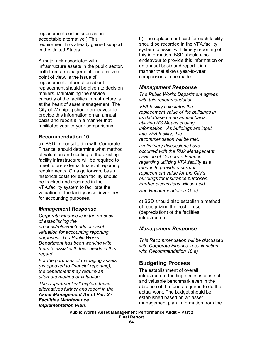replacement cost is seen as an acceptable alternative.) This requirement has already gained support in the United States.

A major risk associated with infrastructure assets in the public sector, both from a management and a citizen point of view, is the issue of replacement. Information about replacement should be given to decision makers. Maintaining the service capacity of the facilities infrastructure is at the heart of asset management. The City of Winnipeg should endeavour to provide this information on an annual basis and report it in a manner that facilitates year-to-year comparisons.

#### **Recommendation 10**

a) BSD, in consultation with Corporate Finance, should determine what method of valuation and costing of the existing facility infrastructure will be required to meet future external financial reporting requirements. On a go forward basis, historical costs for each facility should be tracked and recorded in the VFA.facility system to facilitate the valuation of the facility asset inventory for accounting purposes.

#### *Management Response*

*Corporate Finance is in the process of establishing the process/rules/methods of asset valuation for accounting reporting purposes. The Public Works Department has been working with them to assist with their needs in this regard.* 

*For the purposes of managing assets (as opposed to financial reporting), the department may require an alternate method of valuation.* 

*The Department will explore these alternatives further and report in the Asset Management Audit Part 2 - Facilities Maintenance Implementation Plan.* 

b) The replacement cost for each facility should be recorded in the VFA.facility system to assist with timely reporting of this information. BSD should also endeavour to provide this information on an annual basis and report it in a manner that allows year-to-year comparisons to be made.

#### *Management Response*

*The Public Works Department agrees with this recommendation.* 

*VFA.facility calculates the replacement value of the buildings in its database on an annual basis, utilizing RS Means costing information. As buildings are input into VFA.facility, this recommendation will be met.* 

*Preliminary discussions have occurred with the Risk Management Division of Corporate Finance regarding utilizing VFA.facility as a means to provide a current replacement value for the City's buildings for insurance purposes. Further discussions will be held.* 

*See Recommendation 10 a)*

c) BSD should also establish a method of recognizing the cost of use (depreciation) of the facilities infrastructure.

#### *Management Response*

*This Recommendation will be discussed with Corporate Finance in conjunction with Recommendation 10 a)*

## **Budgeting Process**

The establishment of overall infrastructure funding needs is a useful and valuable benchmark even in the absence of the funds required to do the actual work. The budget should be established based on an asset management plan. Information from the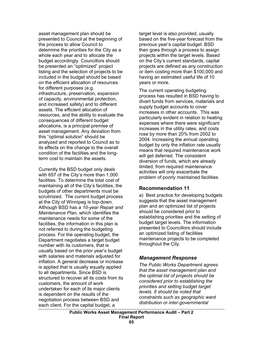asset management plan should be presented to Council at the beginning of the process to allow Council to determine the priorities for the City as a whole each year and to allocate the budget accordingly. Councillors should be presented an "optimized" project listing and the selection of projects to be included in the budget should be based on the efficient allocation of resources for different purposes (e.g. infrastructure, preservation, expansion of capacity, environmental protection, and increased safety) and to different assets. The efficient allocation of resources, and the ability to evaluate the consequences of different budget allocations, is a principal premise of asset management. Any deviation from this "optimal solution" should be analyzed and reported to Council as to its effects on the change to the overall condition of the facilities and the longterm cost to maintain the assets.

Currently the BSD budget only deals with 657 of the City's more than 1,000 facilities. To determine the total cost of maintaining all of the City's facilities, the budgets of other departments must be scrutinized. The current budget process at the City of Winnipeg is top-down. Although BSD has a *10-year Repair and Maintenance Plan,* which identifies the maintenance needs for some of the facilities, the information in this plan is not referred to during the budgeting process. For the operating budget, the Department negotiates a target budget number with its customers, that is usually based on the prior year's budget with salaries and materials adjusted for inflation. A general decrease or increase is applied that is usually equally applied to all departments. Since BSD is structured to recover all its costs from its customers, the amount of work undertaken for each of its major clients is dependent on the results of the negotiation process between BSD and each client. For the capital budget, a

target level is also provided, usually based on the five-year forecast from the previous year's capital budget. BSD then goes through a process to assign projects within the target levels. Based on the City's current standards, capital projects are defined as any construction or item costing more than \$100,000 and having an estimated useful life of 10 years or more.

The current operating budgeting process has resulted in BSD having to divert funds from services, materials and supply budget accounts to cover increases in other accounts. This was particularly evident in relation to heating expenses where there were significant increases in the utility rates, and costs rose by more than 20% from 2002 to 2004. Increasing the annual operating budget by only the inflation rate usually means that required maintenance work will get deferred. The consistent diversion of funds, which are already limited, from required maintenance activities will only exacerbate the problem of poorly maintained facilities.

#### **Recommendation 11**

a) Best practice for developing budgets suggests that the asset management plan and an optimized list of projects should be considered prior to establishing priorities and the setting of budget target levels. The information presented to Councillors should include an optimized listing of facilities maintenance projects to be completed throughout the City.

## *Management Response*

*The Public Works Department agrees that the asset management plan and the optimal list of projects should be considered prior to establishing the priorities and setting budget target levels. It should be noted that constraints such as geographic ward distribution or inter-governmental*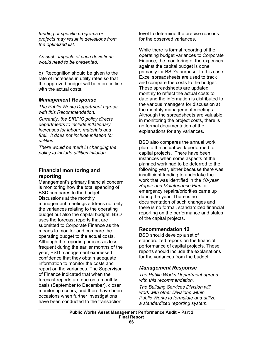*funding of specific programs or projects may result in deviations from the optimized list.* 

*As such, impacts of such deviations would need to be presented.* 

b) Recognition should be given to the rate of increases in utility rates so that the approved budget will be more in line with the actual costs.

#### *Management Response*

*The Public Works Department agrees with this Recommendation.* 

*Currently, the SIRPIC policy directs departments to include inflationary increases for labour, materials and fuel. It does not include inflation for utilities.* 

*There would be merit in changing the policy to include utilities inflation.* 

#### **Financial monitoring and reporting**

Management's primary financial concern is monitoring how the total spending of BSD compares to the budget. Discussions at the monthly management meetings address not only the variances relating to the operating budget but also the capital budget. BSD uses the forecast reports that are submitted to Corporate Finance as the means to monitor and compare the operating budget to the actual costs. Although the reporting process is less frequent during the earlier months of the year, BSD management expressed confidence that they obtain adequate information to monitor the costs and report on the variances. The Supervisor of Finance indicated that when the forecast reports are due on a monthly basis (September to December), closer monitoring occurs, and there have been occasions when further investigations have been conducted to the transaction

level to determine the precise reasons for the observed variances.

While there is formal reporting of the operating budget variances to Corporate Finance, the monitoring of the expenses against the capital budget is done primarily for BSD's purpose. In this case Excel spreadsheets are used to track and compare the costs to the budget. These spreadsheets are updated monthly to reflect the actual costs to date and the information is distributed to the various managers for discussion at the monthly management meetings. Although the spreadsheets are valuable in monitoring the project costs, there is no formal documentation of the explanations for any variances.

BSD also compares the annual work plan to the actual work performed for capital projects. There have been instances when some aspects of the planned work had to be deferred to the following year, either because there was insufficient funding to undertake the work that was identified in the *10-year Repair and Maintenance Plan* or emergency repairs/priorities came up during the year. There is no documentation of such changes and there is no formal, standardized financial reporting on the performance and status of the capital projects.

## **Recommendation 12**

BSD should develop a set of standardized reports on the financial performance of capital projects. These reports should include the explanations for the variances from the budget.

## *Management Response*

*The Public Works Department agrees with this recommendation.* 

*The Building Services Division will work with other Divisions within Public Works to formulate and utilize a standardized reporting system.*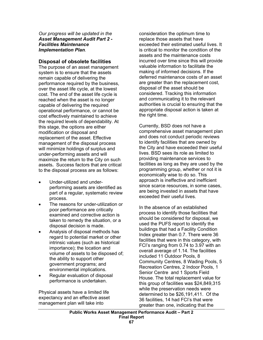*Our progress will be updated in the Asset Management Audit Part 2 - Facilities Maintenance Implementation Plan.*

#### **Disposal of obsolete facilities**

The purpose of an asset management system is to ensure that the assets remain capable of delivering the performance required by the business, over the asset life cycle, at the lowest cost. The end of the asset life cycle is reached when the asset is no longer capable of delivering the required operational performance, or cannot be cost effectively maintained to achieve the required levels of dependability. At this stage, the options are either modification or disposal and replacement of the asset. Effective management of the disposal process will minimize holdings of surplus and under-performing assets and will maximize the return to the City on such assets**.** Success factors that are critical to the disposal process are as follows:

- Under-utilized and underperforming assets are identified as part of a regular, systematic review process.
- The reasons for under-utilization or poor performance are critically examined and corrective action is taken to remedy the situation, or a disposal decision is made.
- Analysis of disposal methods has regard to potential market or other intrinsic values (such as historical importance); the location and volume of assets to be disposed of; the ability to support other government programs; and environmental implications.
- Regular evaluation of disposal performance is undertaken.

Physical assets have a limited life expectancy and an effective asset management plan will take into

consideration the optimum time to replace those assets that have exceeded their estimated useful lives. It is critical to monitor the condition of the assets and the maintenance costs incurred over time since this will provide valuable information to facilitate the making of informed decisions. If the deferred maintenance costs of an asset are greater than the replacement cost, disposal of the asset should be considered. Tracking this information and communicating it to the relevant authorities is crucial to ensuring that the appropriate disposal action is taken at the right time.

Currently, BSD does not have a comprehensive asset management plan and does not conduct periodic reviews to identify facilities that are owned by the City and have exceeded their useful lives. BSD sees its role as limited to providing maintenance services to facilities as long as they are used by the programming group, whether or not it is economically wise to do so. This approach is ineffective and inefficient since scarce resources, in some cases, are being invested in assets that have exceeded their useful lives.

In the absence of an established process to identify those facilities that should be considered for disposal, we used the PUFS report to identify the buildings that had a Facility Condition Index greater than 0.7. There were 36 facilities that were in this category, with FCI's ranging from 0.74 to 3.97 with an overall average of 1.14. The facilities included 11 Outdoor Pools, 8 Community Centres, 8 Wading Pools, 5 Recreation Centres, 2 Indoor Pools, 1 Senior Centre and 1 Sports Field House. The total replacement value for this group of facilities was \$24,849,315 while the preservation needs were determined to be \$26,191,411. Of the 36 facilities, 14 had FCI's that were greater than one, indicating that the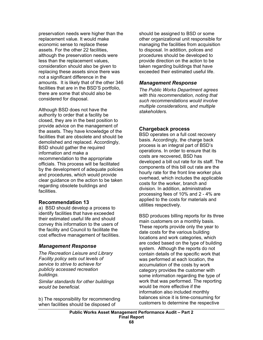preservation needs were higher than the replacement value. It would make economic sense to replace these assets. For the other 22 facilities, although the preservation needs were less than the replacement values, consideration should also be given to replacing these assets since there was not a significant difference in the amounts. It is likely that of the other 346 facilities that are in the BSD'S portfolio, there are some that should also be considered for disposal.

Although BSD does not have the authority to order that a facility be closed, they are in the best position to provide advice on the management of the assets. They have knowledge of the facilities that are obsolete and should be demolished and replaced. Accordingly, BSD should gather the required information and make a recommendation to the appropriate officials. This process will be facilitated by the development of adequate policies and procedures, which would provide clear guidance on the action to be taken regarding obsolete buildings and facilities.

## **Recommendation 13**

a) BSD should develop a process to identify facilities that have exceeded their estimated useful life and should convey this information to the users of the facility and Council to facilitate the cost effective management of facilities.

## *Management Response*

*The Recreation Leisure and Library Facility policy sets out levels of service to strive to achieve for publicly accessed recreation buildings.* 

*Similar standards for other buildings would be beneficial.* 

b) The responsibility for recommending when facilities should be disposed of

should be assigned to BSD or some other organizational unit responsible for managing the facilities from acquisition to disposal. In addition, polices and procedures should be developed to provide direction on the action to be taken regarding buildings that have exceeded their estimated useful life.

## *Management Response*

*The Public Works Department agrees with this recommendation, noting that such recommendations would involve multiple considerations, and multiple stakeholders.* 

## **Chargeback process**

BSD operates on a full cost recovery basis. Accordingly, the charge back process is an integral part of BSD's operations. In order to ensure that its costs are recovered, BSD has developed a bill out rate for its staff. The components of this bill out rate are the hourly rate for the front line worker plus overhead, which includes the applicable costs for the worker, branch and division. In addition, administrative processing fees of 10% and 2 - 4% are applied to the costs for materials and utilities respectively.

BSD produces billing reports for its three main customers on a monthly basis. These reports provide only the year to date costs for the various building locations and work categories, which are coded based on the type of building system. Although the reports do not contain details of the specific work that was performed at each location, the accumulation of the costs by work category provides the customer with some information regarding the type of work that was performed. The reporting would be more effective if the information also included monthly balances since it is time-consuming for customers to determine the respective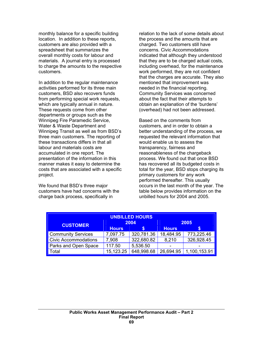monthly balance for a specific building location. In addition to these reports, customers are also provided with a spreadsheet that summarizes the overall monthly costs for labour and materials. A journal entry is processed to charge the amounts to the respective customers.

In addition to the regular maintenance activities performed for its three main customers, BSD also recovers funds from performing special work requests, which are typically annual in nature. These requests come from other departments or groups such as the Winnipeg Fire Paramedic Service, Water & Waste Department and Winnipeg Transit as well as from BSD's three main customers. The reporting of these transactions differs in that all labour and materials costs are accumulated in one report. The presentation of the information in this manner makes it easy to determine the costs that are associated with a specific project.

We found that BSD's three major customers have had concerns with the charge back process, specifically in

relation to the lack of some details about the process and the amounts that are charged. Two customers still have concerns. Civic Accommodations indicated that although they understood that they are to be charged actual costs, including overhead, for the maintenance work performed, they are not confident that the charges are accurate. They also mentioned that improvement was needed in the financial reporting. Community Services was concerned about the fact that their attempts to obtain an explanation of the 'burdens' (overhead) had not been addressed.

Based on the comments from customers, and in order to obtain a better understanding of the process, we requested the relevant information that would enable us to assess the transparency, fairness and reasonableness of the chargeback process. We found out that once BSD has recovered all its budgeted costs in total for the year, BSD stops charging its primary customers for any work performed thereafter. This usually occurs in the last month of the year. The table below provides information on the unbilled hours for 2004 and 2005.

| <b>UNBILLED HOURS</b><br>2004<br>2005 |              |            |                          |              |
|---------------------------------------|--------------|------------|--------------------------|--------------|
| <b>CUSTOMER</b>                       | <b>Hours</b> | S          | <b>Hours</b>             |              |
| <b>Community Services</b>             | 7,097.75     | 320,781.36 | 18,484.95                | 773,225.46   |
| <b>Civic Accommodations</b>           | 7,908        | 322,680.82 | 8,210                    | 326,928.45   |
| Parks and Open Space                  | 117.50       | 5,536.50   | $\overline{\phantom{0}}$ |              |
| Total                                 | 15,123.25    | 648,998.68 | 26,694.95                | 1,100,153.91 |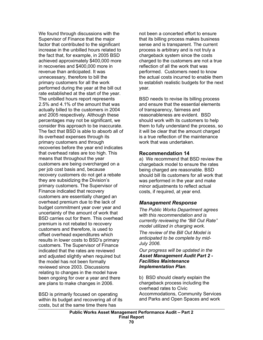We found through discussions with the Supervisor of Finance that the major factor that contributed to the significant increase in the unbilled hours related to the fact that, for example, in 2005 BSD achieved approximately \$400,000 more in recoveries and \$400,000 more in revenue than anticipated. It was unnecessary, therefore to bill the primary customers for all the work performed during the year at the bill out rate established at the start of the year. The unbilled hours report represents 2.5% and 4.1% of the amount that was actually billed to the customers in 2004 and 2005 respectively. Although these percentages may not be significant, we consider this approach to be inaccurate. The fact that BSD is able to absorb all of its overhead expenses through its primary customers and through recoveries before the year end indicates that overhead rates are too high. This means that throughout the year customers are being overcharged on a per job cost basis and, because recovery customers do not get a rebate they are subsidizing the Division's primary customers. The Supervisor of Finance indicated that recovery customers are essentially charged an overhead premium due to the lack of budget commitment year over year and uncertainty of the amount of work that BSD carries out for them. This overhead premium is not rebated to recovery customers and therefore, is used to offset overhead expenditures which results in lower costs to BSD's primary customers. The Supervisor of Finance indicated that the rates are reviewed and adjusted slightly when required but the model has not been formally reviewed since 2003. Discussions relating to changes in the model have been ongoing for over a year and there are plans to make changes in 2006.

BSD is primarily focused on operating within its budget and recovering all of its costs, but at the same time there has

not been a concerted effort to ensure that its billing process makes business sense and is transparent. The current process is arbitrary and is not truly a chargeback system since the costs charged to the customers are not a true reflection of all the work that was performed. Customers need to know the actual costs incurred to enable them to establish realistic budgets for the next year.

BSD needs to revise its billing process and ensure that the essential elements of transparency, fairness and reasonableness are evident. BSD should work with its customers to help them to fully understand the process, so it will be clear that the amount charged is a true reflection of the maintenance work that was undertaken.

#### **Recommendation 14**

a) We recommend that BSD review the chargeback model to ensure the rates being charged are reasonable. BSD should bill its customers for all work that was performed in the year and make minor adjustments to reflect actual costs, if required, at year end.

## *Management Response*

*The Public Works Department agrees with this recommendation and is currently reviewing the "Bill Out Rate" model utilized in charging work.* 

*The review of the Bill Out Model is anticipated to be complete by mid-July 2006.* 

*Our progress will be updated in the Asset Management Audit Part 2 - Facilities Maintenance Implementation Plan.* 

b) BSD should clearly explain the chargeback process including the overhead rates to Civic Accommodations, Community Services and Parks and Open Spaces and work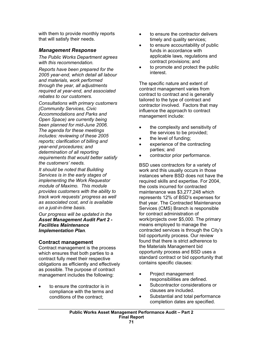with them to provide monthly reports that will satisfy their needs.

## *Management Response*

*The Public Works Department agrees with this recommendation.* 

*Reports have been prepared for the 2005 year-end, which detail all labour and materials, work performed through the year, all adjustments required at year-end, and associated rebates to our customers.* 

*Consultations with primary customers (Community Services, Civic Accommodations and Parks and Open Space) are currently being been planned for mid-June 2006. The agenda for these meetings includes: reviewing of these 2005 reports; clarification of billing and year-end procedures; and determination of all reporting requirements that would better satisfy the customers' needs.* 

*It should be noted that Building Services is in the early stages of implementing the Work Requestor module of Maximo. This module provides customers with the ability to track work requests' progress as well as associated cost, and is available on a just-in-time basis.* 

*Our progress will be updated in the Asset Management Audit Part 2 - Facilities Maintenance Implementation Plan.*

## **Contract management**

Contract management is the process which ensures that both parties to a contract fully meet their respective obligations as efficiently and effectively as possible. The purpose of contract management includes the following:

to ensure the contractor is in compliance with the terms and conditions of the contract;

- to ensure the contractor delivers timely and quality services;
- to ensure accountability of public funds in accordance with applicable laws, regulations and contract provisions; and
- to promote and protect the public interest.

The specific nature and extent of contract management varies from contract to contract and is generally tailored to the type of contract and contractor involved. Factors that may influence the approach to contract management include:

- the complexity and sensitivity of the services to be provided;
- the level of funding;
- experience of the contracting parties; and
- contractor prior performance.

BSD uses contractors for a variety of work and this usually occurs in those instances where BSD does not have the required skills and expertise. For 2004, the costs incurred for contracted maintenance was \$3,277,248 which represents 12% of BSD's expenses for that year. The Contracted Maintenance Services (CMS) Branch is responsible for contract administration of work/projects over \$5,000. The primary means employed to manage the contracted services is through the City's bid opportunity process. Our review found that there is strict adherence to the Materials Management bid opportunity process and BSD uses a standard contract or bid opportunity that contains specific clauses:

- Project management responsibilities are defined.
- Subcontractor considerations or clauses are included.
- Substantial and total performance completion dates are specified.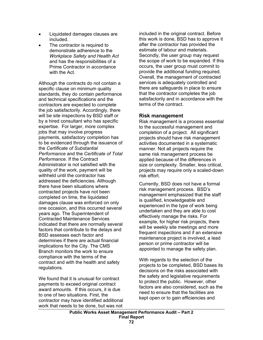- Liquidated damages clauses are included.
- The contractor is required to demonstrate adherence to the *Workplace Safety and Health Act* and has the responsibilities of a Prime Contractor in accordance with the Act.

Although the contracts do not contain a specific clause on minimum quality standards, they do contain performance and technical specifications and the contractors are expected to complete the job satisfactorily. Accordingly, there will be site inspections by BSD staff or by a hired consultant who has specific expertise. For larger, more complex jobs that may involve progress payments, satisfactory completion has to be evidenced through the issuance of the *Certificate of Substantial Performance* and the *Certificate of Total Performance*. If the Contract Administrator is not satisfied with the quality of the work, payment will be withheld until the contractor has addressed the deficiencies. Although there have been situations where contracted projects have not been completed on time, the liquidated damages clause was enforced on only one occasion, and this occurred several years ago. The Superintendent of Contracted Maintenance Services indicated that there are normally several factors that contribute to the delays and BSD assesses each factor and determines if there are actual financial implications for the City. The CMS Branch monitors the work to ensure compliance with the terms of the contract and with the health and safety regulations.

We found that it is unusual for contract payments to exceed original contract award amounts. If this occurs, it is due to one of two situations. First, the contractor may have identified additional work that needs to be done, but was not

included in the original contract. Before this work is done, BSD has to approve it after the contractor has provided the estimate of labour and materials. Secondly, the user group may request the scope of work to be expanded. If this occurs, the user group must commit to provide the additional funding required. Overall, the management of contracted services is adequately controlled and there are safeguards in place to ensure that the contractor completes the job satisfactorily and in accordance with the terms of the contract.

#### **Risk management**

Risk management is a process essential to the successful management and completion of a project. All significant projects should have risk management activities documented in a systematic manner. Not all projects require the same risk management process be applied because of the differences in size or complexity. Smaller, less critical, projects may require only a scaled-down risk effort.

Currently, BSD does not have a formal risk management process. BSD's management emphasized that the staff is qualified, knowledgeable and experienced in the type of work being undertaken and they are able to cost effectively manage the risks. For example, for higher risk projects, there will be weekly site meetings and more frequent inspections and if an extensive maintenance project is involved, a lead person or prime contractor will be appointed to manage the safety plan.

With regards to the selection of the projects to be completed, BSD bases its decisions on the risks associated with the safety and legislative requirements to protect the public. However, other factors are also considered, such as the need to ensure that the facilities are kept open or to gain efficiencies and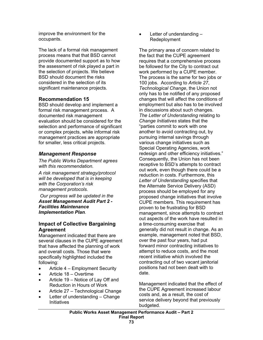improve the environment for the occupants.

The lack of a formal risk management process means that that BSD cannot provide documented support as to how the assessment of risk played a part in the selection of projects. We believe BSD should document the risks considered in the selection of its significant maintenance projects.

# **Recommendation 15**

BSD should develop and implement a formal risk management process. A documented risk management evaluation should be considered for the selection and performance of significant or complex projects, while informal risk management practices are appropriate for smaller, less critical projects.

# *Management Response*

*The Public Works Department agrees with this recommendation.* 

*A risk management strategy/protocol will be developed that is in keeping with the Corporation's risk management protocols.* 

 *Our progress will be updated in the Asset Management Audit Part 2 - Facilities Maintenance Implementation Plan.*

# **Impact of Collective Bargaining Agreement**

Management indicated that there are several clauses in the CUPE agreement that have affected the planning of work and overall costs. Those that were specifically highlighted included the following:

- Article 4 Employment Security
- Article 18 Overtime
- Article 19 Notice of Lay Off and Reduction in Hours of Work
- Article 27 Technological Change
- Letter of understanding Change **Initiatives**

• Letter of understanding – Redeployment

The primary area of concern related to the fact that the CUPE agreement requires that a comprehensive process be followed for the City to contract out work performed by a CUPE member. The process is the same for two jobs or 100 jobs. According to *Article 27*, *Technological Change*, the Union not only has to be notified of any proposed changes that will affect the conditions of employment but also has to be involved in discussions about such changes. *The Letter of Understanding* relating to *Change Initiatives* states that the "parties commit to work with one another to avoid contracting out, by pursuing internal savings through various change initiatives such as Special Operating Agencies, work redesign and other efficiency initiatives." Consequently, the Union has not been receptive to BSD's attempts to contract out work, even though there could be a reduction in costs. Furthermore, this *Letter of Understanding* specifies that the Alternate Service Delivery (ASD) process should be employed for any proposed change initiatives that involve CUPE members. This requirement has proven to be frustrating for BSD management, since attempts to contract out aspects of the work have resulted in a time-consuming exercise that generally did not result in change. As an example, management noted that BSD, over the past four years, had put forward minor contracting initiatives to attempt to reduce costs, and the most recent initiative which involved the contracting out of two vacant janitorial positions had not been dealt with to date.

Management indicated that the effect of the CUPE Agreement increased labour costs and, as a result, the cost of service delivery beyond that previously budgeted.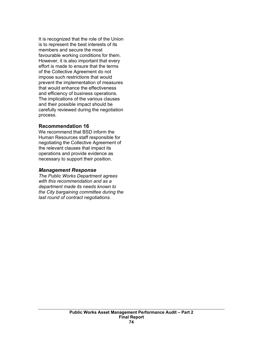It is recognized that the role of the Union is to represent the best interests of its members and secure the most favourable working conditions for them. However, it is also important that every effort is made to ensure that the terms of the Collective Agreement do not impose such restrictions that would prevent the implementation of measures that would enhance the effectiveness and efficiency of business operations. The implications of the various clauses and their possible impact should be carefully reviewed during the negotiation process.

#### **Recommendation 16**

We recommend that BSD inform the Human Resources staff responsible for negotiating the Collective Agreement of the relevant clauses that impact its operations and provide evidence as necessary to support their position.

#### *Management Response*

*The Public Works Department agrees with this recommendation and as a department made its needs known to the City bargaining committee during the last round of contract negotiations.*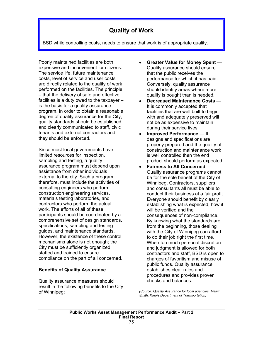# **Quality of Work**

 $\overline{\phantom{a}}$ BSD while controlling costs, needs to ensure that work is of appropriate quality.

Poorly maintained facilities are both expensive and inconvenient for citizens. The service life, future maintenance costs, level of service and user costs are directly related to the quality of work performed on the facilities. The principle – that the delivery of safe and effective facilities is a duty owed to the taxpayer – is the basis for a quality assurance program. In order to obtain a reasonable degree of quality assurance for the City, quality standards should be established and clearly communicated to staff, civic tenants and external contractors and they should be enforced.

Since most local governments have limited resources for inspection, sampling and testing, a quality assurance program must depend upon assistance from other individuals external to the city. Such a program, therefore, must include the activities of consulting engineers who perform construction engineering services, materials testing laboratories, and contractors who perform the actual work. The efforts of all of these participants should be coordinated by a comprehensive set of design standards, specifications, sampling and testing guides, and maintenance standards. However, the existence of these control mechanisms alone is not enough; the City must be sufficiently organized, staffed and trained to ensure compliance on the part of all concerned.

#### **Benefits of Quality Assurance**

Quality assurance measures should result in the following benefits to the City of Winnipeg:

- **Greater Value for Money Spent**  Quality assurance should ensure that the public receives the performance for which it has paid. Conversely, quality assurance should identify areas where more quality is bought than is needed.
- **Decreased Maintenance Costs** It is commonly accepted that facilities that are well built to begin with and adequately preserved will not be as expensive to maintain during their service lives.
- **Improved Performance**  If designs and specifications are properly prepared and the quality of construction and maintenance work is well controlled then the end product should perform as expected.
- **Fairness to All Concerned** Quality assurance programs cannot be for the sole benefit of the City of Winnipeg. Contractors, suppliers and consultants all must be able to conduct their business at a fair profit. Everyone should benefit by clearly establishing what is expected, how it will be verified and the consequences of non-compliance. By knowing what the standards are from the beginning, those dealing with the City of Winnipeg can afford to do their job right the first time. When too much personal discretion and judgment is allowed for both contractors and staff, BSD is open to charges of favoritism and misuse of public funds. Quality assurance establishes clear rules and procedures and provides proven checks and balances.

*(Source: Quality Assurance for local agencies, Melvin Smith, Illinois Department of Transportation)*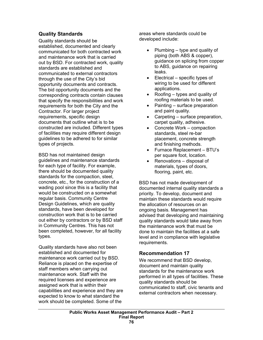# **Quality Standards**

Quality standards should be established, documented and clearly communicated for both contracted work and maintenance work that is carried out by BSD. For contracted work, quality standards are established and communicated to external contractors through the use of the City's bid opportunity documents and contracts. The bid opportunity documents and the corresponding contracts contain clauses that specify the responsibilities and work requirements for both the City and the Contractor. For larger project requirements, specific design documents that outline what is to be constructed are included. Different types of facilities may require different design guidelines to be adhered to for similar types of projects.

BSD has not maintained design guidelines and maintenance standards for each type of facility. For example, there should be documented quality standards for the compaction, steel, concrete, etc., for the construction of a wading pool since this is a facility that would be constructed on a somewhat regular basis. Community Centre Design Guidelines, which are quality standards, have been developed for construction work that is to be carried out either by contractors or by BSD staff in Community Centres. This has not been completed, however, for all facility types.

Quality standards have also not been established and documented for maintenance work carried out by BSD. Reliance is placed on the expertise of staff members when carrying out maintenance work. Staff with the required licenses and experience are assigned work that is within their capabilities and experience and they are expected to know to what standard the work should be completed. Some of the

areas where standards could be developed include:

- Plumbing type and quality of piping (both ABS & copper), guidance on splicing from copper to ABS, guidance on repairing leaks.
- Electrical specific types of wiring to be used for different applications.
- Roofing types and quality of roofing materials to be used.
- Painting surface preparation and paint quality.
- Carpeting surface preparation, carpet quality, adhesive.
- Concrete Work compaction standards, steel re-bar placement, concrete strength and finishing methods.
- Furnace Replacement BTU's per square foot, location.
- Renovations disposal of materials, types of doors, flooring, paint, etc.

BSD has not made development of documented internal quality standards a priority. To develop, document and maintain these standards would require the allocation of resources on an ongoing basis. Management has advised that developing and maintaining quality standards would take away from the maintenance work that must be done to maintain the facilities at a safe level and in compliance with legislative requirements.

# **Recommendation 17**

We recommend that BSD develop, document and maintain quality standards for the maintenance work performed in all types of facilities. These quality standards should be communicated to staff, civic tenants and external contractors when necessary.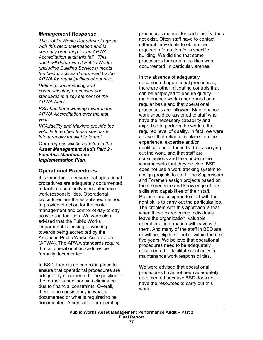## *Management Response*

*The Public Works Department agrees with this recommendation and is currently preparing for an APWA Accreditation audit this fall. This audit will determine if Public Works (including Building Services) meets the best practices determined by the APWA for municipalities of our size.* 

*Defining, documenting and communicating processes and standards is a key element of the APWA Audit.* 

*BSD has been working towards the APWA Accreditation over the last year.* 

*VFA.facility and Maximo provide the vehicle to embed these standards into a readily recallable format.* 

*Our progress will be updated in the Asset Management Audit Part 2 - Facilities Maintenance Implementation Plan.*

## **Operational Procedures**

It is important to ensure that operational procedures are adequately documented to facilitate continuity in maintenance work responsibilities. Operational procedures are the established method to provide direction for the basic management and control of day-to-day activities in facilities. We were also advised that the Public Works Department is looking at working towards being accredited by the American Public Works Association (APWA). The APWA standards require that all operational procedures be formally documented.

In BSD, there is no control in place to ensure that operational procedures are adequately documented. The position of the former supervisor was eliminated due to financial constraints. Overall, there is no consistency in what is documented or what is required to be documented. A central file or operating

procedures manual for each facility does not exist. Often staff have to contact different individuals to obtain the required information for a specific building. We did find that some procedures for certain facilities were documented, in particular, arenas.

In the absence of adequately documented operational procedures, there are other mitigating controls that can be employed to ensure quality maintenance work is performed on a regular basis and that operational procedures are followed. Maintenance work should be assigned to staff who have the necessary capability and expertise to perform the work to the required level of quality. In fact, we were advised that reliance is placed on the experience, expertise and/or qualifications of the individuals carrying out the work, and that staff are conscientious and take pride in the workmanship that they provide. BSD does not use a work tracking system to assign projects to staff. The Supervisors and Foremen assign projects based on their experience and knowledge of the skills and capabilities of their staff. Projects are assigned to staff with the right skills to carry out the particular job. The problem with this approach is that when these experienced individuals leave the organization, valuable operational information will leave with them. And many of the staff in BSD are, or will be, eligible to retire within the next five years. We believe that operational procedures need to be adequately documented to facilitate continuity in maintenance work responsibilities.

We were advised that operational procedures have not been adequately documented because BSD does not have the resources to carry out this work.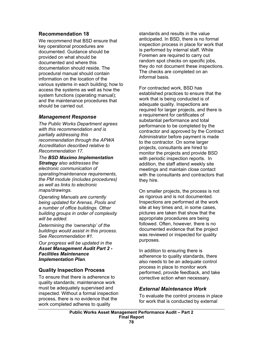# **Recommendation 18**

We recommend that BSD ensure that key operational procedures are documented. Guidance should be provided on what should be documented and where this documentation should reside. The procedural manual should contain information on the location of the various systems in each building; how to access the systems as well as how the system functions (operating manual); and the maintenance procedures that should be carried out.

# *Management Response*

*The Public Works Department agrees with this recommendation and is partially addressing this recommendation through the APWA Accreditation described relative to Recommendation 17.* 

*The BSD Maximo Implementation Strategy also addresses the electronic communication of operating/maintenance requirements, the PM module (includes procedures) as well as links to electronic maps/drawings.* 

*Operating Manuals are currently being updated for Arenas, Pools and a number of office buildings. Other building groups in order of complexity will be added.* 

*Determining the 'ownership' of the buildings would assist in this process. See Recommendation #1.* 

*Our progress will be updated in the Asset Management Audit Part 2 - Facilities Maintenance Implementation Plan.* 

# **Quality Inspection Process**

To ensure that there is adherence to quality standards; maintenance work must be adequately supervised and inspected. Without a formal inspection process, there is no evidence that the work completed adheres to quality

standards and results in the value anticipated. In BSD, there is no formal inspection process in place for work that is performed by internal staff. While Foremen are required to carry out random spot checks on specific jobs, they do not document these inspections. The checks are completed on an informal basis.

For contracted work, BSD has established practices to ensure that the work that is being conducted is of adequate quality. Inspections are required for larger projects, and there is a requirement for certificates of substantial performance and total performance to be completed by the contractor and approved by the Contract Administrator before payment is made to the contractor. On some larger projects, consultants are hired to monitor the projects and provide BSD with periodic inspection reports. In addition, the staff attend weekly site meetings and maintain close contact with the consultants and contractors that they hire.

On smaller projects, the process is not as rigorous and is not documented. Inspections are performed at the work site at key times and, in some cases, pictures are taken that show that the appropriate procedures are being followed. Often, however, there is no documented evidence that the project was reviewed or inspected for quality purposes.

In addition to ensuring there is adherence to quality standards, there also needs to be an adequate control process in place to monitor work performed, provide feedback, and take corrective action when necessary.

# *External Maintenance Work*

To evaluate the control process in place for work that is conducted by external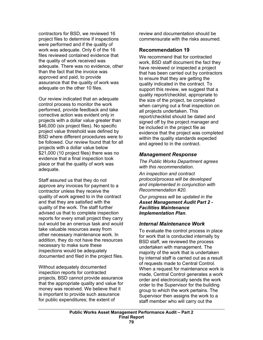contractors for BSD, we reviewed 16 project files to determine if inspections were performed and if the quality of work was adequate. Only 6 of the 16 files reviewed contained evidence that the quality of work received was adequate. There was no evidence, other than the fact that the invoice was approved and paid, to provide assurance that the quality of work was adequate on the other 10 files.

Our review indicated that an adequate control process to monitor the work performed, provide feedback and take corrective action was evident only in projects with a dollar value greater than \$46,000 (six project files). No specific project value threshold was defined by BSD where different procedures were to be followed. Our review found that for all projects with a dollar value below \$21,000 (10 project files) there was no evidence that a final inspection took place or that the quality of work was adequate.

Staff assured us that they do not approve any invoices for payment to a contractor unless they receive the quality of work agreed to in the contract and that they are satisfied with the quality of the work. The staff further advised us that to complete inspection reports for every small project they carry out would be an onerous task and would take valuable resources away from other necessary maintenance work. In addition, they do not have the resources necessary to make sure these inspections would be adequately documented and filed in the project files.

Without adequately documented inspection reports for contracted projects, BSD cannot provide assurance that the appropriate quality and value for money was received. We believe that it is important to provide such assurance for public expenditures; the extent of

review and documentation should be commensurate with the risks assumed.

#### **Recommendation 19**

We recommend that for contracted work, BSD staff document the fact they have reviewed or inspected a project that has been carried out by contractors to ensure that they are getting the quality indicated in the contract. To support this review, we suggest that a quality report/checklist, appropriate to the size of the project, be completed when carrying out a final inspection on all projects undertaken. This report/checklist should be dated and signed off by the project manager and be included in the project file as evidence that the project was completed within the quality standards expected and agreed to in the contract.

# *Management Response*

*The Public Works Department agrees with this recommendation.* 

*An inspection and contract protocol/process will be developed and implemented in conjunction with Recommendation #20.* 

*Our progress will be updated in the Asset Management Audit Part 2 - Facilities Maintenance Implementation Plan.*

# *Internal Maintenance Work*

To evaluate the control process in place for work that is conducted internally by BSD staff, we reviewed the process undertaken with management. The majority of the work that is undertaken by internal staff is carried out as a result of requests made to Central Control. When a request for maintenance work is made, Central Control generates a work order and electronically sends the work order to the Supervisor for the building group to which the work pertains. The Supervisor then assigns the work to a staff member who will carry out the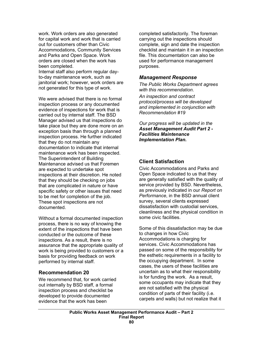work. Work orders are also generated for capital work and work that is carried out for customers other than Civic Accommodations, Community Services and Parks and Open Space. Work orders are closed when the work has been completed.

Internal staff also perform regular dayto-day maintenance work, such as janitorial work; however, work orders are not generated for this type of work.

We were advised that there is no formal inspection process or any documented evidence of inspections for work that is carried out by internal staff. The BSD Manager advised us that inspections do take place but they are done more on an exception basis than through a planned inspection process. He further indicated that they do not maintain any documentation to indicate that internal maintenance work has been inspected. The Superintendent of Building Maintenance advised us that Foremen are expected to undertake spot inspections at their discretion. He noted that they should be checking on jobs that are complicated in nature or have specific safety or other issues that need to be met for completion of the job. These spot inspections are not documented.

Without a formal documented inspection process, there is no way of knowing the extent of the inspections that have been conducted or the outcome of these inspections. As a result, there is no assurance that the appropriate quality of work is being provided to customers or a basis for providing feedback on work performed by internal staff.

# **Recommendation 20**

We recommend that, for work carried out internally by BSD staff, a formal inspection process and checklist be developed to provide documented evidence that the work has been

completed satisfactorily. The foreman carrying out the inspections should complete, sign and date the inspection checklist and maintain it in an inspection file. This documentation can also be used for performance management purposes.

#### *Management Response*

*The Public Works Department agrees with this recommendation.* 

*An inspection and contract protocol/process will be developed and implemented in conjunction with Recommendation #19* 

*Our progress will be updated in the Asset Management Audit Part 2 - Facilities Maintenance Implementation Plan.* 

# **Client Satisfaction**

Civic Accommodations and Parks and Open Space indicated to us that they are generally satisfied with the quality of service provided by BSD. Nevertheless, as previously indicated in our *Report on Performance*, in the BSD annual client survey, several clients expressed dissatisfaction with custodial services, cleanliness and the physical condition in some civic facilities.

Some of this dissatisfaction may be due to changes in how Civic Accommodations is charging for services. Civic Accommodations has passed on some of the responsibility for the esthetic requirements in a facility to the occupying department. In some cases, the users of these facilities are uncertain as to what their responsibility is for funding the work. As a result, some occupants may indicate that they are not satisfied with the physical condition of parts of their facility (i.e. carpets and walls) but not realize that it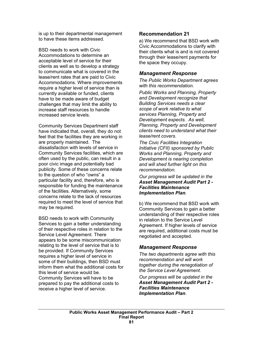is up to their departmental management to have these items addressed.

BSD needs to work with Civic Accommodations to determine an acceptable level of service for their clients as well as to develop a strategy to communicate what is covered in the lease/rent rates that are paid to Civic Accommodations. Where improvements require a higher level of service than is currently available or funded, clients have to be made aware of budget challenges that may limit the ability to increase staff resources to handle increased service levels.

Community Services Department staff have indicated that, overall, they do not feel that the facilities they are working in are properly maintained. The dissatisfaction with levels of service in Community Services facilities, which are often used by the public, can result in a poor civic image and potentially bad publicity. Some of these concerns relate to the question of who "owns" a particular facility and, therefore, who is responsible for funding the maintenance of the facilities. Alternatively, some concerns relate to the lack of resources required to meet the level of service that may be required.

BSD needs to work with Community Services to gain a better understanding of their respective roles in relation to the Service Level Agreement. There appears to be some miscommunication relating to the level of service that is to be provided. If Community Services requires a higher level of service in some of their buildings, then BSD must inform them what the additional costs for this level of service would be. Community Services will have to be prepared to pay the additional costs to receive a higher level of service.

#### **Recommendation 21**

a) We recommend that BSD work with Civic Accommodations to clarify with their clients what is and is not covered through their lease/rent payments for the space they occupy.

#### *Management Response*

*The Public Works Department agrees with this recommendation.* 

*Public Works and Planning, Property and Development recognize that Building Services needs a clear scope of work relative to what services Planning, Property and Development expects. As well, Planning, Property and Development clients need to understand what their lease/rent covers.* 

*The Civic Facilities Integration Initiative (CFII) sponsored by Public Works and Planning, Property and Development is nearing completion and will shed further light on this recommendation.* 

*Our progress will be updated in the Asset Management Audit Part 2 - Facilities Maintenance Implementation Plan.* 

b) We recommend that BSD work with Community Services to gain a better understanding of their respective roles in relation to the Service Level Agreement. If higher levels of service are required, additional costs must be negotiated and accepted.

#### *Management Response*

*The two departments agree with this recommendation and will work together during the renegotiation of the Service Level Agreement.* 

*Our progress will be updated in the Asset Management Audit Part 2 - Facilities Maintenance Implementation Plan.*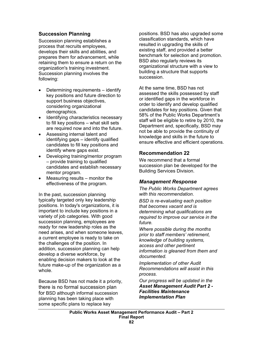# **Succession Planning**

Succession planning establishes a process that recruits employees, develops their skills and abilities, and prepares them for advancement, while retaining them to ensure a return on the organization's training investment. Succession planning involves the following:

- Determining requirements identify key positions and future direction to support business objectives, considering organizational demographics.
- Identifying characteristics necessary to fill key positions – what skill sets are required now and into the future.
- Assessing internal talent and identifying gaps – identify qualified candidates to fill key positions and identify where gaps exist.
- Developing training/mentor program – provide training to qualified candidates and establish necessary mentor program.
- Measuring results  $-$  monitor the effectiveness of the program.

In the past, succession planning typically targeted only key leadership positions. In today's organizations, it is important to include key positions in a variety of job categories. With good succession planning, employees are ready for new leadership roles as the need arises, and when someone leaves, a current employee is ready to take on the challenges of the position. In addition, succession planning can help develop a diverse workforce, by enabling decision makers to look at the future make-up of the organization as a whole.

Because BSD has not made it a priority, there is no formal succession plan for BSD although informal succession planning has been taking place with some specific plans to replace key

positions. BSD has also upgraded some classification standards, which have resulted in upgrading the skills of existing staff, and provided a better benchmark for selection and promotion. BSD also regularly reviews its organizational structure with a view to building a structure that supports succession.

At the same time, BSD has not assessed the skills possessed by staff or identified gaps in the workforce in order to identify and develop qualified candidates for key positions. Given that 58% of the Public Works Department's staff will be eligible to retire by 2010, the Department and, specifically, BSD may not be able to provide the continuity of knowledge and skills in the future to ensure effective and efficient operations.

# **Recommendation 22**

We recommend that a formal succession plan be developed for the Building Services Division.

# *Management Response*

*The Public Works Department agrees with this recommendation.* 

*BSD is re-evaluating each position that becomes vacant and is determining what qualifications are required to improve our service in the future.* 

*Where possible during the months prior to staff members' retirement, knowledge of building systems, access and other pertinent information is gleaned from them and documented.* 

*Implementation of other Audit Recommendations will assist in this process.* 

*Our progress will be updated in the Asset Management Audit Part 2 - Facilities Maintenance Implementation Plan*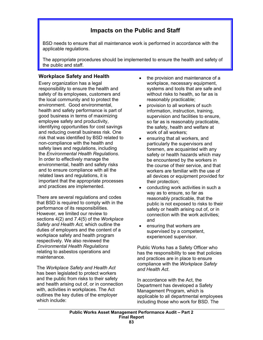# **Impacts on the Public and Staff**

BSD needs to ensure that all maintenance work is performed in accordance with the applicable regulations.

**The appropriate procedures should be implemented to ensure the health and safety of** the public and staff.

# **Workplace Safety and Health**

Every organization has a legal responsibility to ensure the health and safety of its employees, customers and the local community and to protect the environment. Good environmental, health and safety performance is part of good business in terms of maximizing employee safety and productivity, identifying opportunities for cost savings and reducing overall business risk. One risk that was identified by BSD related to non-compliance with the health and safety laws and regulations, including the *Environmental Health Regulations*. In order to effectively manage the environmental, health and safety risks and to ensure compliance with all the related laws and regulations, it is important that the appropriate processes and practices are implemented.

There are several regulations and codes that BSD is required to comply with in the performance of its responsibilities. However, we limited our review to sections 4(2) and 7.4(5) of the *Workplace Safety and Health Act,* which outline the duties of employers and the content of a workplace safety and health program respectively. We also reviewed the *Environmental Health Regulations* relating to asbestos operations and maintenance.

The *Workplace Safety and Health Act* has been legislated to protect workers and the public from risks to their safety and health arising out of, or in connection with, activities in workplaces. The Act outlines the key duties of the employer which include:

- the provision and maintenance of a workplace, necessary equipment, systems and tools that are safe and without risks to health, so far as is reasonably practicable;
- provision to all workers of such information, instruction, training, supervision and facilities to ensure, so far as is reasonably practicable, the safety, health and welfare at work of all workers;
- ensuring that all workers, and particularly the supervisors and foremen, are acquainted with any safety or health hazards which may be encountered by the workers in the course of their service, and that workers are familiar with the use of all devices or equipment provided for their protection;
- conducting work activities in such a way as to ensure, so far as reasonably practicable, that the public is not exposed to risks to their safety or health arising out of, or in connection with the work activities; and
- ensuring that workers are supervised by a competent, experienced supervisor.

Public Works has a Safety Officer who has the responsibility to see that policies and practices are in place to ensure compliance with the *Workplace Safety and Health Act*.

In accordance with the Act, the Department has developed a Safety Management Program, which is applicable to all departmental employees including those who work for BSD. The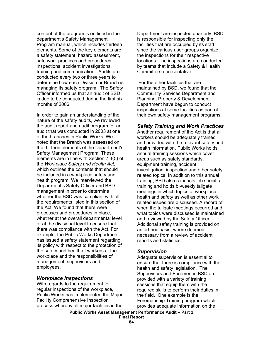content of the program is outlined in the department's Safety Management Program manual, which includes thirteen elements. Some of the key elements are: a safety statement, hazard assessment, safe work practices and procedures, inspections, accident investigations, training and communication. Audits are conducted every two or three years to determine how each Division or Branch is managing its safety program. The Safety Officer informed us that an audit of BSD is due to be conducted during the first six months of 2006.

In order to gain an understanding of the nature of the safety audits, we reviewed the audit report and audit program for an audit that was conducted in 2003 at one of the branches in Public Works. We noted that the Branch was assessed on the thirteen elements of the Department's Safety Management Program. These elements are in line with Section 7.4(5) of the *Workplace Safety and Health Act,* which outlines the contents that should be included in a workplace safety and health program. We interviewed the Department's Safety Officer and BSD management in order to determine whether the BSD was compliant with all the requirements listed in this section of the Act. We found that there were processes and procedures in place, whether at the overall departmental level or at the divisional level to ensure that there was compliance with the Act. For example, the Public Works Department has issued a safety statement regarding its policy with respect to the protection of the safety and health of workers at the workplace and the responsibilities of management, supervisors and employees.

#### *Workplace Inspections*

With regards to the requirement for regular inspections of the workplace, Public Works has implemented the Major Facility Comprehensive Inspection process whereby all major facilities in the

Department are inspected quarterly. BSD is responsible for inspecting only the facilities that are occupied by its staff since the various user groups organize the inspections for their respective locations. The inspections are conducted by teams that include a Safety & Health Committee representative.

 For the other facilities that are maintained by BSD, we found that the Community Services Department and Planning, Property & Development Department have begun to conduct inspections at some facilities as part of their own safety management programs.

# *Safety Training and Work Practices*

Another requirement of the Act is that all workers should be adequately trained and provided with the relevant safety and health information. Public Works holds annual training sessions which cover areas such as safety standards, equipment training, accident investigation, inspection and other safety related topics. In addition to this annual training, BSD also conducts job specific training and holds bi-weekly tailgate meetings in which topics of workplace health and safety as well as other work related issues are discussed. A record of when the tailgate meetings occurred and what topics were discussed is maintained and reviewed by the Safety Officer. Additional safety training is provided on an ad-hoc basis, where deemed necessary from a review of accident reports and statistics.

### *Supervision*

Adequate supervision is essential to ensure that there is compliance with the health and safety legislation. The Supervisors and Foremen in BSD are provided with a variety of training sessions that equip them with the required skills to perform their duties in the field. One example is the Foremanship Training program which provides adequate information on the

**Public Works Asset Management Performance Audit – Part 2 Final Report**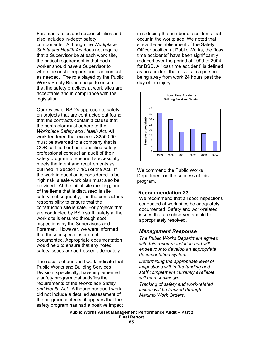Foreman's roles and responsibilities and also includes in-depth safety components. Although the *Workplace Safety and Health Act* does not require that a Supervisor be at each work site, the critical requirement is that each worker should have a Supervisor to whom he or she reports and can contact as needed. The role played by the Public Works Safety Branch helps to ensure that the safety practices at work sites are acceptable and in compliance with the legislation.

Our review of BSD's approach to safety on projects that are contracted out found that the contracts contain a clause that the contractor must adhere to the *Workplace Safety and Health Act*. All work tendered that exceeds \$250,000 must be awarded to a company that is COR certified or has a qualified safety professional conduct an audit of their safety program to ensure it successfully meets the intent and requirements as outlined in Section 7.4(5) of the Act. If the work in question is considered to be high risk, a safe work plan must also be provided. At the initial site meeting, one of the items that is discussed is site safety; subsequently, it is the contractor's responsibility to ensure that the construction site is safe. For projects that are conducted by BSD staff, safety at the work site is ensured through spot inspections by the Supervisors and Foremen. However, we were informed that these inspections are not documented. Appropriate documentation would help to ensure that any noted safety issues are addressed adequately.

The results of our audit work indicate that Public Works and Building Services Division, specifically, have implemented a safety program that satisfies the requirements of the *Workplace Safety and Health Act*. Although our audit work did not include a detailed assessment of the program contents, it appears that the safety program has had a positive impact

in reducing the number of accidents that occur in the workplace. We noted that since the establishment of the Safety Officer position at Public Works, the "loss time accidents" have been significantly reduced over the period of 1999 to 2004 for BSD. A "loss time accident" is defined as an accident that results in a person being away from work 24 hours past the day of the injury.



We commend the Public Works Department on the success of this program.

#### **Recommendation 23**

We recommend that all spot inspections conducted at work sites be adequately documented. Safety and work-related issues that are observed should be appropriately resolved.

### *Management Response*

*The Public Works Department agrees with this recommendation and will endeavour to develop an appropriate documentation system.* 

*Determining the appropriate level of inspections within the funding and staff complement currently available will be a challenge.* 

*Tracking of safety and work-related issues will be tracked through Maximo Work Orders.*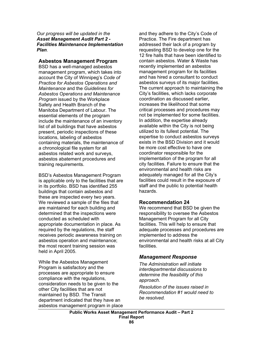*Our progress will be updated in the Asset Management Audit Part 2 - Facilities Maintenance Implementation Plan.* 

#### **Asbestos Management Program**

BSD has a well-managed asbestos management program, which takes into account the City of Winnipeg's *Code of Practice for Asbestos Operations and Maintenance* and the *Guidelines for Asbestos Operations and Maintenance Program* issued by the Workplace Safety and Health Branch of the Manitoba Department of Labour. The essential elements of the program include the maintenance of an inventory list of all buildings that have asbestos present, periodic inspections of these locations, labeling of asbestos containing materials, the maintenance of a chronological file system for all asbestos related work and surveys, asbestos abatement procedures and training requirements.

BSD's Asbestos Management Program is applicable only to the facilities that are in its portfolio. BSD has identified 255 buildings that contain asbestos and these are inspected every two years. We reviewed a sample of the files that are maintained for each building and determined that the inspections were conducted as scheduled with appropriate documentation in place. As required by the regulations, the staff receives periodic awareness training on asbestos operation and maintenance; the most recent training session was held in April 2005.

While the Asbestos Management Program is satisfactory and the processes are appropriate to ensure compliance with the regulations, consideration needs to be given to the other City facilities that are not maintained by BSD. The Transit department indicated that they have an asbestos management program in place and they adhere to the City's Code of Practice. The Fire department has addressed their lack of a program by requesting BSD to develop one for the 12 fire halls that have been identified to contain asbestos. Water & Waste has recently implemented an asbestos management program for its facilities and has hired a consultant to conduct asbestos surveys of its major facilities. The current approach to maintaining the City's facilities, which lacks corporate coordination as discussed earlier, increases the likelihood that some critical processes and procedures may not be implemented for some facilities. In addition, the expertise already available within the City is not being utilized to its fullest potential. The expertise to conduct asbestos surveys exists in the BSD Division and it would be more cost effective to have one coordinator responsible for the implementation of the program for all city facilities. Failure to ensure that the environmental and health risks are adequately managed for all the City's facilities could result in the exposure of staff and the public to potential health hazards.

#### **Recommendation 24**

We recommend that BSD be given the responsibility to oversee the Asbestos Management Program for all City facilities. This will help to ensure that adequate processes and procedures are implemented to address the environmental and health risks at all City facilities.

### *Management Response*

*The Administration will initiate interdepartmental discussions to determine the feasibility of this approach.* 

*Resolution of the issues raised in Recommendation #1 would need to be resolved.*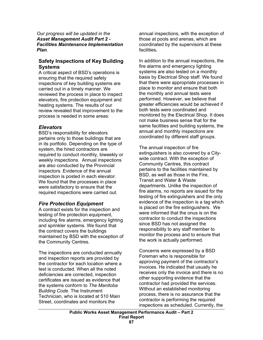*Our progress will be updated in the Asset Management Audit Part 2 - Facilities Maintenance Implementation Plan.* 

# **Safety Inspections of Key Building Systems**

A critical aspect of BSD's operations is ensuring that the required safety inspections of key building systems are carried out in a timely manner. We reviewed the process in place to inspect elevators, fire protection equipment and heating systems. The results of our review revealed that improvement to the process is needed in some areas:

# *Elevators*

BSD's responsibility for elevators pertains only to those buildings that are in its portfolio. Depending on the type of system, the hired contractors are required to conduct monthly, biweekly or weekly inspections. Annual inspections are also conducted by the Provincial inspectors. Evidence of the annual inspection is posted in each elevator. We found that the processes in place were satisfactory to ensure that the required inspections were carried out.

# *Fire Protection Equipment*

A contract exists for the inspection and testing of fire protection equipment, including fire alarms, emergency lighting and sprinkler systems. We found that the contract covers the buildings maintained by BSD with the exception of the Community Centres.

The inspections are conducted annually and inspection reports are provided by the contractor for each location where a test is conducted. When all the noted deficiencies are corrected, inspection certificates are issued as evidence that the systems conform to *The Manitoba Building Code*. The Instrument Technician, who is located at 510 Main Street, coordinates and monitors the

annual inspections, with the exception of those at pools and arenas, which are coordinated by the supervisors at these facilities**.** 

In addition to the annual inspections, the fire alarms and emergency lighting systems are also tested on a monthly basis by Electrical Shop staff. We found that there were appropriate processes in place to monitor and ensure that both the monthly and annual tests were performed. However, we believe that greater efficiencies would be achieved if both tests were coordinated and monitored by the Electrical Shop. It does not make business sense that for the same facilities and building systems, the annual and monthly inspections are coordinated by different staff groups.

The annual inspection of fire extinguishers is also covered by a Citywide contract. With the exception of Community Centres, this contract pertains to the facilities maintained by BSD, as well as those in the Fire, Transit and Water & Waste departments. Unlike the inspection of fire alarms, no reports are issued for the testing of fire extinguishers and the only evidence of the inspection is a tag which is placed on the fire extinguishers. We were informed that the onus is on the contractor to conduct the inspections since BSD has not assigned the responsibility to any staff member to monitor the process and to ensure that the work is actually performed.

Concerns were expressed by a BSD Foreman who is responsible for approving payment of the contractor's invoices. He indicated that usually he receives only the invoice and there is no other supporting evidence that the contractor had provided the services. Without an established monitoring process, there is no assurance that the contractor is performing the required inspections as scheduled. Currently, the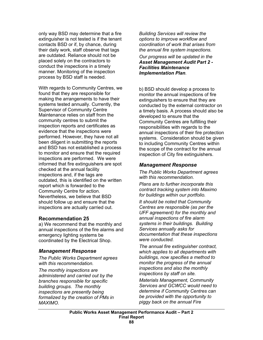only way BSD may determine that a fire extinguisher is not tested is if the tenant contacts BSD or if, by chance, during their daily work, staff observe that tags are outdated. Reliance should not be placed solely on the contractors to conduct the inspections in a timely manner. Monitoring of the inspection process by BSD staff is needed.

With regards to Community Centres, we found that they are responsible for making the arrangements to have their systems tested annually. Currently, the Supervisor of Community Centre Maintenance relies on staff from the community centres to submit the inspection reports and certificates as evidence that the inspections were performed. However, they have not all been diligent in submitting the reports and BSD has not established a process to monitor and ensure that the required inspections are performed. We were informed that fire extinguishers are spot checked at the annual facility inspections and, if the tags are outdated, this is identified on the written report which is forwarded to the Community Centre for action. Nevertheless, we believe that BSD should follow up and ensure that the inspections are actually carried out.

### **Recommendation 25**

a) We recommend that the monthly and annual inspections of the fire alarms and emergency lighting systems be coordinated by the Electrical Shop.

#### *Management Response*

*The Public Works Department agrees with this recommendation.* 

*The monthly inspections are administered and carried out by the branches responsible for specific building groups. The monthly inspections are presently being formalized by the creation of PMs in MAXIMO.* 

*Building Services will review the options to improve workflow and coordination of work that arises from the annual fire system inspections.* 

*Our progress will be updated in the Asset Management Audit Part 2 - Facilities Maintenance Implementation Plan.* 

b) BSD should develop a process to monitor the annual inspections of fire extinguishers to ensure that they are conducted by the external contractor on a timely basis. A process should also be developed to ensure that the Community Centres are fulfilling their responsibilities with regards to the annual inspections of their fire protection systems. Consideration should be given to including Community Centres within the scope of the contract for the annual inspection of City fire extinguishers.

#### *Management Response*

*The Public Works Department agrees with this recommendation.* 

*Plans are to further incorporate this contract tracking system into Maximo for buildings within our portfolio.* 

*It should be noted that Community Centres are responsible (as per the UFF agreement) for the monthly and annual inspections of fire alarm systems in their buildings. Building Services annually asks for documentation that these inspections were conducted.* 

*The annual fire extinguisher contract, which applies to all departments with buildings, now specifies a method to monitor the progress of the annual inspections and also the monthly inspections by staff on site.* 

*Materials Management, Community Services and GCWCC would need to determine if Community Centres can be provided with the opportunity to piggy back on the annual Fire*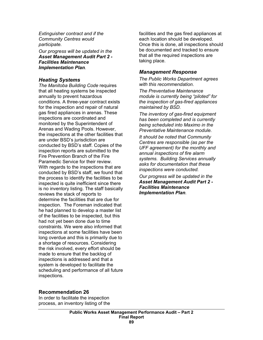*Extinguisher contract and if the Community Centres would participate.* 

*Our progress will be updated in the Asset Management Audit Part 2 - Facilities Maintenance Implementation Plan.* 

#### *Heating Systems*

*The Manitoba Building Code* requires that all heating systems be inspected annually to prevent hazardous conditions. A three-year contract exists for the inspection and repair of natural gas fired appliances in arenas. These inspections are coordinated and monitored by the Superintendent of Arenas and Wading Pools. However, the inspections at the other facilities that are under BSD's jurisdiction are conducted by BSD's staff. Copies of the inspection reports are submitted to the Fire Prevention Branch of the Fire Paramedic Service for their review. With regards to the inspections that are conducted by BSD's staff, we found that the process to identify the facilities to be inspected is quite inefficient since there is no inventory listing. The staff basically reviews the stack of reports to determine the facilities that are due for inspection. The Foreman indicated that he had planned to develop a master list of the facilities to be inspected, but this had not yet been done due to time constraints. We were also informed that inspections at some facilities have been long overdue and this is primarily due to a shortage of resources. Considering the risk involved, every effort should be made to ensure that the backlog of inspections is addressed and that a system is developed to facilitate the scheduling and performance of all future inspections.

facilities and the gas fired appliances at each location should be developed. Once this is done, all inspections should be documented and tracked to ensure that all the required inspections are taking place.

#### *Management Response*

*The Public Works Department agrees with this recommendation.* 

*The Preventative Maintenance module is currently being "piloted" for the inspection of gas-fired appliances maintained by BSD.* 

*The inventory of gas-fired equipment has been completed and is currently being scheduled into Maximo in the Preventative Maintenance module.* 

*It should be noted that Community Centres are responsible (as per the UFF agreement) for the monthly and annual inspections of fire alarm systems. Building Services annually asks for documentation that these inspections were conducted.* 

*Our progress will be updated in the Asset Management Audit Part 2 - Facilities Maintenance Implementation Plan.* 

### **Recommendation 26**

In order to facilitate the inspection process, an inventory listing of the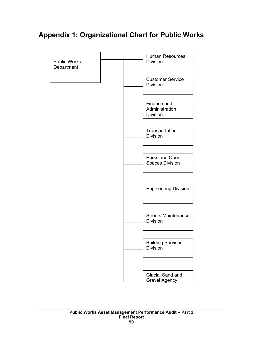# **Appendix 1: Organizational Chart for Public Works**

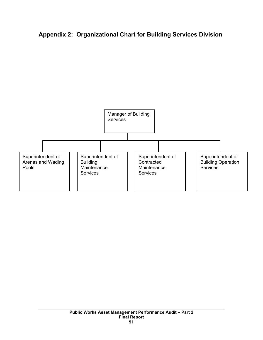# **Appendix 2: Organizational Chart for Building Services Division**

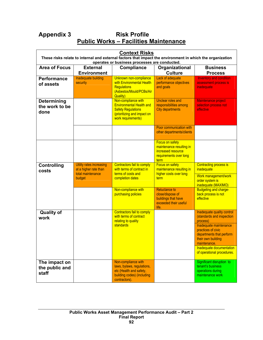Appendix 3 Risk Profile **Public Works – Facilities Maintenance** 

| <b>Context Risks</b>                                                                                                                                       |                                                                                         |                                                                                                                                          |                                                                                                            |                                                                                                                                                                                                                                                |  |  |  |  |
|------------------------------------------------------------------------------------------------------------------------------------------------------------|-----------------------------------------------------------------------------------------|------------------------------------------------------------------------------------------------------------------------------------------|------------------------------------------------------------------------------------------------------------|------------------------------------------------------------------------------------------------------------------------------------------------------------------------------------------------------------------------------------------------|--|--|--|--|
| These risks relate to internal and external factors that impact the environment in which the organization<br>operates or business processes are conducted. |                                                                                         |                                                                                                                                          |                                                                                                            |                                                                                                                                                                                                                                                |  |  |  |  |
| <b>Area of Focus</b>                                                                                                                                       | <b>External</b><br><b>Environment</b>                                                   | <b>Compliance</b>                                                                                                                        | Organizational<br><b>Culture</b>                                                                           | <b>Business</b><br><b>Process</b>                                                                                                                                                                                                              |  |  |  |  |
| <b>Performance</b><br>of assets                                                                                                                            | Inadequate building<br>security                                                         | Unknown non-compliance<br>with Environmental Health<br><b>Regulations</b><br>(Asbestos/Mould/PCBs/Air<br><b>Quality)</b>                 | Lack of adequate<br>performance objectives<br>and goals                                                    | <b>Inventory and condition</b><br>assessment process is<br>inadequate                                                                                                                                                                          |  |  |  |  |
| Determining<br>the work to be<br>done                                                                                                                      |                                                                                         | Non-compliance with<br><b>Environmental Health and</b><br><b>Safety Regulations</b><br>(prioritizing and impact on<br>work requirements) | <b>Unclear roles and</b><br>responsibilities among<br><b>City departments</b>                              | Maintenance project<br>selection process not<br>effective                                                                                                                                                                                      |  |  |  |  |
|                                                                                                                                                            |                                                                                         |                                                                                                                                          | Poor communication with<br>other departments/clients                                                       |                                                                                                                                                                                                                                                |  |  |  |  |
|                                                                                                                                                            |                                                                                         |                                                                                                                                          | <b>Focus on safety</b><br>maintenance resulting in<br>increased resource<br>requirements over long<br>term |                                                                                                                                                                                                                                                |  |  |  |  |
| <b>Controlling</b><br>costs                                                                                                                                | <b>Utility rates increasing</b><br>at a higher rate than<br>total maintenance<br>budget | Contractors fail to comply<br>with terms of contract in<br>terms of costs and<br>completion dates                                        | <b>Focus on safety</b><br>maintenance resulting in<br>higher costs over long<br>term                       | <b>Contracting process is</b><br>inadequate<br>Work management/work<br>order system is<br>inadequate (MAXIMO)                                                                                                                                  |  |  |  |  |
|                                                                                                                                                            |                                                                                         | Non-compliance with<br>purchasing policies                                                                                               | <b>Reluctance to</b><br>close/dispose of<br>buildings that have<br>exceeded their useful<br>life.          | <b>Budgeting and charge-</b><br>back process is not<br>effective                                                                                                                                                                               |  |  |  |  |
| <b>Quality of</b><br>work                                                                                                                                  |                                                                                         | <b>Contractors fail to comply</b><br>with terms of contract<br>relating to quality<br>standards                                          |                                                                                                            | Inadequate quality control<br>(standards and inspection<br>process)<br>Inadequate maintenance<br>practices of civic<br>departments that perform<br>their own building<br>maintenance<br>Inadequate documentation<br>of operational procedures. |  |  |  |  |
| The impact on<br>the public and<br>staff                                                                                                                   |                                                                                         | Non-compliance with<br>laws, bylaws, regulations,<br>etc (Health and safety,<br>building codes) (including<br>contractors).              |                                                                                                            | Significant disruption to<br>tenant's business<br>operations during<br>maintenance work                                                                                                                                                        |  |  |  |  |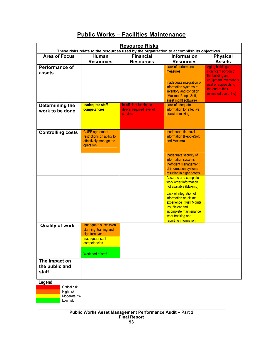# **Public Works – Facilities Maintenance**

| <b>Resource Risks</b><br>These risks relate to the resources used by the organization to accomplish its objectives. |                                                      |                                       |                                                                                                                                 |                                                                                             |  |  |
|---------------------------------------------------------------------------------------------------------------------|------------------------------------------------------|---------------------------------------|---------------------------------------------------------------------------------------------------------------------------------|---------------------------------------------------------------------------------------------|--|--|
| <b>Area of Focus</b>                                                                                                | Human                                                | <b>Financial</b>                      | <b>Information</b>                                                                                                              | <b>Physical</b>                                                                             |  |  |
|                                                                                                                     | <b>Resources</b>                                     | <b>Resources</b>                      | <b>Resources</b>                                                                                                                | <b>Assets</b>                                                                               |  |  |
| <b>Performance of</b><br>assets                                                                                     |                                                      |                                       | Lack of performance<br>measures                                                                                                 | Aging buildings (a<br>significant portion of<br>the building and                            |  |  |
|                                                                                                                     |                                                      |                                       | Inadequate integration of<br>information systems re:<br>inventory and condition<br>(Maximo, PeopleSoft,<br>asset mgmt software) | equipment inventory is<br>past or approaching<br>the end of their<br>estimated useful life) |  |  |
| Determining the                                                                                                     | Inadequate staff                                     | Insufficient funding to               | Lack of adequate                                                                                                                |                                                                                             |  |  |
| work to be done                                                                                                     | competencies                                         | deliver required level of<br>service. | information for effective<br>decision-making                                                                                    |                                                                                             |  |  |
|                                                                                                                     |                                                      |                                       |                                                                                                                                 |                                                                                             |  |  |
| <b>Controlling costs</b>                                                                                            | <b>CUPE</b> agreement                                |                                       | Inadequate financial                                                                                                            |                                                                                             |  |  |
|                                                                                                                     | restrictions on ability to<br>effectively manage the |                                       | information (PeopleSoft<br>and Maximo)                                                                                          |                                                                                             |  |  |
|                                                                                                                     | operation.                                           |                                       |                                                                                                                                 |                                                                                             |  |  |
|                                                                                                                     |                                                      |                                       |                                                                                                                                 |                                                                                             |  |  |
|                                                                                                                     |                                                      |                                       | Inadequate security of<br>information systems                                                                                   |                                                                                             |  |  |
|                                                                                                                     |                                                      |                                       | Inefficient management                                                                                                          |                                                                                             |  |  |
|                                                                                                                     |                                                      |                                       | of information systems                                                                                                          |                                                                                             |  |  |
|                                                                                                                     |                                                      |                                       | resulting in higher costs<br><b>Accurate and complete</b>                                                                       |                                                                                             |  |  |
|                                                                                                                     |                                                      |                                       | work order information                                                                                                          |                                                                                             |  |  |
|                                                                                                                     |                                                      |                                       | not available (Maximo)                                                                                                          |                                                                                             |  |  |
|                                                                                                                     |                                                      |                                       | Lack of integration of                                                                                                          |                                                                                             |  |  |
|                                                                                                                     |                                                      |                                       | information on claims<br>experience (Risk Mgmt)                                                                                 |                                                                                             |  |  |
|                                                                                                                     |                                                      |                                       | <b>Insufficient and</b>                                                                                                         |                                                                                             |  |  |
|                                                                                                                     |                                                      |                                       | incomplete maintenance                                                                                                          |                                                                                             |  |  |
|                                                                                                                     |                                                      |                                       | work tracking and                                                                                                               |                                                                                             |  |  |
| <b>Quality of work</b>                                                                                              | Inadequate succession                                |                                       | reporting information                                                                                                           |                                                                                             |  |  |
|                                                                                                                     | planning, training and                               |                                       |                                                                                                                                 |                                                                                             |  |  |
|                                                                                                                     | high turnover                                        |                                       |                                                                                                                                 |                                                                                             |  |  |
|                                                                                                                     | Inadequate staff<br>competencies                     |                                       |                                                                                                                                 |                                                                                             |  |  |
|                                                                                                                     |                                                      |                                       |                                                                                                                                 |                                                                                             |  |  |
|                                                                                                                     | Workload of staff                                    |                                       |                                                                                                                                 |                                                                                             |  |  |
| The impact on                                                                                                       |                                                      |                                       |                                                                                                                                 |                                                                                             |  |  |
| the public and                                                                                                      |                                                      |                                       |                                                                                                                                 |                                                                                             |  |  |
| staff                                                                                                               |                                                      |                                       |                                                                                                                                 |                                                                                             |  |  |
|                                                                                                                     |                                                      |                                       |                                                                                                                                 |                                                                                             |  |  |

**Legend** 

High risk and High risk **Moderate risk** Moderate risk

 Critical risk Low risk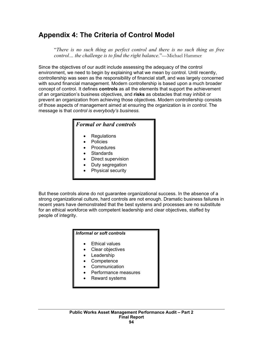# **Appendix 4: The Criteria of Control Model**

"*There is no such thing as perfect control and there is no such thing as free control… the challenge is to find the right balance*."—Michael Hammer

Since the objectives of our audit include assessing the adequacy of the control environment, we need to begin by explaining what we mean by control. Until recently, controllership was seen as the responsibility of financial staff, and was largely concerned with sound financial management. Modern controllership is based upon a much broader concept of control. It defines **controls** as all the elements that support the achievement of an organization's business objectives, and **risks** as obstacles that may inhibit or prevent an organization from achieving those objectives. Modern controllership consists of those aspects of management aimed at ensuring the organization is *in control*. The message is that *control is everybody's business.* 

# *Formal or hard controls*

- Regulations
- Policies
- **Procedures**
- **Standards**
- Direct supervision
- Duty segregation
- Physical security

But these controls alone do not guarantee organizational success. In the absence of a strong organizational culture, hard controls are not enough. Dramatic business failures in recent years have demonstrated that the best systems and processes are no substitute for an ethical workforce with competent leadership and clear objectives, staffed by people of integrity.

#### *Informal or soft controls*

- **Ethical values**
- Clear objectives
- Leadership
- Competence
- **Communication**
- Performance measures
- Reward systems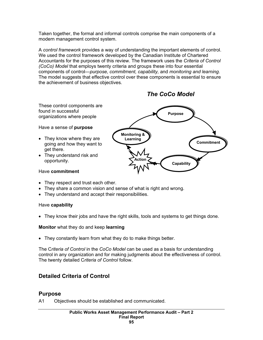Taken together, the formal and informal controls comprise the main components of a modern management control system.

A *control framework* provides a way of understanding the important elements of control. We used the control framework developed by the Canadian Institute of Chartered Accountants for the purposes of this review. The framework uses the *Criteria of Control (CoCo) Model* that employs twenty criteria and groups these into four essential components of control—*purpose, commitment, capability,* and *monitoring and learning*. The model suggests that effective control over these components is essential to ensure the achievement of business objectives.



- They respect and trust each other.
- They share a common vision and sense of what is right and wrong.
- They understand and accept their responsibilities.

#### Have **capability**

• They know their jobs and have the right skills, tools and systems to get things done.

#### **Monitor** what they do and keep **learning**

• They constantly learn from what they do to make things better.

The C*riteria of Control* in the *CoCo Model* can be used as a basis for understanding control in any organization and for making judgments about the effectiveness of control. The twenty detailed C*riteria of Control* follow.

# **Detailed Criteria of Control**

### **Purpose**

A1 Objectives should be established and communicated.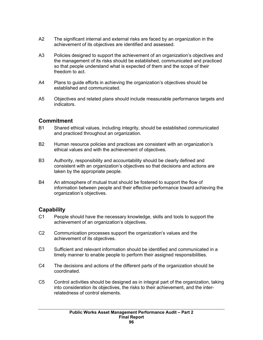- A2 The significant internal and external risks are faced by an organization in the achievement of its objectives are identified and assessed.
- A3 Policies designed to support the achievement of an organization's objectives and the management of its risks should be established, communicated and practiced so that people understand what is expected of them and the scope of their freedom to act.
- A4 Plans to guide efforts in achieving the organization's objectives should be established and communicated.
- A5 Objectives and related plans should include measurable performance targets and indicators.

# **Commitment**

- B1 Shared ethical values, including integrity, should be established communicated and practiced throughout an organization.
- B2 Human resource policies and practices are consistent with an organization's ethical values and with the achievement of objectives.
- B3 Authority, responsibility and accountability should be clearly defined and consistent with an organization's objectives so that decisions and actions are taken by the appropriate people.
- B4 An atmosphere of mutual trust should be fostered to support the flow of information between people and their effective performance toward achieving the organization's objectives.

# **Capability**

- C1 People should have the necessary knowledge, skills and tools to support the achievement of an organization's objectives.
- C2 Communication processes support the organization's values and the achievement of its objectives.
- C3 Sufficient and relevant information should be identified and communicated in a timely manner to enable people to perform their assigned responsibilities.
- C4 The decisions and actions of the different parts of the organization should be coordinated.
- C5 Control activities should be designed as in integral part of the organization, taking into consideration its objectives, the risks to their achievement, and the interrelatedness of control elements.